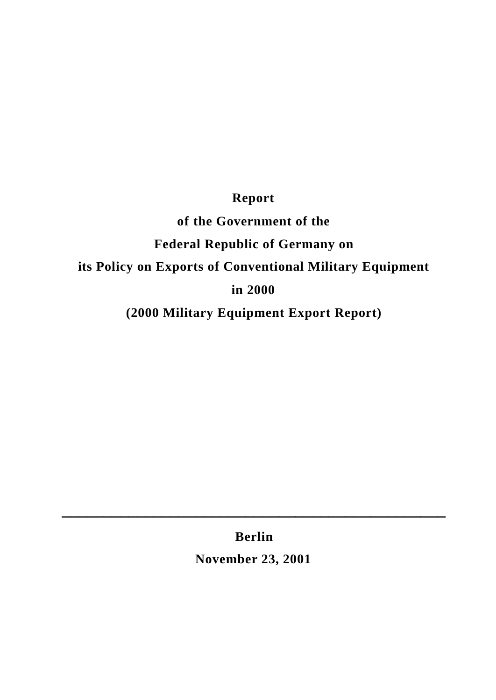# **Report**

# **of the Government of the Federal Republic of Germany on its Policy on Exports of Conventional Military Equipment in 2000**

**(2000 Military Equipment Export Report)**

**Berlin**

**\_\_\_\_\_\_\_\_\_\_\_\_\_\_\_\_\_\_\_\_\_\_\_\_\_\_\_\_\_\_\_\_\_\_\_\_\_\_\_\_\_\_\_\_\_\_**

**November 23, 2001**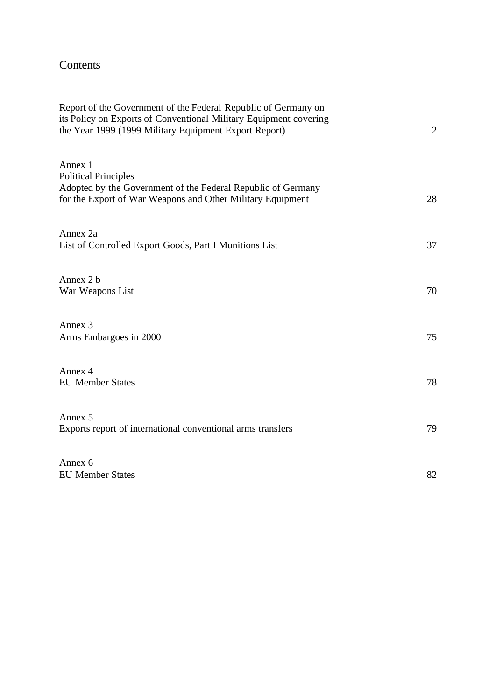# Contents

| Report of the Government of the Federal Republic of Germany on<br>its Policy on Exports of Conventional Military Equipment covering<br>the Year 1999 (1999 Military Equipment Export Report) | $\overline{2}$ |
|----------------------------------------------------------------------------------------------------------------------------------------------------------------------------------------------|----------------|
| Annex 1<br><b>Political Principles</b><br>Adopted by the Government of the Federal Republic of Germany                                                                                       |                |
| for the Export of War Weapons and Other Military Equipment                                                                                                                                   | 28             |
| Annex 2a<br>List of Controlled Export Goods, Part I Munitions List                                                                                                                           | 37             |
| Annex 2 b<br>War Weapons List                                                                                                                                                                | 70             |
| Annex 3<br>Arms Embargoes in 2000                                                                                                                                                            | 75             |
| Annex 4<br><b>EU Member States</b>                                                                                                                                                           | 78             |
| Annex 5<br>Exports report of international conventional arms transfers                                                                                                                       | 79             |
| Annex 6<br><b>EU Member States</b>                                                                                                                                                           | 82             |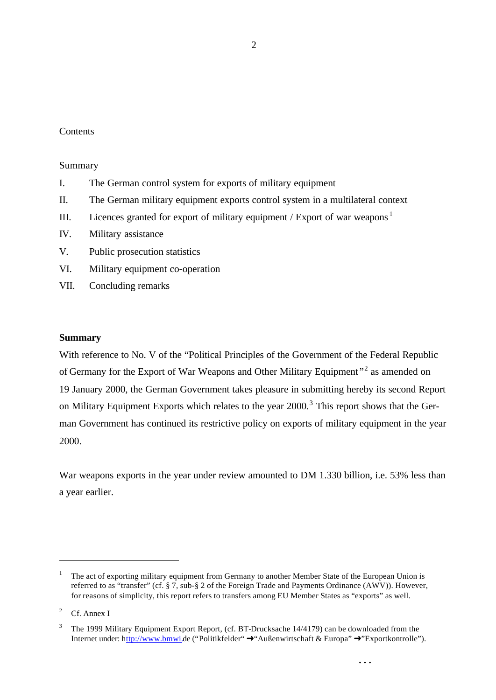#### **Contents**

#### Summary

- I. The German control system for exports of military equipment
- II. The German military equipment exports control system in a multilateral context
- III. Licences granted for export of military equipment  $/$  Export of war weapons<sup>1</sup>
- IV. Military assistance
- V. Public prosecution statistics
- VI. Military equipment co-operation
- VII. Concluding remarks

#### **Summary**

With reference to No. V of the "Political Principles of the Government of the Federal Republic of Germany for the Export of War Weapons and Other Military Equipment"<sup>2</sup> as amended on 19 January 2000, the German Government takes pleasure in submitting hereby its second Report on Military Equipment Exports which relates to the year 2000.<sup>3</sup> This report shows that the German Government has continued its restrictive policy on exports of military equipment in the year 2000.

War weapons exports in the year under review amounted to DM 1.330 billion, i.e. 53% less than a year earlier.

<sup>1</sup> The act of exporting military equipment from Germany to another Member State of the European Union is referred to as "transfer" (cf. § 7, sub-§ 2 of the Foreign Trade and Payments Ordinance (AWV)). However, for reasons of simplicity, this report refers to transfers among EU Member States as "exports" as well.

<sup>&</sup>lt;sup>2</sup> Cf. Annex I

<sup>3</sup> The 1999 Military Equipment Export Report, (cf. BT-Drucksache 14/4179) can be downloaded from the Internet under: http://www.bmwi.de ("Politikfelder"  $\rightarrow$ "Außenwirtschaft & Europa"  $\rightarrow$ "Exportkontrolle").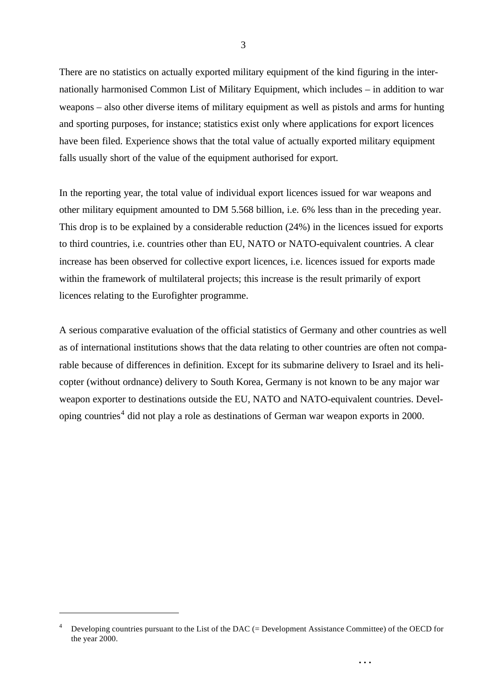There are no statistics on actually exported military equipment of the kind figuring in the internationally harmonised Common List of Military Equipment, which includes – in addition to war weapons – also other diverse items of military equipment as well as pistols and arms for hunting and sporting purposes, for instance; statistics exist only where applications for export licences have been filed. Experience shows that the total value of actually exported military equipment falls usually short of the value of the equipment authorised for export.

In the reporting year, the total value of individual export licences issued for war weapons and other military equipment amounted to DM 5.568 billion, i.e. 6% less than in the preceding year. This drop is to be explained by a considerable reduction (24%) in the licences issued for exports to third countries, i.e. countries other than EU, NATO or NATO-equivalent countries. A clear increase has been observed for collective export licences, i.e. licences issued for exports made within the framework of multilateral projects; this increase is the result primarily of export licences relating to the Eurofighter programme.

A serious comparative evaluation of the official statistics of Germany and other countries as well as of international institutions shows that the data relating to other countries are often not comparable because of differences in definition. Except for its submarine delivery to Israel and its helicopter (without ordnance) delivery to South Korea, Germany is not known to be any major war weapon exporter to destinations outside the EU, NATO and NATO-equivalent countries. Developing countries<sup>4</sup> did not play a role as destinations of German war weapon exports in 2000.

l

**. . .**

3

<sup>4</sup> Developing countries pursuant to the List of the DAC (= Development Assistance Committee) of the OECD for the year 2000.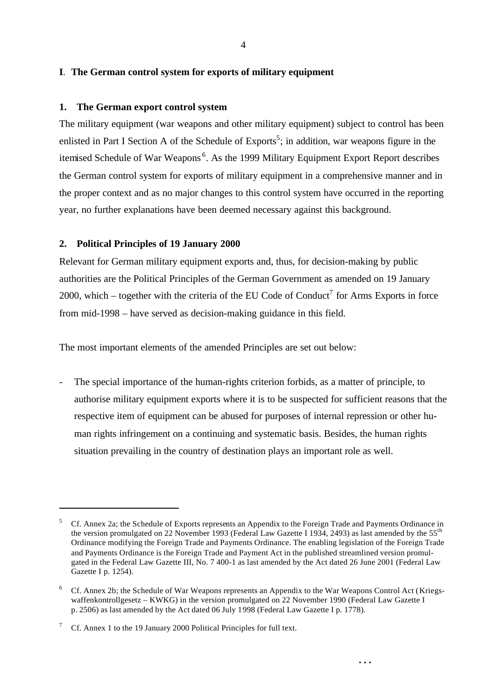#### **I**. **The German control system for exports of military equipment**

#### **1. The German export control system**

The military equipment (war weapons and other military equipment) subject to control has been enlisted in Part I Section A of the Schedule of Exports<sup>5</sup>; in addition, war weapons figure in the itemised Schedule of War Weapons<sup>6</sup>. As the 1999 Military Equipment Export Report describes the German control system for exports of military equipment in a comprehensive manner and in the proper context and as no major changes to this control system have occurred in the reporting year, no further explanations have been deemed necessary against this background.

#### **2. Political Principles of 19 January 2000**

Relevant for German military equipment exports and, thus, for decision-making by public authorities are the Political Principles of the German Government as amended on 19 January 2000, which – together with the criteria of the EU Code of Conduct<sup>7</sup> for Arms Exports in force from mid-1998 – have served as decision-making guidance in this field.

The most important elements of the amended Principles are set out below:

The special importance of the human-rights criterion forbids, as a matter of principle, to authorise military equipment exports where it is to be suspected for sufficient reasons that the respective item of equipment can be abused for purposes of internal repression or other human rights infringement on a continuing and systematic basis. Besides, the human rights situation prevailing in the country of destination plays an important role as well.

l

<sup>5</sup> Cf. Annex 2a; the Schedule of Exports represents an Appendix to the Foreign Trade and Payments Ordinance in the version promulgated on 22 November 1993 (Federal Law Gazette I 1934, 2493) as last amended by the 55<sup>th</sup> Ordinance modifying the Foreign Trade and Payments Ordinance. The enabling legislation of the Foreign Trade and Payments Ordinance is the Foreign Trade and Payment Act in the published streamlined version promulgated in the Federal Law Gazette III, No. 7 400-1 as last amended by the Act dated 26 June 2001 (Federal Law Gazette I p. 1254).

<sup>6</sup> Cf. Annex 2b; the Schedule of War Weapons represents an Appendix to the War Weapons Control Act (Kriegswaffenkontrollgesetz – KWKG) in the version promulgated on 22 November 1990 (Federal Law Gazette I p. 2506) as last amended by the Act dated 06 July 1998 (Federal Law Gazette I p. 1778).

<sup>&</sup>lt;sup>7</sup> Cf. Annex 1 to the 19 January 2000 Political Principles for full text.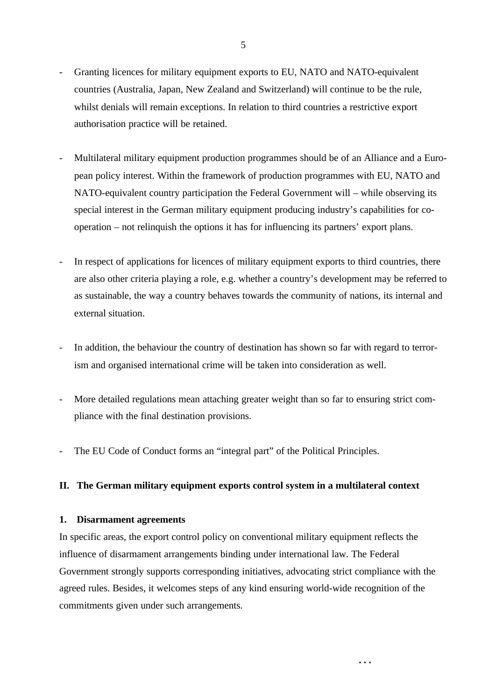- Granting licences for military equipment exports to EU, NATO and NATO-equivalent countries (Australia, Japan, New Zealand and Switzerland) will continue to be the rule, whilst denials will remain exceptions. In relation to third countries a restrictive export authorisation practice will be retained.
- Multilateral military equipment production programmes should be of an Alliance and a European policy interest. Within the framework of production programmes with EU, NATO and NATO-equivalent country participation the Federal Government will – while observing its special interest in the German military equipment producing industry's capabilities for cooperation – not relinquish the options it has for influencing its partners' export plans.
- In respect of applications for licences of military equipment exports to third countries, there are also other criteria playing a role, e.g. whether a country's development may be referred to as sustainable, the way a country behaves towards the community of nations, its internal and external situation.
- In addition, the behaviour the country of destination has shown so far with regard to terrorism and organised international crime will be taken into consideration as well.
- More detailed regulations mean attaching greater weight than so far to ensuring strict compliance with the final destination provisions.
- The EU Code of Conduct forms an "integral part" of the Political Principles.

#### **II. The German military equipment exports control system in a multilateral context**

#### **1. Disarmament agreements**

In specific areas, the export control policy on conventional military equipment reflects the influence of disarmament arrangements binding under international law. The Federal Government strongly supports corresponding initiatives, advocating strict compliance with the agreed rules. Besides, it welcomes steps of any kind ensuring world-wide recognition of the commitments given under such arrangements.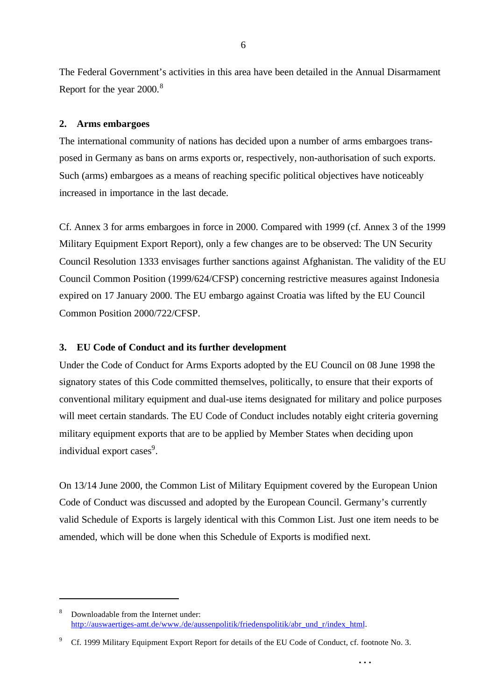The Federal Government's activities in this area have been detailed in the Annual Disarmament Report for the year 2000.<sup>8</sup>

# **2. Arms embargoes**

l

The international community of nations has decided upon a number of arms embargoes transposed in Germany as bans on arms exports or, respectively, non-authorisation of such exports. Such (arms) embargoes as a means of reaching specific political objectives have noticeably increased in importance in the last decade.

Cf. Annex 3 for arms embargoes in force in 2000. Compared with 1999 (cf. Annex 3 of the 1999 Military Equipment Export Report), only a few changes are to be observed: The UN Security Council Resolution 1333 envisages further sanctions against Afghanistan. The validity of the EU Council Common Position (1999/624/CFSP) concerning restrictive measures against Indonesia expired on 17 January 2000. The EU embargo against Croatia was lifted by the EU Council Common Position 2000/722/CFSP.

# **3. EU Code of Conduct and its further development**

Under the Code of Conduct for Arms Exports adopted by the EU Council on 08 June 1998 the signatory states of this Code committed themselves, politically, to ensure that their exports of conventional military equipment and dual-use items designated for military and police purposes will meet certain standards. The EU Code of Conduct includes notably eight criteria governing military equipment exports that are to be applied by Member States when deciding upon individual export cases<sup>9</sup>.

On 13/14 June 2000, the Common List of Military Equipment covered by the European Union Code of Conduct was discussed and adopted by the European Council. Germany's currently valid Schedule of Exports is largely identical with this Common List. Just one item needs to be amended, which will be done when this Schedule of Exports is modified next.

**. . .**

6

<sup>8</sup> Downloadable from the Internet under: http://auswaertiges-amt.de/www./de/aussenpolitik/friedenspolitik/abr\_und\_r/index\_html.

<sup>9</sup> Cf. 1999 Military Equipment Export Report for details of the EU Code of Conduct, cf. footnote No. 3.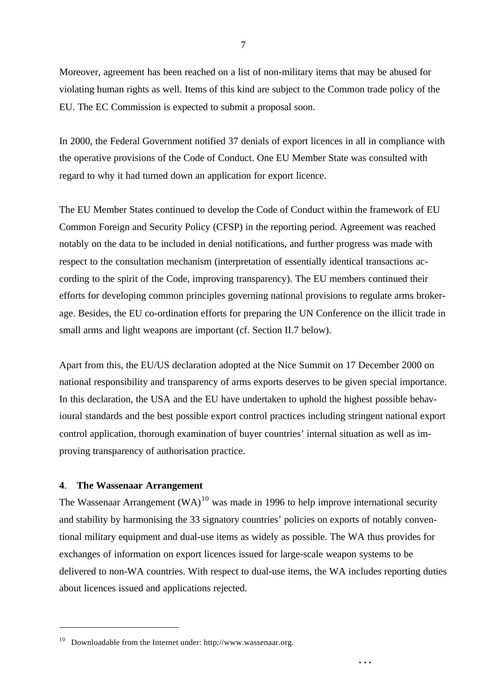Moreover, agreement has been reached on a list of non-military items that may be abused for violating human rights as well. Items of this kind are subject to the Common trade policy of the EU. The EC Commission is expected to submit a proposal soon.

In 2000, the Federal Government notified 37 denials of export licences in all in compliance with the operative provisions of the Code of Conduct. One EU Member State was consulted with regard to why it had turned down an application for export licence.

The EU Member States continued to develop the Code of Conduct within the framework of EU Common Foreign and Security Policy (CFSP) in the reporting period. Agreement was reached notably on the data to be included in denial notifications, and further progress was made with respect to the consultation mechanism (interpretation of essentially identical transactions according to the spirit of the Code, improving transparency). The EU members continued their efforts for developing common principles governing national provisions to regulate arms brokerage. Besides, the EU co-ordination efforts for preparing the UN Conference on the illicit trade in small arms and light weapons are important (cf. Section II.7 below).

Apart from this, the EU/US declaration adopted at the Nice Summit on 17 December 2000 on national responsibility and transparency of arms exports deserves to be given special importance. In this declaration, the USA and the EU have undertaken to uphold the highest possible behavioural standards and the best possible export control practices including stringent national export control application, thorough examination of buyer countries' internal situation as well as improving transparency of authorisation practice.

#### **4**. **The Wassenaar Arrangement**

l

The Wassenaar Arrangement  $(WA)^{10}$  was made in 1996 to help improve international security and stability by harmonising the 33 signatory countries' policies on exports of notably conventional military equipment and dual-use items as widely as possible. The WA thus provides for exchanges of information on export licences issued for large-scale weapon systems to be delivered to non-WA countries. With respect to dual-use items, the WA includes reporting duties about licences issued and applications rejected.

<sup>10</sup> Downloadable from the Internet under: http://www.wassenaar.org.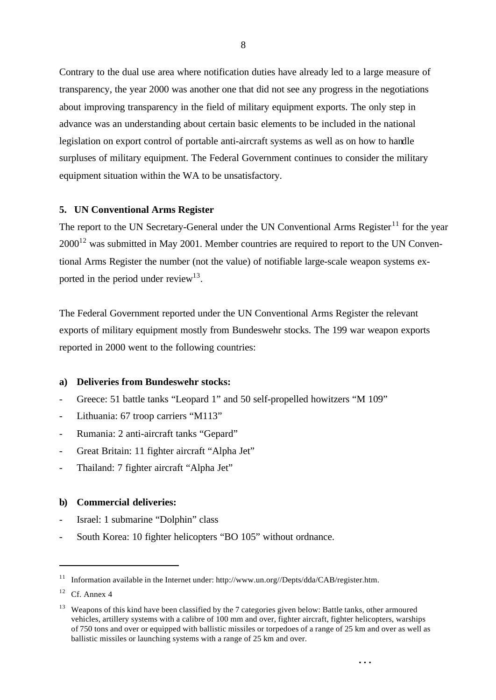Contrary to the dual use area where notification duties have already led to a large measure of transparency, the year 2000 was another one that did not see any progress in the negotiations about improving transparency in the field of military equipment exports. The only step in advance was an understanding about certain basic elements to be included in the national legislation on export control of portable anti-aircraft systems as well as on how to handle surpluses of military equipment. The Federal Government continues to consider the military equipment situation within the WA to be unsatisfactory.

#### **5. UN Conventional Arms Register**

The report to the UN Secretary-General under the UN Conventional Arms Register<sup>11</sup> for the year  $2000^{12}$  was submitted in May 2001. Member countries are required to report to the UN Conventional Arms Register the number (not the value) of notifiable large-scale weapon systems exported in the period under review<sup>13</sup>.

The Federal Government reported under the UN Conventional Arms Register the relevant exports of military equipment mostly from Bundeswehr stocks. The 199 war weapon exports reported in 2000 went to the following countries:

# **a) Deliveries from Bundeswehr stocks:**

- Greece: 51 battle tanks "Leopard 1" and 50 self-propelled howitzers "M 109"
- Lithuania: 67 troop carriers "M113"
- Rumania: 2 anti-aircraft tanks "Gepard"
- Great Britain: 11 fighter aircraft "Alpha Jet"
- Thailand: 7 fighter aircraft "Alpha Jet"

#### **b) Commercial deliveries:**

- Israel: 1 submarine "Dolphin" class
- South Korea: 10 fighter helicopters "BO 105" without ordnance.

l

<sup>&</sup>lt;sup>11</sup> Information available in the Internet under: http://www.un.org//Depts/dda/CAB/register.htm.

 $12$  Cf. Annex 4

<sup>&</sup>lt;sup>13</sup> Weapons of this kind have been classified by the 7 categories given below: Battle tanks, other armoured vehicles, artillery systems with a calibre of 100 mm and over, fighter aircraft, fighter helicopters, warships of 750 tons and over or equipped with ballistic missiles or torpedoes of a range of 25 km and over as well as ballistic missiles or launching systems with a range of 25 km and over.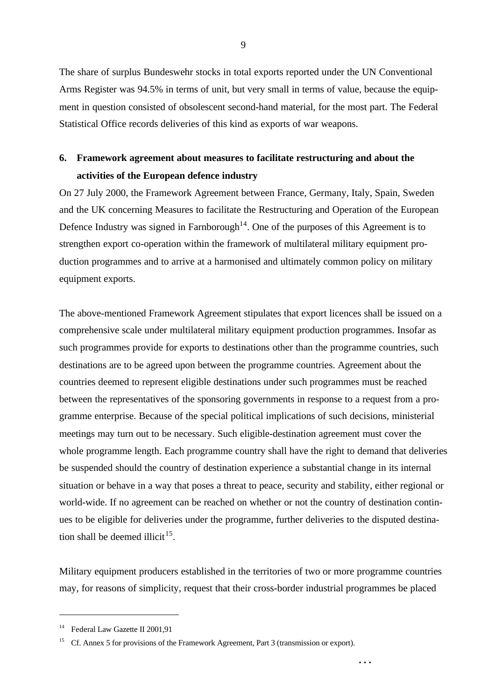The share of surplus Bundeswehr stocks in total exports reported under the UN Conventional Arms Register was 94.5% in terms of unit, but very small in terms of value, because the equipment in question consisted of obsolescent second-hand material, for the most part. The Federal Statistical Office records deliveries of this kind as exports of war weapons.

# **6. Framework agreement about measures to facilitate restructuring and about the activities of the European defence industry**

On 27 July 2000, the Framework Agreement between France, Germany, Italy, Spain, Sweden and the UK concerning Measures to facilitate the Restructuring and Operation of the European Defence Industry was signed in Farnborough<sup>14</sup>. One of the purposes of this Agreement is to strengthen export co-operation within the framework of multilateral military equipment production programmes and to arrive at a harmonised and ultimately common policy on military equipment exports.

The above-mentioned Framework Agreement stipulates that export licences shall be issued on a comprehensive scale under multilateral military equipment production programmes. Insofar as such programmes provide for exports to destinations other than the programme countries, such destinations are to be agreed upon between the programme countries. Agreement about the countries deemed to represent eligible destinations under such programmes must be reached between the representatives of the sponsoring governments in response to a request from a programme enterprise. Because of the special political implications of such decisions, ministerial meetings may turn out to be necessary. Such eligible-destination agreement must cover the whole programme length. Each programme country shall have the right to demand that deliveries be suspended should the country of destination experience a substantial change in its internal situation or behave in a way that poses a threat to peace, security and stability, either regional or world-wide. If no agreement can be reached on whether or not the country of destination continues to be eligible for deliveries under the programme, further deliveries to the disputed destination shall be deemed illicit<sup>15</sup>.

Military equipment producers established in the territories of two or more programme countries may, for reasons of simplicity, request that their cross-border industrial programmes be placed

**. . .**

l

9

<sup>&</sup>lt;sup>14</sup> Federal Law Gazette II 2001,91

<sup>&</sup>lt;sup>15</sup> Cf. Annex 5 for provisions of the Framework Agreement, Part 3 (transmission or export).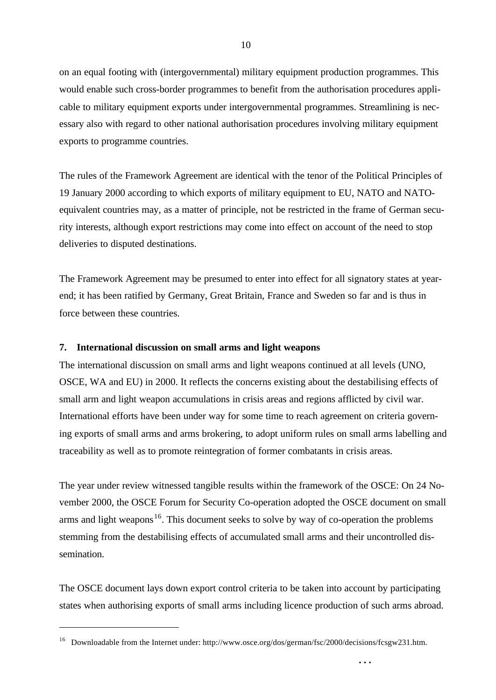on an equal footing with (intergovernmental) military equipment production programmes. This would enable such cross-border programmes to benefit from the authorisation procedures applicable to military equipment exports under intergovernmental programmes. Streamlining is necessary also with regard to other national authorisation procedures involving military equipment exports to programme countries.

The rules of the Framework Agreement are identical with the tenor of the Political Principles of 19 January 2000 according to which exports of military equipment to EU, NATO and NATOequivalent countries may, as a matter of principle, not be restricted in the frame of German security interests, although export restrictions may come into effect on account of the need to stop deliveries to disputed destinations.

The Framework Agreement may be presumed to enter into effect for all signatory states at yearend; it has been ratified by Germany, Great Britain, France and Sweden so far and is thus in force between these countries.

#### **7. International discussion on small arms and light weapons**

l

The international discussion on small arms and light weapons continued at all levels (UNO, OSCE, WA and EU) in 2000. It reflects the concerns existing about the destabilising effects of small arm and light weapon accumulations in crisis areas and regions afflicted by civil war. International efforts have been under way for some time to reach agreement on criteria governing exports of small arms and arms brokering, to adopt uniform rules on small arms labelling and traceability as well as to promote reintegration of former combatants in crisis areas.

The year under review witnessed tangible results within the framework of the OSCE: On 24 November 2000, the OSCE Forum for Security Co-operation adopted the OSCE document on small arms and light weapons<sup>16</sup>. This document seeks to solve by way of co-operation the problems stemming from the destabilising effects of accumulated small arms and their uncontrolled dissemination.

The OSCE document lays down export control criteria to be taken into account by participating states when authorising exports of small arms including licence production of such arms abroad.

<sup>16</sup> Downloadable from the Internet under: http://www.osce.org/dos/german/fsc/2000/decisions/fcsgw231.htm.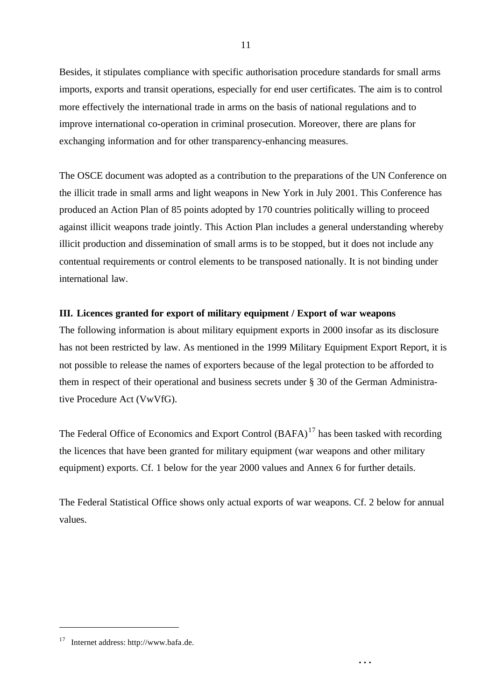Besides, it stipulates compliance with specific authorisation procedure standards for small arms imports, exports and transit operations, especially for end user certificates. The aim is to control more effectively the international trade in arms on the basis of national regulations and to improve international co-operation in criminal prosecution. Moreover, there are plans for exchanging information and for other transparency-enhancing measures.

The OSCE document was adopted as a contribution to the preparations of the UN Conference on the illicit trade in small arms and light weapons in New York in July 2001. This Conference has produced an Action Plan of 85 points adopted by 170 countries politically willing to proceed against illicit weapons trade jointly. This Action Plan includes a general understanding whereby illicit production and dissemination of small arms is to be stopped, but it does not include any contentual requirements or control elements to be transposed nationally. It is not binding under international law.

# **III. Licences granted for export of military equipment / Export of war weapons**

The following information is about military equipment exports in 2000 insofar as its disclosure has not been restricted by law. As mentioned in the 1999 Military Equipment Export Report, it is not possible to release the names of exporters because of the legal protection to be afforded to them in respect of their operational and business secrets under § 30 of the German Administrative Procedure Act (VwVfG).

The Federal Office of Economics and Export Control  $(BAFA)^{17}$  has been tasked with recording the licences that have been granted for military equipment (war weapons and other military equipment) exports. Cf. 1 below for the year 2000 values and Annex 6 for further details.

The Federal Statistical Office shows only actual exports of war weapons. Cf. 2 below for annual values.

**. . .**

<sup>17</sup> Internet address: http://www.bafa.de.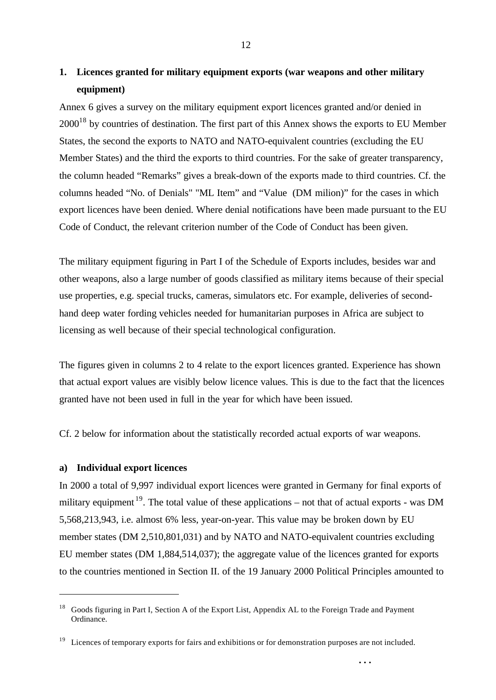# **1. Licences granted for military equipment exports (war weapons and other military equipment)**

Annex 6 gives a survey on the military equipment export licences granted and/or denied in  $2000^{18}$  by countries of destination. The first part of this Annex shows the exports to EU Member States, the second the exports to NATO and NATO-equivalent countries (excluding the EU Member States) and the third the exports to third countries. For the sake of greater transparency, the column headed "Remarks" gives a break-down of the exports made to third countries. Cf. the columns headed "No. of Denials" "ML Item" and "Value (DM milion)" for the cases in which export licences have been denied. Where denial notifications have been made pursuant to the EU Code of Conduct, the relevant criterion number of the Code of Conduct has been given.

The military equipment figuring in Part I of the Schedule of Exports includes, besides war and other weapons, also a large number of goods classified as military items because of their special use properties, e.g. special trucks, cameras, simulators etc. For example, deliveries of secondhand deep water fording vehicles needed for humanitarian purposes in Africa are subject to licensing as well because of their special technological configuration.

The figures given in columns 2 to 4 relate to the export licences granted. Experience has shown that actual export values are visibly below licence values. This is due to the fact that the licences granted have not been used in full in the year for which have been issued.

Cf. 2 below for information about the statistically recorded actual exports of war weapons.

#### **a) Individual export licences**

l

In 2000 a total of 9,997 individual export licences were granted in Germany for final exports of military equipment <sup>19</sup>. The total value of these applications – not that of actual exports - was DM 5,568,213,943, i.e. almost 6% less, year-on-year. This value may be broken down by EU member states (DM 2,510,801,031) and by NATO and NATO-equivalent countries excluding EU member states (DM 1,884,514,037); the aggregate value of the licences granted for exports to the countries mentioned in Section II. of the 19 January 2000 Political Principles amounted to

<sup>&</sup>lt;sup>18</sup> Goods figuring in Part I, Section A of the Export List, Appendix AL to the Foreign Trade and Payment Ordinance.

<sup>&</sup>lt;sup>19</sup> Licences of temporary exports for fairs and exhibitions or for demonstration purposes are not included.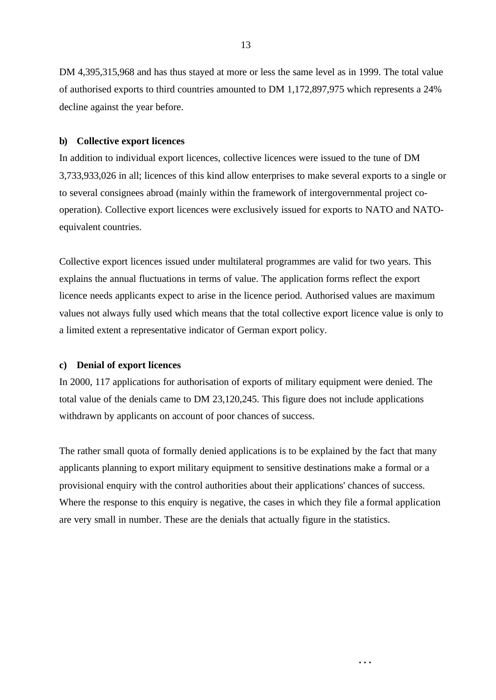DM 4,395,315,968 and has thus stayed at more or less the same level as in 1999. The total value of authorised exports to third countries amounted to DM 1,172,897,975 which represents a 24% decline against the year before.

#### **b) Collective export licences**

In addition to individual export licences, collective licences were issued to the tune of DM 3,733,933,026 in all; licences of this kind allow enterprises to make several exports to a single or to several consignees abroad (mainly within the framework of intergovernmental project cooperation). Collective export licences were exclusively issued for exports to NATO and NATOequivalent countries.

Collective export licences issued under multilateral programmes are valid for two years. This explains the annual fluctuations in terms of value. The application forms reflect the export licence needs applicants expect to arise in the licence period. Authorised values are maximum values not always fully used which means that the total collective export licence value is only to a limited extent a representative indicator of German export policy.

#### **c) Denial of export licences**

In 2000, 117 applications for authorisation of exports of military equipment were denied. The total value of the denials came to DM 23,120,245. This figure does not include applications withdrawn by applicants on account of poor chances of success.

The rather small quota of formally denied applications is to be explained by the fact that many applicants planning to export military equipment to sensitive destinations make a formal or a provisional enquiry with the control authorities about their applications' chances of success. Where the response to this enquiry is negative, the cases in which they file a formal application are very small in number. These are the denials that actually figure in the statistics.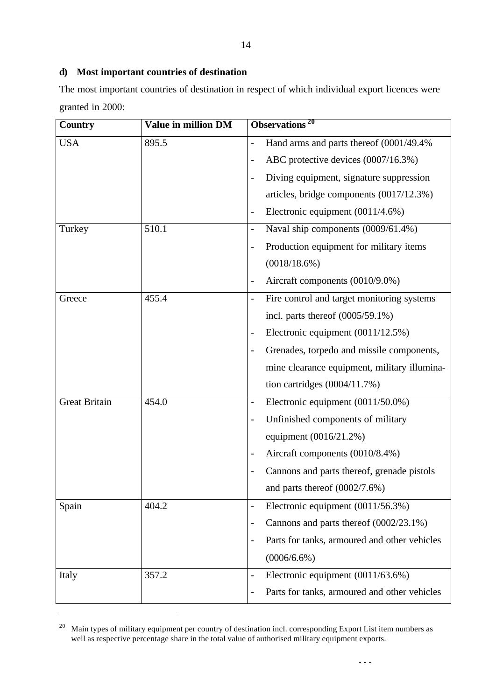# **d) Most important countries of destination**

The most important countries of destination in respect of which individual export licences were granted in 2000:

| <b>Country</b>       | Value in million DM | Observations <sup>20</sup>                                         |
|----------------------|---------------------|--------------------------------------------------------------------|
| <b>USA</b>           | 895.5               | Hand arms and parts thereof (0001/49.4%)                           |
|                      |                     | ABC protective devices (0007/16.3%)                                |
|                      |                     | Diving equipment, signature suppression                            |
|                      |                     | articles, bridge components (0017/12.3%)                           |
|                      |                     | Electronic equipment (0011/4.6%)                                   |
| Turkey               | 510.1               | Naval ship components (0009/61.4%)<br>$\overline{a}$               |
|                      |                     | Production equipment for military items                            |
|                      |                     | $(0018/18.6\%)$                                                    |
|                      |                     | Aircraft components (0010/9.0%)                                    |
| Greece               | 455.4               | Fire control and target monitoring systems                         |
|                      |                     | incl. parts thereof $(0005/59.1\%)$                                |
|                      |                     | Electronic equipment (0011/12.5%)                                  |
|                      |                     | Grenades, torpedo and missile components,                          |
|                      |                     | mine clearance equipment, military illumina-                       |
|                      |                     | tion cartridges $(0004/11.7%)$                                     |
| <b>Great Britain</b> | 454.0               | Electronic equipment $(0011/50.0\%)$                               |
|                      |                     | Unfinished components of military                                  |
|                      |                     | equipment (0016/21.2%)                                             |
|                      |                     | Aircraft components (0010/8.4%)                                    |
|                      |                     | Cannons and parts thereof, grenade pistols                         |
|                      |                     | and parts thereof $(0002/7.6%)$                                    |
| Spain                | 404.2               | Electronic equipment (0011/56.3%)<br>$\overline{\phantom{0}}$      |
|                      |                     | Cannons and parts thereof (0002/23.1%)<br>$\overline{\phantom{0}}$ |
|                      |                     | Parts for tanks, armoured and other vehicles                       |
|                      |                     | $(0006/6.6\%)$                                                     |
| Italy                | 357.2               | Electronic equipment (0011/63.6%)                                  |
|                      |                     | Parts for tanks, armoured and other vehicles                       |

<sup>&</sup>lt;sup>20</sup> Main types of military equipment per country of destination incl. corresponding Export List item numbers as well as respective percentage share in the total value of authorised military equipment exports.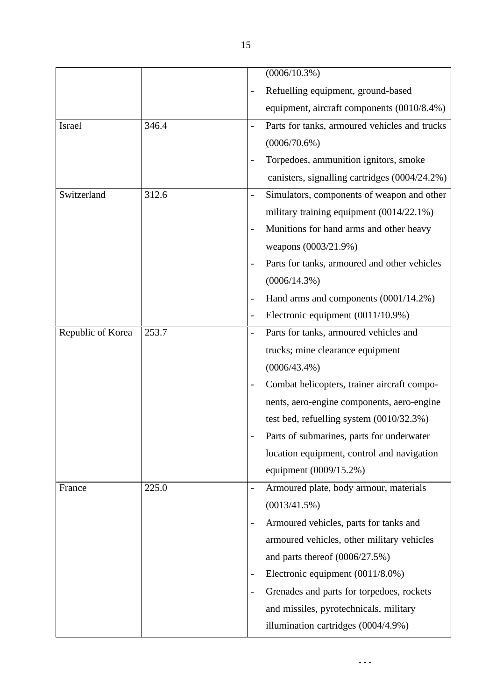|                   |       |               | $(0006/10.3\%)$                               |
|-------------------|-------|---------------|-----------------------------------------------|
|                   |       |               | Refuelling equipment, ground-based            |
|                   |       |               | equipment, aircraft components (0010/8.4%)    |
| Israel            | 346.4 |               | Parts for tanks, armoured vehicles and trucks |
|                   |       |               | $(0006/70.6\%)$                               |
|                   |       |               | Torpedoes, ammunition ignitors, smoke         |
|                   |       |               | canisters, signalling cartridges (0004/24.2%) |
| Switzerland       | 312.6 |               | Simulators, components of weapon and other    |
|                   |       |               | military training equipment (0014/22.1%)      |
|                   |       |               | Munitions for hand arms and other heavy       |
|                   |       |               | weapons (0003/21.9%)                          |
|                   |       |               | Parts for tanks, armoured and other vehicles  |
|                   |       |               | $(0006/14.3\%)$                               |
|                   |       |               | Hand arms and components (0001/14.2%)         |
|                   |       |               | Electronic equipment (0011/10.9%)             |
| Republic of Korea | 253.7 |               | Parts for tanks, armoured vehicles and        |
|                   |       |               | trucks; mine clearance equipment              |
|                   |       |               | $(0006/43.4\%)$                               |
|                   |       |               | Combat helicopters, trainer aircraft compo-   |
|                   |       |               | nents, aero-engine components, aero-engine    |
|                   |       |               | test bed, refuelling system $(0010/32.3%)$    |
|                   |       |               | Parts of submarines, parts for underwater     |
|                   |       |               | location equipment, control and navigation    |
|                   |       |               | equipment (0009/15.2%)                        |
| France            | 225.0 | $\frac{1}{2}$ | Armoured plate, body armour, materials        |
|                   |       |               | $(0013/41.5\%)$                               |
|                   |       |               | Armoured vehicles, parts for tanks and        |
|                   |       |               | armoured vehicles, other military vehicles    |
|                   |       |               | and parts thereof $(0006/27.5%)$              |
|                   |       |               | Electronic equipment (0011/8.0%)              |
|                   |       |               | Grenades and parts for torpedoes, rockets     |
|                   |       |               | and missiles, pyrotechnicals, military        |
|                   |       |               | illumination cartridges (0004/4.9%)           |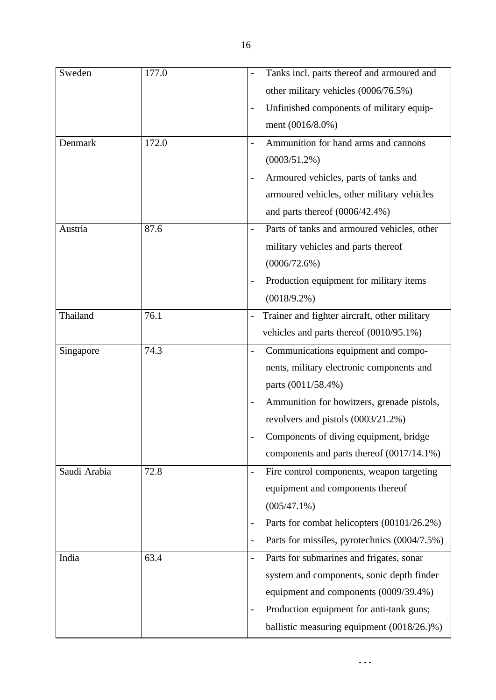| Sweden       | 177.0 | Tanks incl. parts thereof and armoured and   |
|--------------|-------|----------------------------------------------|
|              |       | other military vehicles (0006/76.5%)         |
|              |       | Unfinished components of military equip-     |
|              |       | ment (0016/8.0%)                             |
| Denmark      | 172.0 | Ammunition for hand arms and cannons         |
|              |       | $(0003/51.2\%)$                              |
|              |       | Armoured vehicles, parts of tanks and        |
|              |       | armoured vehicles, other military vehicles   |
|              |       | and parts thereof (0006/42.4%)               |
| Austria      | 87.6  | Parts of tanks and armoured vehicles, other  |
|              |       | military vehicles and parts thereof          |
|              |       | (0006/72.6%)                                 |
|              |       | Production equipment for military items      |
|              |       | $(0018/9.2\%)$                               |
| Thailand     | 76.1  | Trainer and fighter aircraft, other military |
|              |       | vehicles and parts thereof (0010/95.1%)      |
| Singapore    | 74.3  | Communications equipment and compo-          |
|              |       | nents, military electronic components and    |
|              |       | parts (0011/58.4%)                           |
|              |       | Ammunition for howitzers, grenade pistols,   |
|              |       | revolvers and pistols (0003/21.2%)           |
|              |       | Components of diving equipment, bridge       |
|              |       | components and parts thereof (0017/14.1%)    |
| Saudi Arabia | 72.8  | Fire control components, weapon targeting    |
|              |       | equipment and components thereof             |
|              |       | $(005/47.1\%)$                               |
|              |       | Parts for combat helicopters (00101/26.2%)   |
|              |       | Parts for missiles, pyrotechnics (0004/7.5%) |
| India        | 63.4  | Parts for submarines and frigates, sonar     |
|              |       | system and components, sonic depth finder    |
|              |       | equipment and components (0009/39.4%)        |
|              |       | Production equipment for anti-tank guns;     |
|              |       | ballistic measuring equipment (0018/26.)%)   |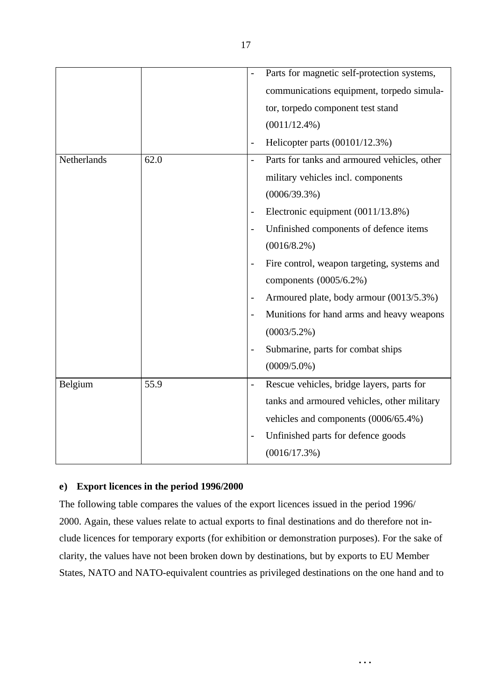|             |      |                | Parts for magnetic self-protection systems,  |
|-------------|------|----------------|----------------------------------------------|
|             |      |                | communications equipment, torpedo simula-    |
|             |      |                | tor, torpedo component test stand            |
|             |      |                | $(0011/12.4\%)$                              |
|             |      |                | Helicopter parts (00101/12.3%)               |
| Netherlands | 62.0 |                | Parts for tanks and armoured vehicles, other |
|             |      |                | military vehicles incl. components           |
|             |      |                | $(0006/39.3\%)$                              |
|             |      |                | Electronic equipment (0011/13.8%)            |
|             |      |                | Unfinished components of defence items       |
|             |      |                | $(0016/8.2\%)$                               |
|             |      |                | Fire control, weapon targeting, systems and  |
|             |      |                | components (0005/6.2%)                       |
|             |      |                | Armoured plate, body armour (0013/5.3%)      |
|             |      |                | Munitions for hand arms and heavy weapons    |
|             |      |                | $(0003/5.2\%)$                               |
|             |      |                | Submarine, parts for combat ships            |
|             |      |                | $(0009/5.0\%)$                               |
| Belgium     | 55.9 | $\overline{a}$ | Rescue vehicles, bridge layers, parts for    |
|             |      |                | tanks and armoured vehicles, other military  |
|             |      |                | vehicles and components (0006/65.4%)         |
|             |      |                | Unfinished parts for defence goods           |
|             |      |                | (0016/17.3%)                                 |

# **e) Export licences in the period 1996/2000**

The following table compares the values of the export licences issued in the period 1996/ 2000. Again, these values relate to actual exports to final destinations and do therefore not include licences for temporary exports (for exhibition or demonstration purposes). For the sake of clarity, the values have not been broken down by destinations, but by exports to EU Member States, NATO and NATO-equivalent countries as privileged destinations on the one hand and to

**. . .**

17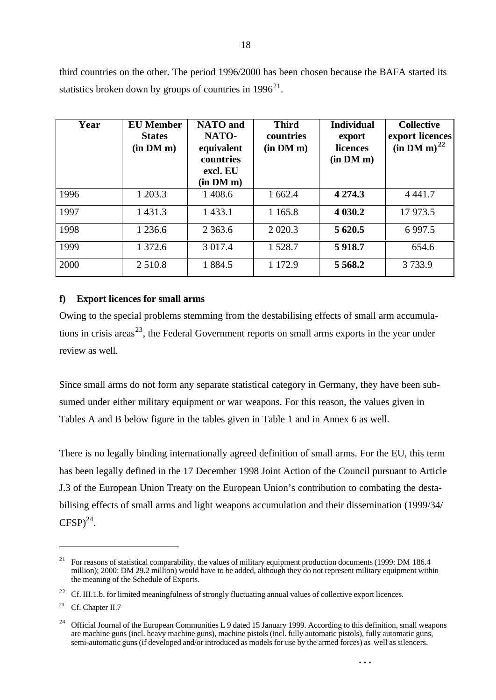third countries on the other. The period 1996/2000 has been chosen because the BAFA started its statistics broken down by groups of countries in  $1996^{21}$ .

| Year | <b>EU</b> Member<br><b>States</b><br>(in DM m) | <b>NATO</b> and<br>NATO-<br>equivalent<br>countries<br>excl. EU<br>(in DM m) | <b>Third</b><br>countries<br>(in DM m) | <b>Individual</b><br>export<br>licences<br>(in DM m) | <b>Collective</b><br>export licences<br>(in DM m) <sup>22</sup> |
|------|------------------------------------------------|------------------------------------------------------------------------------|----------------------------------------|------------------------------------------------------|-----------------------------------------------------------------|
| 1996 | 1 203.3                                        | 1 408.6                                                                      | 1 662.4                                | 4 2 7 4 .3                                           | 4 4 4 1 .7                                                      |
| 1997 | 1 4 3 1 . 3                                    | 1 4 3 3.1                                                                    | 1 1 65.8                               | 4 0 3 0.2                                            | 17 973.5                                                        |
| 1998 | 1 2 3 6 . 6                                    | 2 3 6 3 . 6                                                                  | 2 0 2 0 .3                             | 5 620.5                                              | 6 9 97.5                                                        |
| 1999 | 1 372.6                                        | 3 0 1 7.4                                                                    | 1 5 28.7                               | 5918.7                                               | 654.6                                                           |
| 2000 | 2 5 1 0.8                                      | 1884.5                                                                       | 1 1 7 2.9                              | 5 5 68.2                                             | 3733.9                                                          |

#### **f) Export licences for small arms**

Owing to the special problems stemming from the destabilising effects of small arm accumulations in crisis areas<sup>23</sup>, the Federal Government reports on small arms exports in the year under review as well.

Since small arms do not form any separate statistical category in Germany, they have been subsumed under either military equipment or war weapons. For this reason, the values given in Tables A and B below figure in the tables given in Table 1 and in Annex 6 as well.

There is no legally binding internationally agreed definition of small arms. For the EU, this term has been legally defined in the 17 December 1998 Joint Action of the Council pursuant to Article J.3 of the European Union Treaty on the European Union's contribution to combating the destabilising effects of small arms and light weapons accumulation and their dissemination (1999/34/  $CFSP)^{24}$ .

<sup>&</sup>lt;sup>21</sup> For reasons of statistical comparability, the values of military equipment production documents (1999: DM 186.4) million); 2000: DM 29.2 million) would have to be added, although they do not represent military equipment within the meaning of the Schedule of Exports.

<sup>&</sup>lt;sup>22</sup> Cf. III.1.b. for limited meaningfulness of strongly fluctuating annual values of collective export licences.

<sup>&</sup>lt;sup>23</sup> Cf. Chapter II.7

<sup>&</sup>lt;sup>24</sup> Official Journal of the European Communities L 9 dated 15 January 1999. According to this definition, small weapons are machine guns (incl. heavy machine guns), machine pistols (incl. fully automatic pistols), fully automatic guns, semi-automatic guns (if developed and/or introduced as models for use by the armed forces) as well as silencers.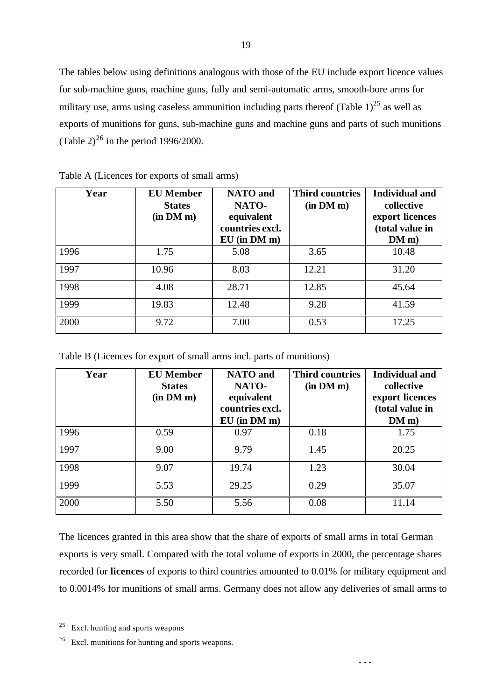The tables below using definitions analogous with those of the EU include export licence values for sub-machine guns, machine guns, fully and semi-automatic arms, smooth-bore arms for military use, arms using caseless ammunition including parts thereof (Table  $1$ )<sup>25</sup> as well as exports of munitions for guns, sub-machine guns and machine guns and parts of such munitions (Table 2)<sup>26</sup> in the period 1996/2000.

| Year | <b>EU</b> Member<br><b>States</b><br>(in DM m) | <b>NATO</b> and<br>NATO-<br>equivalent<br>countries excl.<br>$EU$ (in $DM$ m) | <b>Third countries</b><br>(in DM m) | <b>Individual and</b><br>collective<br>export licences<br>(total value in<br>DM m) |
|------|------------------------------------------------|-------------------------------------------------------------------------------|-------------------------------------|------------------------------------------------------------------------------------|
| 1996 | 1.75                                           | 5.08                                                                          | 3.65                                | 10.48                                                                              |
| 1997 | 10.96                                          | 8.03                                                                          | 12.21                               | 31.20                                                                              |
| 1998 | 4.08                                           | 28.71                                                                         | 12.85                               | 45.64                                                                              |
| 1999 | 19.83                                          | 12.48                                                                         | 9.28                                | 41.59                                                                              |
| 2000 | 9.72                                           | 7.00                                                                          | 0.53                                | 17.25                                                                              |

|  | Table A (Licences for exports of small arms) |  |  |  |  |
|--|----------------------------------------------|--|--|--|--|
|--|----------------------------------------------|--|--|--|--|

Table B (Licences for export of small arms incl. parts of munitions)

| Year | <b>EU</b> Member<br><b>States</b><br>(in DM m) | <b>NATO</b> and<br>NATO-<br>equivalent<br>countries excl.<br>$EU$ (in $DM$ m) | <b>Third countries</b><br>(in DM m) | <b>Individual and</b><br>collective<br>export licences<br>(total value in<br>DMm) |
|------|------------------------------------------------|-------------------------------------------------------------------------------|-------------------------------------|-----------------------------------------------------------------------------------|
| 1996 | 0.59                                           | 0.97                                                                          | 0.18                                | 1.75                                                                              |
| 1997 | 9.00                                           | 9.79                                                                          | 1.45                                | 20.25                                                                             |
| 1998 | 9.07                                           | 19.74                                                                         | 1.23                                | 30.04                                                                             |
| 1999 | 5.53                                           | 29.25                                                                         | 0.29                                | 35.07                                                                             |
| 2000 | 5.50                                           | 5.56                                                                          | 0.08                                | 11.14                                                                             |

The licences granted in this area show that the share of exports of small arms in total German exports is very small. Compared with the total volume of exports in 2000, the percentage shares recorded for **licences** of exports to third countries amounted to 0.01% for military equipment and to 0.0014% for munitions of small arms. Germany does not allow any deliveries of small arms to

**. . .**

 $25$  Excl. hunting and sports weapons

<sup>&</sup>lt;sup>26</sup> Excl. munitions for hunting and sports weapons.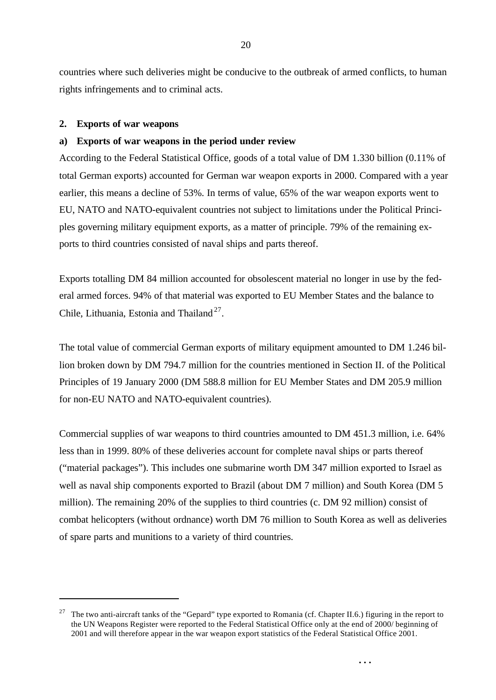countries where such deliveries might be conducive to the outbreak of armed conflicts, to human rights infringements and to criminal acts.

#### **2. Exports of war weapons**

l

#### **a) Exports of war weapons in the period under review**

According to the Federal Statistical Office, goods of a total value of DM 1.330 billion (0.11% of total German exports) accounted for German war weapon exports in 2000. Compared with a year earlier, this means a decline of 53%. In terms of value, 65% of the war weapon exports went to EU, NATO and NATO-equivalent countries not subject to limitations under the Political Principles governing military equipment exports, as a matter of principle. 79% of the remaining exports to third countries consisted of naval ships and parts thereof.

Exports totalling DM 84 million accounted for obsolescent material no longer in use by the federal armed forces. 94% of that material was exported to EU Member States and the balance to Chile, Lithuania, Estonia and Thailand<sup>27</sup>.

The total value of commercial German exports of military equipment amounted to DM 1.246 billion broken down by DM 794.7 million for the countries mentioned in Section II. of the Political Principles of 19 January 2000 (DM 588.8 million for EU Member States and DM 205.9 million for non-EU NATO and NATO-equivalent countries).

Commercial supplies of war weapons to third countries amounted to DM 451.3 million, i.e. 64% less than in 1999. 80% of these deliveries account for complete naval ships or parts thereof ("material packages"). This includes one submarine worth DM 347 million exported to Israel as well as naval ship components exported to Brazil (about DM 7 million) and South Korea (DM 5 million). The remaining 20% of the supplies to third countries (c. DM 92 million) consist of combat helicopters (without ordnance) worth DM 76 million to South Korea as well as deliveries of spare parts and munitions to a variety of third countries.

<sup>&</sup>lt;sup>27</sup> The two anti-aircraft tanks of the "Gepard" type exported to Romania (cf. Chapter II.6.) figuring in the report to the UN Weapons Register were reported to the Federal Statistical Office only at the end of 2000/ beginning of 2001 and will therefore appear in the war weapon export statistics of the Federal Statistical Office 2001.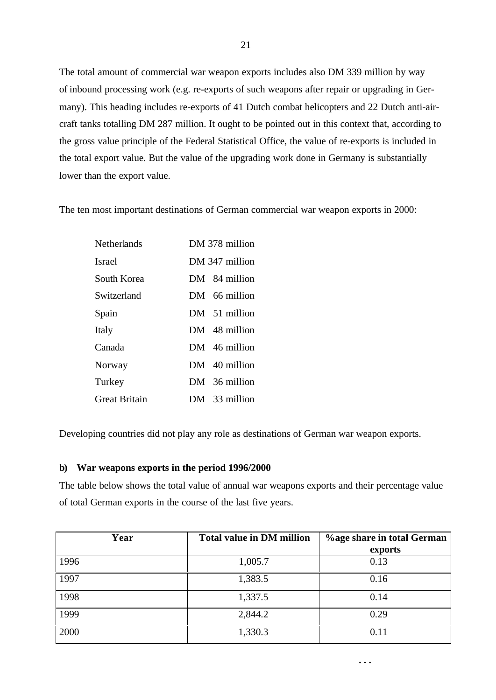The total amount of commercial war weapon exports includes also DM 339 million by way of inbound processing work (e.g. re-exports of such weapons after repair or upgrading in Germany). This heading includes re-exports of 41 Dutch combat helicopters and 22 Dutch anti-aircraft tanks totalling DM 287 million. It ought to be pointed out in this context that, according to the gross value principle of the Federal Statistical Office, the value of re-exports is included in the total export value. But the value of the upgrading work done in Germany is substantially lower than the export value.

The ten most important destinations of German commercial war weapon exports in 2000:

| <b>Netherlands</b>   | DM 378 million |
|----------------------|----------------|
| <b>Israel</b>        | DM 347 million |
| South Korea          | DM 84 million  |
| Switzerland          | DM 66 million  |
| Spain                | DM 51 million  |
| Italy                | DM 48 million  |
| Canada               | DM 46 million  |
| Norway               | DM 40 million  |
| Turkey               | DM 36 million  |
| <b>Great Britain</b> | DM 33 million  |

Developing countries did not play any role as destinations of German war weapon exports.

# **b) War weapons exports in the period 1996/2000**

The table below shows the total value of annual war weapons exports and their percentage value of total German exports in the course of the last five years.

| Year | <b>Total value in DM million</b> | <b>%age share in total German</b> |
|------|----------------------------------|-----------------------------------|
|      |                                  | exports                           |
| 1996 | 1,005.7                          | 0.13                              |
| 1997 | 1,383.5                          | 0.16                              |
| 1998 | 1,337.5                          | 0.14                              |
| 1999 | 2,844.2                          | 0.29                              |
| 2000 | 1,330.3                          | 0.11                              |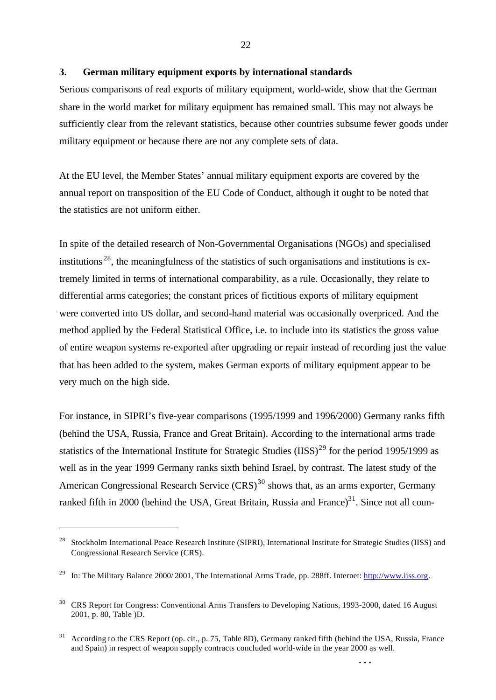#### **3. German military equipment exports by international standards**

Serious comparisons of real exports of military equipment, world-wide, show that the German share in the world market for military equipment has remained small. This may not always be sufficiently clear from the relevant statistics, because other countries subsume fewer goods under military equipment or because there are not any complete sets of data.

At the EU level, the Member States' annual military equipment exports are covered by the annual report on transposition of the EU Code of Conduct, although it ought to be noted that the statistics are not uniform either.

In spite of the detailed research of Non-Governmental Organisations (NGOs) and specialised institutions  $28$ , the meaningfulness of the statistics of such organisations and institutions is extremely limited in terms of international comparability, as a rule. Occasionally, they relate to differential arms categories; the constant prices of fictitious exports of military equipment were converted into US dollar, and second-hand material was occasionally overpriced. And the method applied by the Federal Statistical Office, i.e. to include into its statistics the gross value of entire weapon systems re-exported after upgrading or repair instead of recording just the value that has been added to the system, makes German exports of military equipment appear to be very much on the high side.

For instance, in SIPRI's five-year comparisons (1995/1999 and 1996/2000) Germany ranks fifth (behind the USA, Russia, France and Great Britain). According to the international arms trade statistics of the International Institute for Strategic Studies (IISS)<sup>29</sup> for the period 1995/1999 as well as in the year 1999 Germany ranks sixth behind Israel, by contrast. The latest study of the American Congressional Research Service  $(CRS)^{30}$  shows that, as an arms exporter, Germany ranked fifth in 2000 (behind the USA, Great Britain, Russia and France)<sup>31</sup>. Since not all coun-

l

<sup>&</sup>lt;sup>28</sup> Stockholm International Peace Research Institute (SIPRI), International Institute for Strategic Studies (IISS) and Congressional Research Service (CRS).

<sup>&</sup>lt;sup>29</sup> In: The Military Balance 2000/2001, The International Arms Trade, pp. 288ff. Internet:  $\frac{http://www.iiss.org}{http://www.iiss.org}$ .

<sup>&</sup>lt;sup>30</sup> CRS Report for Congress: Conventional Arms Transfers to Developing Nations, 1993-2000, dated 16 August 2001, p. 80, Table )D.

<sup>&</sup>lt;sup>31</sup> According to the CRS Report (op. cit., p. 75, Table 8D), Germany ranked fifth (behind the USA, Russia, France and Spain) in respect of weapon supply contracts concluded world-wide in the year 2000 as well.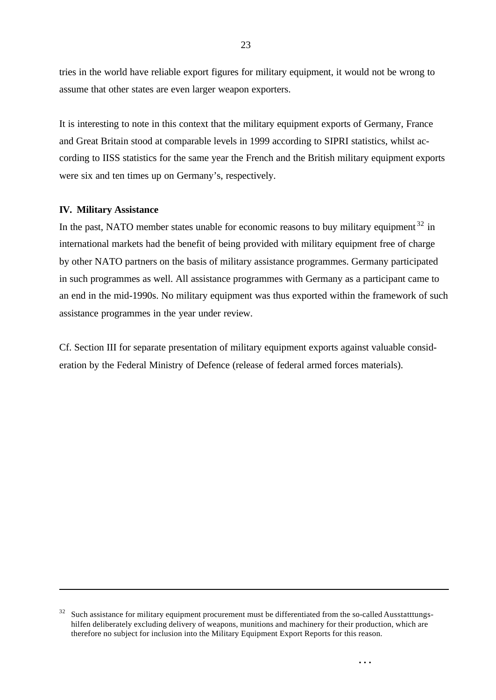tries in the world have reliable export figures for military equipment, it would not be wrong to assume that other states are even larger weapon exporters.

It is interesting to note in this context that the military equipment exports of Germany, France and Great Britain stood at comparable levels in 1999 according to SIPRI statistics, whilst according to IISS statistics for the same year the French and the British military equipment exports were six and ten times up on Germany's, respectively.

#### **IV. Military Assistance**

l

In the past, NATO member states unable for economic reasons to buy military equipment  $32$  in international markets had the benefit of being provided with military equipment free of charge by other NATO partners on the basis of military assistance programmes. Germany participated in such programmes as well. All assistance programmes with Germany as a participant came to an end in the mid-1990s. No military equipment was thus exported within the framework of such assistance programmes in the year under review.

Cf. Section III for separate presentation of military equipment exports against valuable consideration by the Federal Ministry of Defence (release of federal armed forces materials).

 $32$  Such assistance for military equipment procurement must be differentiated from the so-called Ausstatttungshilfen deliberately excluding delivery of weapons, munitions and machinery for their production, which are therefore no subject for inclusion into the Military Equipment Export Reports for this reason.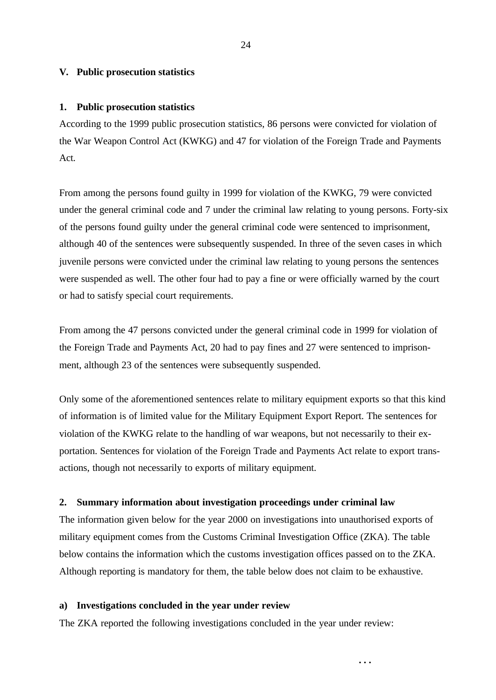#### **V. Public prosecution statistics**

#### **1. Public prosecution statistics**

According to the 1999 public prosecution statistics, 86 persons were convicted for violation of the War Weapon Control Act (KWKG) and 47 for violation of the Foreign Trade and Payments Act.

From among the persons found guilty in 1999 for violation of the KWKG, 79 were convicted under the general criminal code and 7 under the criminal law relating to young persons. Forty-six of the persons found guilty under the general criminal code were sentenced to imprisonment, although 40 of the sentences were subsequently suspended. In three of the seven cases in which juvenile persons were convicted under the criminal law relating to young persons the sentences were suspended as well. The other four had to pay a fine or were officially warned by the court or had to satisfy special court requirements.

From among the 47 persons convicted under the general criminal code in 1999 for violation of the Foreign Trade and Payments Act, 20 had to pay fines and 27 were sentenced to imprisonment, although 23 of the sentences were subsequently suspended.

Only some of the aforementioned sentences relate to military equipment exports so that this kind of information is of limited value for the Military Equipment Export Report. The sentences for violation of the KWKG relate to the handling of war weapons, but not necessarily to their exportation. Sentences for violation of the Foreign Trade and Payments Act relate to export transactions, though not necessarily to exports of military equipment.

#### **2. Summary information about investigation proceedings under criminal law**

The information given below for the year 2000 on investigations into unauthorised exports of military equipment comes from the Customs Criminal Investigation Office (ZKA). The table below contains the information which the customs investigation offices passed on to the ZKA. Although reporting is mandatory for them, the table below does not claim to be exhaustive.

**. . .**

#### **a) Investigations concluded in the year under review**

The ZKA reported the following investigations concluded in the year under review: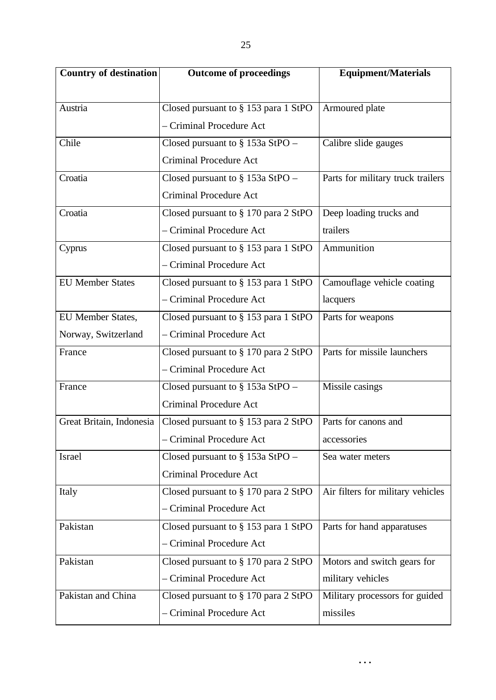| <b>Country of destination</b> | <b>Outcome of proceedings</b>           | <b>Equipment/Materials</b>        |  |
|-------------------------------|-----------------------------------------|-----------------------------------|--|
|                               |                                         |                                   |  |
| Austria                       | Closed pursuant to § 153 para 1 StPO    | Armoured plate                    |  |
|                               | - Criminal Procedure Act                |                                   |  |
| Chile                         | Closed pursuant to $\S$ 153a StPO –     | Calibre slide gauges              |  |
|                               | <b>Criminal Procedure Act</b>           |                                   |  |
| Croatia                       | Closed pursuant to $\S$ 153a StPO –     | Parts for military truck trailers |  |
|                               | <b>Criminal Procedure Act</b>           |                                   |  |
| Croatia                       | Closed pursuant to § 170 para 2 StPO    | Deep loading trucks and           |  |
|                               | - Criminal Procedure Act                | trailers                          |  |
| Cyprus                        | Closed pursuant to § 153 para 1 StPO    | Ammunition                        |  |
|                               | - Criminal Procedure Act                |                                   |  |
| <b>EU Member States</b>       | Closed pursuant to § 153 para 1 StPO    | Camouflage vehicle coating        |  |
|                               | - Criminal Procedure Act                | lacquers                          |  |
| EU Member States,             | Closed pursuant to § 153 para 1 StPO    | Parts for weapons                 |  |
| Norway, Switzerland           | - Criminal Procedure Act                |                                   |  |
| France                        | Closed pursuant to § 170 para 2 StPO    | Parts for missile launchers       |  |
|                               | - Criminal Procedure Act                |                                   |  |
| France                        | Closed pursuant to $\S$ 153a StPO –     | Missile casings                   |  |
|                               | <b>Criminal Procedure Act</b>           |                                   |  |
| Great Britain, Indonesia      | Closed pursuant to $\S$ 153 para 2 StPO | Parts for canons and              |  |
|                               | - Criminal Procedure Act                | accessories                       |  |
| Israel                        | Closed pursuant to $\S$ 153a StPO –     | Sea water meters                  |  |
|                               | <b>Criminal Procedure Act</b>           |                                   |  |
| Italy                         | Closed pursuant to § 170 para 2 StPO    | Air filters for military vehicles |  |
|                               | - Criminal Procedure Act                |                                   |  |
| Pakistan                      | Closed pursuant to $\S$ 153 para 1 StPO | Parts for hand apparatuses        |  |
|                               | - Criminal Procedure Act                |                                   |  |
| Pakistan                      | Closed pursuant to § 170 para 2 StPO    | Motors and switch gears for       |  |
|                               | - Criminal Procedure Act                | military vehicles                 |  |
| Pakistan and China            | Closed pursuant to § 170 para 2 StPO    | Military processors for guided    |  |
|                               | - Criminal Procedure Act                | missiles                          |  |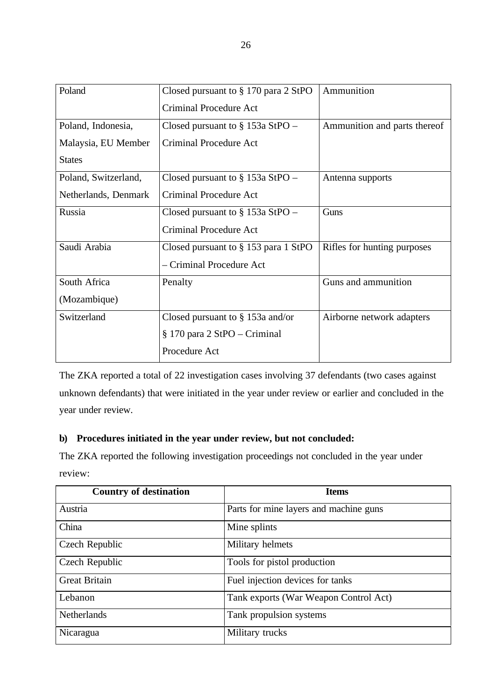| Poland               | Closed pursuant to $\S 170$ para 2 StPO | Ammunition                   |
|----------------------|-----------------------------------------|------------------------------|
|                      | <b>Criminal Procedure Act</b>           |                              |
| Poland, Indonesia,   | Closed pursuant to $\S$ 153a StPO –     | Ammunition and parts thereof |
| Malaysia, EU Member  | <b>Criminal Procedure Act</b>           |                              |
| <b>States</b>        |                                         |                              |
| Poland, Switzerland, | Closed pursuant to $\S$ 153a StPO –     | Antenna supports             |
| Netherlands, Denmark | <b>Criminal Procedure Act</b>           |                              |
| Russia               | Closed pursuant to $\S$ 153a StPO –     | Guns                         |
|                      | Criminal Procedure Act                  |                              |
| Saudi Arabia         | Closed pursuant to $\S$ 153 para 1 StPO | Rifles for hunting purposes  |
|                      | - Criminal Procedure Act                |                              |
| South Africa         | Penalty                                 | Guns and ammunition          |
| (Mozambique)         |                                         |                              |
| Switzerland          | Closed pursuant to $\S$ 153a and/or     | Airborne network adapters    |
|                      | § 170 para 2 StPO – Criminal            |                              |
|                      | Procedure Act                           |                              |

The ZKA reported a total of 22 investigation cases involving 37 defendants (two cases against unknown defendants) that were initiated in the year under review or earlier and concluded in the year under review.

# **b) Procedures initiated in the year under review, but not concluded:**

The ZKA reported the following investigation proceedings not concluded in the year under review:

| <b>Country of destination</b> | <b>Items</b>                           |
|-------------------------------|----------------------------------------|
| Austria                       | Parts for mine layers and machine guns |
| China                         | Mine splints                           |
| Czech Republic                | Military helmets                       |
| Czech Republic                | Tools for pistol production            |
| <b>Great Britain</b>          | Fuel injection devices for tanks       |
| Lebanon                       | Tank exports (War Weapon Control Act)  |
| <b>Netherlands</b>            | Tank propulsion systems                |
| Nicaragua                     | Military trucks                        |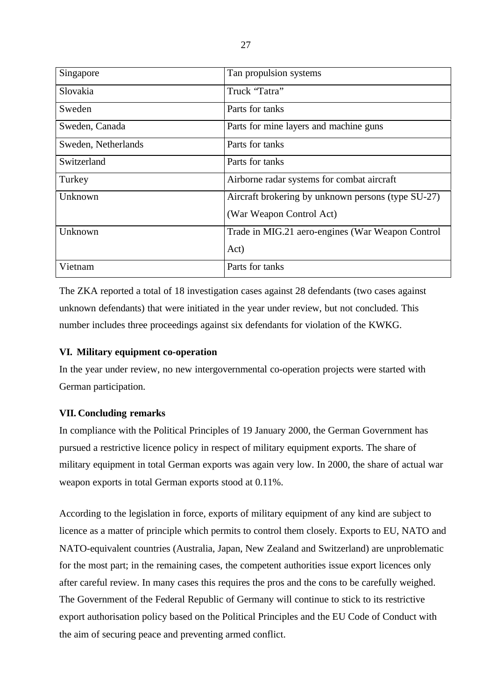| Singapore           | Tan propulsion systems                             |
|---------------------|----------------------------------------------------|
| Slovakia            | Truck "Tatra"                                      |
| Sweden              | Parts for tanks                                    |
| Sweden, Canada      | Parts for mine layers and machine guns             |
| Sweden, Netherlands | Parts for tanks                                    |
| Switzerland         | Parts for tanks                                    |
| Turkey              | Airborne radar systems for combat aircraft         |
| Unknown             | Aircraft brokering by unknown persons (type SU-27) |
|                     | (War Weapon Control Act)                           |
| Unknown             | Trade in MIG.21 aero-engines (War Weapon Control   |
|                     | Act)                                               |
| Vietnam             | Parts for tanks                                    |

The ZKA reported a total of 18 investigation cases against 28 defendants (two cases against unknown defendants) that were initiated in the year under review, but not concluded. This number includes three proceedings against six defendants for violation of the KWKG.

# **VI. Military equipment co-operation**

In the year under review, no new intergovernmental co-operation projects were started with German participation.

# **VII. Concluding remarks**

In compliance with the Political Principles of 19 January 2000, the German Government has pursued a restrictive licence policy in respect of military equipment exports. The share of military equipment in total German exports was again very low. In 2000, the share of actual war weapon exports in total German exports stood at 0.11%.

According to the legislation in force, exports of military equipment of any kind are subject to licence as a matter of principle which permits to control them closely. Exports to EU, NATO and NATO-equivalent countries (Australia, Japan, New Zealand and Switzerland) are unproblematic for the most part; in the remaining cases, the competent authorities issue export licences only after careful review. In many cases this requires the pros and the cons to be carefully weighed. The Government of the Federal Republic of Germany will continue to stick to its restrictive export authorisation policy based on the Political Principles and the EU Code of Conduct with the aim of securing peace and preventing armed conflict.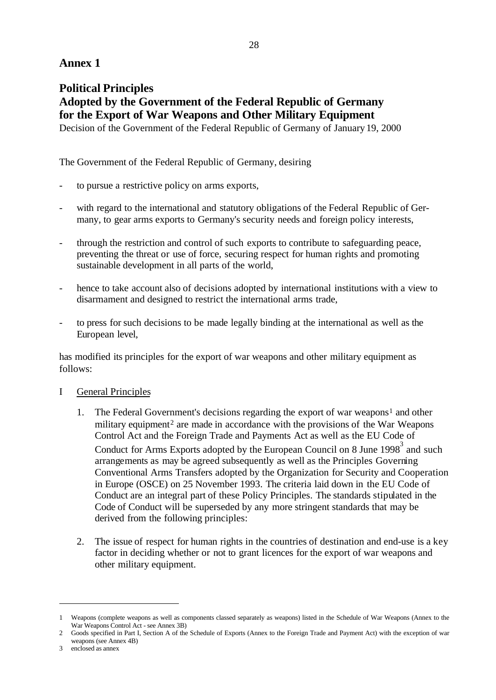# **Annex 1**

# **Political Principles Adopted by the Government of the Federal Republic of Germany for the Export of War Weapons and Other Military Equipment**

Decision of the Government of the Federal Republic of Germany of January 19, 2000

The Government of the Federal Republic of Germany, desiring

- to pursue a restrictive policy on arms exports,
- with regard to the international and statutory obligations of the Federal Republic of Germany, to gear arms exports to Germany's security needs and foreign policy interests,
- through the restriction and control of such exports to contribute to safeguarding peace, preventing the threat or use of force, securing respect for human rights and promoting sustainable development in all parts of the world,
- hence to take account also of decisions adopted by international institutions with a view to disarmament and designed to restrict the international arms trade,
- to press for such decisions to be made legally binding at the international as well as the European level,

has modified its principles for the export of war weapons and other military equipment as follows:

# I General Principles

- 1. The Federal Government's decisions regarding the export of war weapons<sup>1</sup> and other military equipment<sup>2</sup> are made in accordance with the provisions of the War Weapons Control Act and the Foreign Trade and Payments Act as well as the EU Code of Conduct for Arms Exports adopted by the European Council on 8 June 1998<sup>3</sup> and such arrangements as may be agreed subsequently as well as the Principles Governing Conventional Arms Transfers adopted by the Organization for Security and Cooperation in Europe (OSCE) on 25 November 1993. The criteria laid down in the EU Code of Conduct are an integral part of these Policy Principles. The standards stipulated in the Code of Conduct will be superseded by any more stringent standards that may be derived from the following principles:
- 2. The issue of respect for human rights in the countries of destination and end-use is a key factor in deciding whether or not to grant licences for the export of war weapons and other military equipment.

<sup>1</sup> Weapons (complete weapons as well as components classed separately as weapons) listed in the Schedule of War Weapons (Annex to the War Weapons Control Act - see Annex 3B)

<sup>2</sup> Goods specified in Part I, Section A of the Schedule of Exports (Annex to the Foreign Trade and Payment Act) with the exception of war weapons (see Annex 4B)

<sup>3</sup> enclosed as annex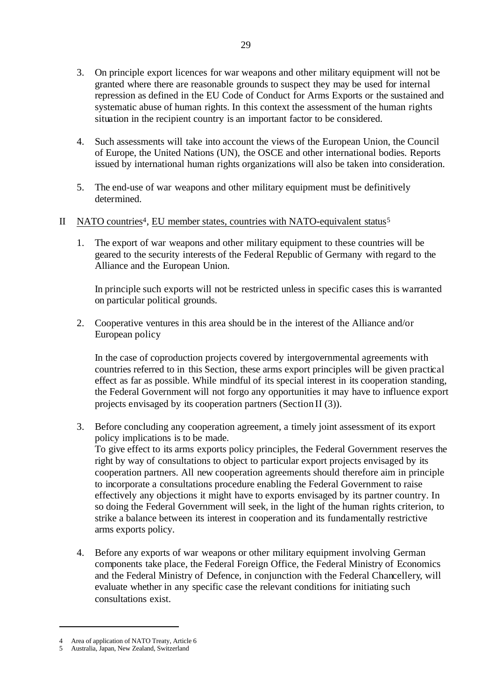- 3. On principle export licences for war weapons and other military equipment will not be granted where there are reasonable grounds to suspect they may be used for internal repression as defined in the EU Code of Conduct for Arms Exports or the sustained and systematic abuse of human rights. In this context the assessment of the human rights situation in the recipient country is an important factor to be considered.
- 4. Such assessments will take into account the views of the European Union, the Council of Europe, the United Nations (UN), the OSCE and other international bodies. Reports issued by international human rights organizations will also be taken into consideration.
- 5. The end-use of war weapons and other military equipment must be definitively determined.

# II NATO countries<sup>4</sup>, EU member states, countries with NATO-equivalent status<sup>5</sup>

1. The export of war weapons and other military equipment to these countries will be geared to the security interests of the Federal Republic of Germany with regard to the Alliance and the European Union.

In principle such exports will not be restricted unless in specific cases this is warranted on particular political grounds.

2. Cooperative ventures in this area should be in the interest of the Alliance and/or European policy

In the case of coproduction projects covered by intergovernmental agreements with countries referred to in this Section, these arms export principles will be given practical effect as far as possible. While mindful of its special interest in its cooperation standing, the Federal Government will not forgo any opportunities it may have to influence export projects envisaged by its cooperation partners (Section II (3)).

3. Before concluding any cooperation agreement, a timely joint assessment of its export policy implications is to be made.

To give effect to its arms exports policy principles, the Federal Government reserves the right by way of consultations to object to particular export projects envisaged by its cooperation partners. All new cooperation agreements should therefore aim in principle to incorporate a consultations procedure enabling the Federal Government to raise effectively any objections it might have to exports envisaged by its partner country. In so doing the Federal Government will seek, in the light of the human rights criterion, to strike a balance between its interest in cooperation and its fundamentally restrictive arms exports policy.

4. Before any exports of war weapons or other military equipment involving German components take place, the Federal Foreign Office, the Federal Ministry of Economics and the Federal Ministry of Defence, in conjunction with the Federal Chancellery, will evaluate whether in any specific case the relevant conditions for initiating such consultations exist.

<sup>4</sup> Area of application of NATO Treaty, Article 6<br>5 Australia Japan, New Zealand, Switzerland

<sup>5</sup> Australia, Japan, New Zealand, Switzerland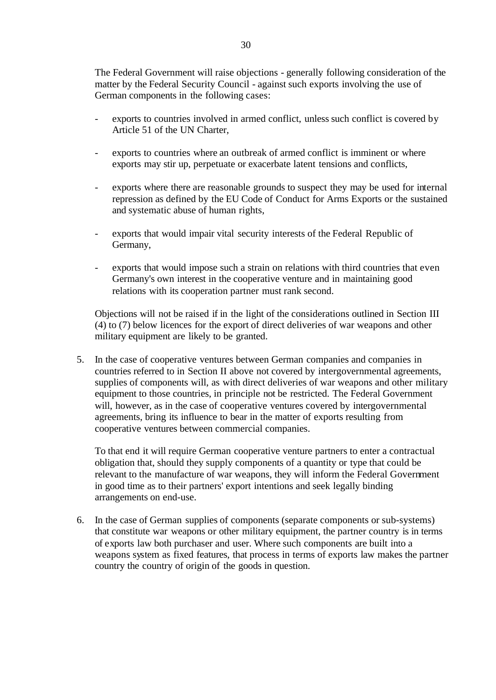The Federal Government will raise objections - generally following consideration of the matter by the Federal Security Council - against such exports involving the use of German components in the following cases:

- exports to countries involved in armed conflict, unless such conflict is covered by Article 51 of the UN Charter,
- exports to countries where an outbreak of armed conflict is imminent or where exports may stir up, perpetuate or exacerbate latent tensions and conflicts,
- exports where there are reasonable grounds to suspect they may be used for internal repression as defined by the EU Code of Conduct for Arms Exports or the sustained and systematic abuse of human rights,
- exports that would impair vital security interests of the Federal Republic of Germany,
- exports that would impose such a strain on relations with third countries that even Germany's own interest in the cooperative venture and in maintaining good relations with its cooperation partner must rank second.

Objections will not be raised if in the light of the considerations outlined in Section III (4) to (7) below licences for the export of direct deliveries of war weapons and other military equipment are likely to be granted.

5. In the case of cooperative ventures between German companies and companies in countries referred to in Section II above not covered by intergovernmental agreements, supplies of components will, as with direct deliveries of war weapons and other military equipment to those countries, in principle not be restricted. The Federal Government will, however, as in the case of cooperative ventures covered by intergovernmental agreements, bring its influence to bear in the matter of exports resulting from cooperative ventures between commercial companies.

To that end it will require German cooperative venture partners to enter a contractual obligation that, should they supply components of a quantity or type that could be relevant to the manufacture of war weapons, they will inform the Federal Government in good time as to their partners' export intentions and seek legally binding arrangements on end-use.

6. In the case of German supplies of components (separate components or sub-systems) that constitute war weapons or other military equipment, the partner country is in terms of exports law both purchaser and user. Where such components are built into a weapons system as fixed features, that process in terms of exports law makes the partner country the country of origin of the goods in question.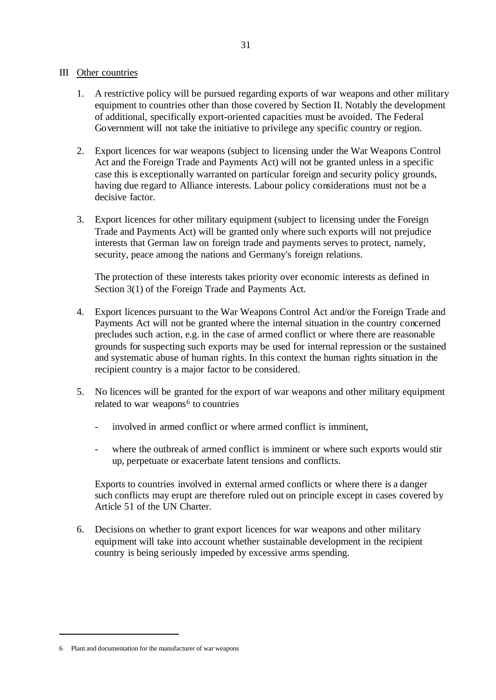## III Other countries

- 1. A restrictive policy will be pursued regarding exports of war weapons and other military equipment to countries other than those covered by Section II. Notably the development of additional, specifically export-oriented capacities must be avoided. The Federal Government will not take the initiative to privilege any specific country or region.
- 2. Export licences for war weapons (subject to licensing under the War Weapons Control Act and the Foreign Trade and Payments Act) will not be granted unless in a specific case this is exceptionally warranted on particular foreign and security policy grounds, having due regard to Alliance interests. Labour policy considerations must not be a decisive factor.
- 3. Export licences for other military equipment (subject to licensing under the Foreign Trade and Payments Act) will be granted only where such exports will not prejudice interests that German law on foreign trade and payments serves to protect, namely, security, peace among the nations and Germany's foreign relations.

The protection of these interests takes priority over economic interests as defined in Section 3(1) of the Foreign Trade and Payments Act.

- 4. Export licences pursuant to the War Weapons Control Act and/or the Foreign Trade and Payments Act will not be granted where the internal situation in the country concerned precludes such action, e.g. in the case of armed conflict or where there are reasonable grounds for suspecting such exports may be used for internal repression or the sustained and systematic abuse of human rights. In this context the human rights situation in the recipient country is a major factor to be considered.
- 5. No licences will be granted for the export of war weapons and other military equipment related to war weapons<sup>6</sup> to countries
	- involved in armed conflict or where armed conflict is imminent.
	- where the outbreak of armed conflict is imminent or where such exports would stir up, perpetuate or exacerbate latent tensions and conflicts.

Exports to countries involved in external armed conflicts or where there is a danger such conflicts may erupt are therefore ruled out on principle except in cases covered by Article 51 of the UN Charter.

6. Decisions on whether to grant export licences for war weapons and other military equipment will take into account whether sustainable development in the recipient country is being seriously impeded by excessive arms spending.

<sup>6</sup> Plant and documentation for the manufacturer of war weapons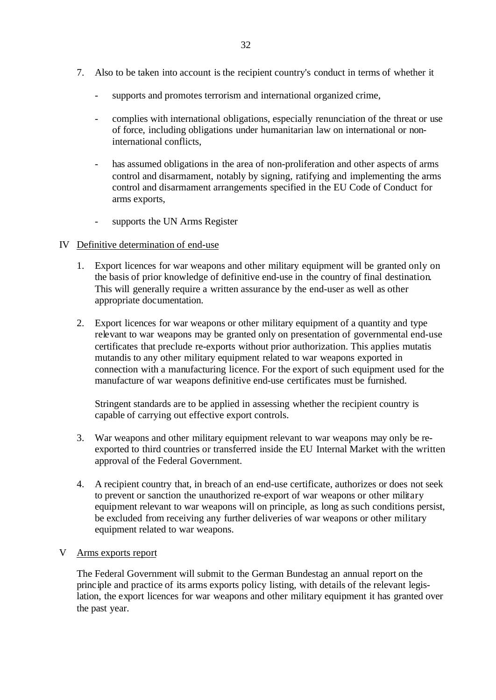- 7. Also to be taken into account is the recipient country's conduct in terms of whether it
	- supports and promotes terrorism and international organized crime,
	- complies with international obligations, especially renunciation of the threat or use of force, including obligations under humanitarian law on international or noninternational conflicts,
	- has assumed obligations in the area of non-proliferation and other aspects of arms control and disarmament, notably by signing, ratifying and implementing the arms control and disarmament arrangements specified in the EU Code of Conduct for arms exports,
	- supports the UN Arms Register

# IV Definitive determination of end-use

- 1. Export licences for war weapons and other military equipment will be granted only on the basis of prior knowledge of definitive end-use in the country of final destination. This will generally require a written assurance by the end-user as well as other appropriate documentation.
- 2. Export licences for war weapons or other military equipment of a quantity and type relevant to war weapons may be granted only on presentation of governmental end-use certificates that preclude re-exports without prior authorization. This applies mutatis mutandis to any other military equipment related to war weapons exported in connection with a manufacturing licence. For the export of such equipment used for the manufacture of war weapons definitive end-use certificates must be furnished.

Stringent standards are to be applied in assessing whether the recipient country is capable of carrying out effective export controls.

- 3. War weapons and other military equipment relevant to war weapons may only be reexported to third countries or transferred inside the EU Internal Market with the written approval of the Federal Government.
- 4. A recipient country that, in breach of an end-use certificate, authorizes or does not seek to prevent or sanction the unauthorized re-export of war weapons or other military equipment relevant to war weapons will on principle, as long as such conditions persist, be excluded from receiving any further deliveries of war weapons or other military equipment related to war weapons.

# V Arms exports report

The Federal Government will submit to the German Bundestag an annual report on the principle and practice of its arms exports policy listing, with details of the relevant legislation, the export licences for war weapons and other military equipment it has granted over the past year.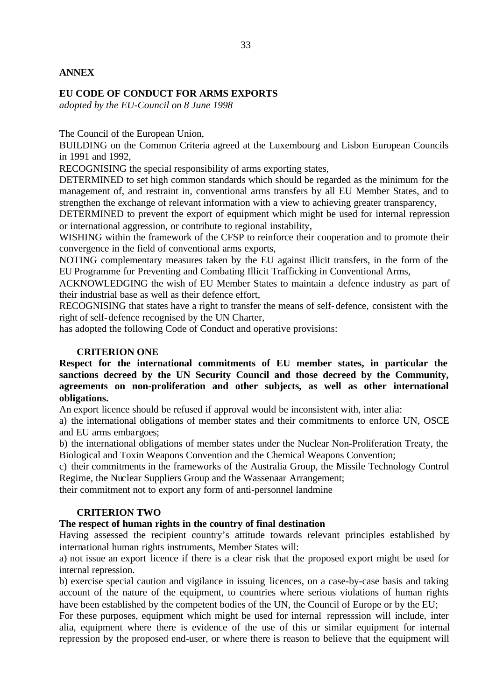#### **EU CODE OF CONDUCT FOR ARMS EXPORTS**

*adopted by the EU-Council on 8 June 1998*

The Council of the European Union,

BUILDING on the Common Criteria agreed at the Luxembourg and Lisbon European Councils in 1991 and 1992,

RECOGNISING the special responsibility of arms exporting states,

DETERMINED to set high common standards which should be regarded as the minimum for the management of, and restraint in, conventional arms transfers by all EU Member States, and to strengthen the exchange of relevant information with a view to achieving greater transparency,

DETERMINED to prevent the export of equipment which might be used for internal repression or international aggression, or contribute to regional instability,

WISHING within the framework of the CFSP to reinforce their cooperation and to promote their convergence in the field of conventional arms exports,

NOTING complementary measures taken by the EU against illicit transfers, in the form of the EU Programme for Preventing and Combating Illicit Trafficking in Conventional Arms,

ACKNOWLEDGING the wish of EU Member States to maintain a defence industry as part of their industrial base as well as their defence effort,

RECOGNISING that states have a right to transfer the means of self-defence, consistent with the right of self-defence recognised by the UN Charter,

has adopted the following Code of Conduct and operative provisions:

#### **CRITERION ONE**

**Respect for the international commitments of EU member states, in particular the sanctions decreed by the UN Security Council and those decreed by the Community, agreements on non-proliferation and other subjects, as well as other international obligations.**

An export licence should be refused if approval would be inconsistent with, inter alia:

a) the international obligations of member states and their commitments to enforce UN, OSCE and EU arms embargoes;

b) the international obligations of member states under the Nuclear Non-Proliferation Treaty, the Biological and Toxin Weapons Convention and the Chemical Weapons Convention;

c) their commitments in the frameworks of the Australia Group, the Missile Technology Control Regime, the Nuclear Suppliers Group and the Wassenaar Arrangement;

their commitment not to export any form of anti-personnel landmine

#### **CRITERION TWO**

# **The respect of human rights in the country of final destination**

Having assessed the recipient country's attitude towards relevant principles established by international human rights instruments, Member States will:

a) not issue an export licence if there is a clear risk that the proposed export might be used for internal repression.

b) exercise special caution and vigilance in issuing licences, on a case-by-case basis and taking account of the nature of the equipment, to countries where serious violations of human rights have been established by the competent bodies of the UN, the Council of Europe or by the EU;

For these purposes, equipment which might be used for internal represssion will include, inter alia, equipment where there is evidence of the use of this or similar equipment for internal repression by the proposed end-user, or where there is reason to believe that the equipment will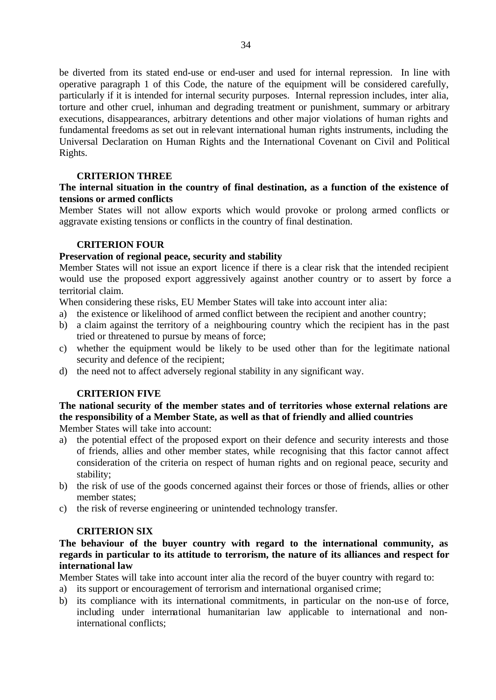be diverted from its stated end-use or end-user and used for internal repression. In line with operative paragraph 1 of this Code, the nature of the equipment will be considered carefully, particularly if it is intended for internal security purposes. Internal repression includes, inter alia, torture and other cruel, inhuman and degrading treatment or punishment, summary or arbitrary executions, disappearances, arbitrary detentions and other major violations of human rights and fundamental freedoms as set out in relevant international human rights instruments, including the Universal Declaration on Human Rights and the International Covenant on Civil and Political Rights.

# **CRITERION THREE**

# **The internal situation in the country of final destination, as a function of the existence of tensions or armed conflicts**

Member States will not allow exports which would provoke or prolong armed conflicts or aggravate existing tensions or conflicts in the country of final destination.

# **CRITERION FOUR**

# **Preservation of regional peace, security and stability**

Member States will not issue an export licence if there is a clear risk that the intended recipient would use the proposed export aggressively against another country or to assert by force a territorial claim.

When considering these risks, EU Member States will take into account inter alia:

- a) the existence or likelihood of armed conflict between the recipient and another country;
- b) a claim against the territory of a neighbouring country which the recipient has in the past tried or threatened to pursue by means of force;
- c) whether the equipment would be likely to be used other than for the legitimate national security and defence of the recipient;
- d) the need not to affect adversely regional stability in any significant way.

# **CRITERION FIVE**

**The national security of the member states and of territories whose external relations are the responsibility of a Member State, as well as that of friendly and allied countries**

Member States will take into account:

- a) the potential effect of the proposed export on their defence and security interests and those of friends, allies and other member states, while recognising that this factor cannot affect consideration of the criteria on respect of human rights and on regional peace, security and stability;
- b) the risk of use of the goods concerned against their forces or those of friends, allies or other member states;
- c) the risk of reverse engineering or unintended technology transfer.

# **CRITERION SIX**

**The behaviour of the buyer country with regard to the international community, as regards in particular to its attitude to terrorism, the nature of its alliances and respect for international law**

Member States will take into account inter alia the record of the buyer country with regard to:

- a) its support or encouragement of terrorism and international organised crime;
- b) its compliance with its international commitments, in particular on the non-use of force, including under international humanitarian law applicable to international and noninternational conflicts;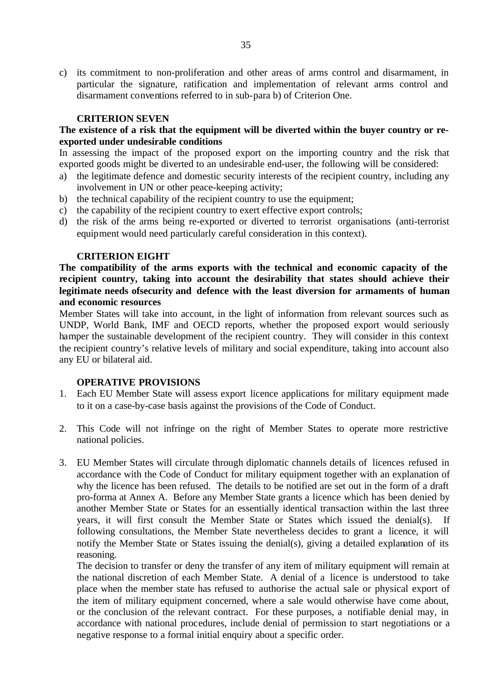c) its commitment to non-proliferation and other areas of arms control and disarmament, in particular the signature, ratification and implementation of relevant arms control and disarmament conventions referred to in sub-para b) of Criterion One.

#### **CRITERION SEVEN**

# **The existence of a risk that the equipment will be diverted within the buyer country or reexported under undesirable conditions**

In assessing the impact of the proposed export on the importing country and the risk that exported goods might be diverted to an undesirable end-user, the following will be considered:

- a) the legitimate defence and domestic security interests of the recipient country, including any involvement in UN or other peace-keeping activity;
- b) the technical capability of the recipient country to use the equipment;
- c) the capability of the recipient country to exert effective export controls;
- d) the risk of the arms being re-exported or diverted to terrorist organisations (anti-terrorist equipment would need particularly careful consideration in this context).

#### **CRITERION EIGHT**

**The compatibility of the arms exports with the technical and economic capacity of the recipient country, taking into account the desirability that states should achieve their legitimate needs ofsecurity and defence with the least diversion for armaments of human and economic resources**

Member States will take into account, in the light of information from relevant sources such as UNDP, World Bank, IMF and OECD reports, whether the proposed export would seriously hamper the sustainable development of the recipient country. They will consider in this context the recipient country's relative levels of military and social expenditure, taking into account also any EU or bilateral aid.

#### **OPERATIVE PROVISIONS**

- 1. Each EU Member State will assess export licence applications for military equipment made to it on a case-by-case basis against the provisions of the Code of Conduct.
- 2. This Code will not infringe on the right of Member States to operate more restrictive national policies.
- 3. EU Member States will circulate through diplomatic channels details of licences refused in accordance with the Code of Conduct for military equipment together with an explanation of why the licence has been refused. The details to be notified are set out in the form of a draft pro-forma at Annex A. Before any Member State grants a licence which has been denied by another Member State or States for an essentially identical transaction within the last three years, it will first consult the Member State or States which issued the denial(s). following consultations, the Member State nevertheless decides to grant a licence, it will notify the Member State or States issuing the denial(s), giving a detailed explanation of its reasoning.

The decision to transfer or deny the transfer of any item of military equipment will remain at the national discretion of each Member State. A denial of a licence is understood to take place when the member state has refused to authorise the actual sale or physical export of the item of military equipment concerned, where a sale would otherwise have come about, or the conclusion of the relevant contract. For these purposes, a notifiable denial may, in accordance with national procedures, include denial of permission to start negotiations or a negative response to a formal initial enquiry about a specific order.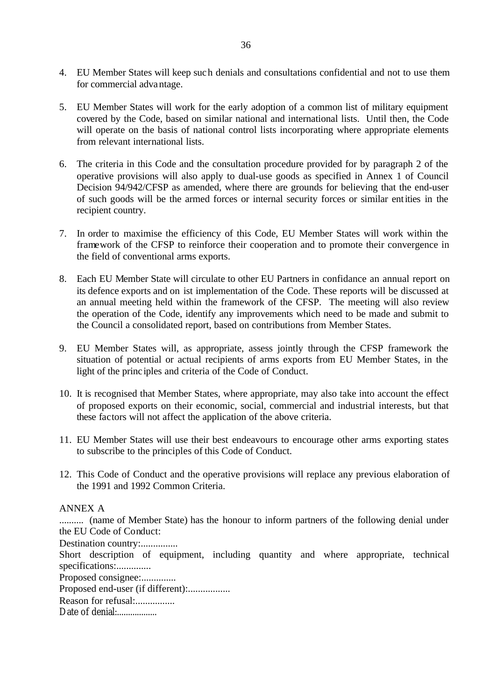- 4. EU Member States will keep such denials and consultations confidential and not to use them for commercial advantage.
- 5. EU Member States will work for the early adoption of a common list of military equipment covered by the Code, based on similar national and international lists. Until then, the Code will operate on the basis of national control lists incorporating where appropriate elements from relevant international lists.
- 6. The criteria in this Code and the consultation procedure provided for by paragraph 2 of the operative provisions will also apply to dual-use goods as specified in Annex 1 of Council Decision 94/942/CFSP as amended, where there are grounds for believing that the end-user of such goods will be the armed forces or internal security forces or similar entities in the recipient country.
- 7. In order to maximise the efficiency of this Code, EU Member States will work within the framework of the CFSP to reinforce their cooperation and to promote their convergence in the field of conventional arms exports.
- 8. Each EU Member State will circulate to other EU Partners in confidance an annual report on its defence exports and on ist implementation of the Code. These reports will be discussed at an annual meeting held within the framework of the CFSP. The meeting will also review the operation of the Code, identify any improvements which need to be made and submit to the Council a consolidated report, based on contributions from Member States.
- 9. EU Member States will, as appropriate, assess jointly through the CFSP framework the situation of potential or actual recipients of arms exports from EU Member States, in the light of the princ iples and criteria of the Code of Conduct.
- 10. It is recognised that Member States, where appropriate, may also take into account the effect of proposed exports on their economic, social, commercial and industrial interests, but that these factors will not affect the application of the above criteria.
- 11. EU Member States will use their best endeavours to encourage other arms exporting states to subscribe to the principles of this Code of Conduct.
- 12. This Code of Conduct and the operative provisions will replace any previous elaboration of the 1991 and 1992 Common Criteria.

## ANNEX A

.......... (name of Member State) has the honour to inform partners of the following denial under the EU Code of Conduct:

Destination country:...............

Short description of equipment, including quantity and where appropriate, technical specifications:..............

Proposed consignee:..............

Proposed end-user (if different):..................

Reason for refusal:.................

Date of denial: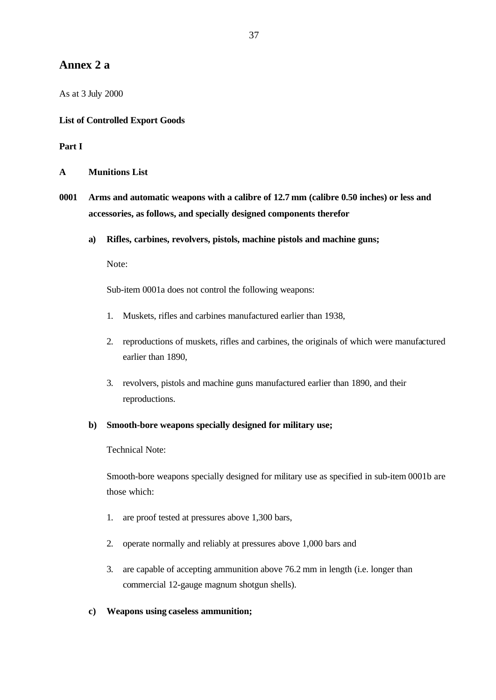# **Annex 2 a**

As at 3 July 2000

### **List of Controlled Export Goods**

### **Part I**

**A Munitions List**

- **0001 Arms and automatic weapons with a calibre of 12.7 mm (calibre 0.50 inches) or less and accessories, as follows, and specially designed components therefor**
	- **a) Rifles, carbines, revolvers, pistols, machine pistols and machine guns;**

Note:

Sub-item 0001a does not control the following weapons:

- 1. Muskets, rifles and carbines manufactured earlier than 1938,
- 2. reproductions of muskets, rifles and carbines, the originals of which were manufactured earlier than 1890,
- 3. revolvers, pistols and machine guns manufactured earlier than 1890, and their reproductions.

### **b) Smooth-bore weapons specially designed for military use;**

Technical Note:

Smooth-bore weapons specially designed for military use as specified in sub-item 0001b are those which:

- 1. are proof tested at pressures above 1,300 bars,
- 2. operate normally and reliably at pressures above 1,000 bars and
- 3. are capable of accepting ammunition above 76.2 mm in length (i.e. longer than commercial 12-gauge magnum shotgun shells).

### **c) Weapons using caseless ammunition;**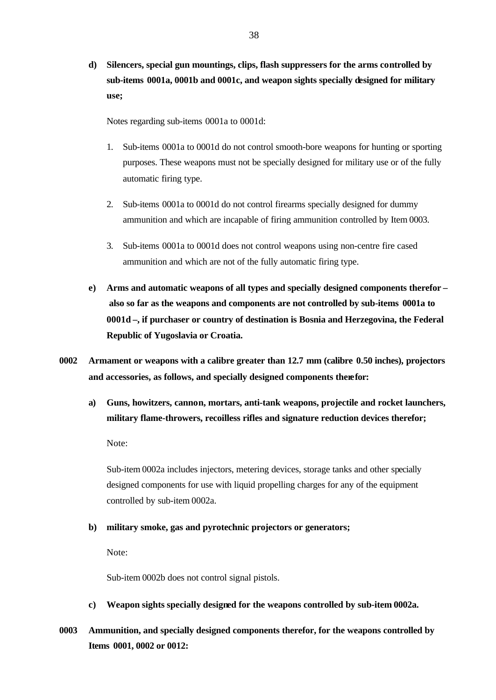**d) Silencers, special gun mountings, clips, flash suppressers for the arms controlled by sub-items 0001a, 0001b and 0001c, and weapon sights specially designed for military use;**

Notes regarding sub-items 0001a to 0001d:

- 1. Sub-items 0001a to 0001d do not control smooth-bore weapons for hunting or sporting purposes. These weapons must not be specially designed for military use or of the fully automatic firing type.
- 2. Sub-items 0001a to 0001d do not control firearms specially designed for dummy ammunition and which are incapable of firing ammunition controlled by Item 0003.
- 3. Sub-items 0001a to 0001d does not control weapons using non-centre fire cased ammunition and which are not of the fully automatic firing type.
- **e) Arms and automatic weapons of all types and specially designed components therefor – also so far as the weapons and components are not controlled by sub-items 0001a to 0001d –, if purchaser or country of destination is Bosnia and Herzegovina, the Federal Republic of Yugoslavia or Croatia.**
- **0002 Armament or weapons with a calibre greater than 12.7 mm (calibre 0.50 inches), projectors and accessories, as follows, and specially designed components therefor:**
	- **a) Guns, howitzers, cannon, mortars, anti-tank weapons, projectile and rocket launchers, military flame-throwers, recoilless rifles and signature reduction devices therefor;**

Note:

Sub-item 0002a includes injectors, metering devices, storage tanks and other specially designed components for use with liquid propelling charges for any of the equipment controlled by sub-item 0002a.

### **b) military smoke, gas and pyrotechnic projectors or generators;**

Note:

Sub-item 0002b does not control signal pistols.

- **c) Weapon sights specially designed for the weapons controlled by sub-item 0002a.**
- **0003 Ammunition, and specially designed components therefor, for the weapons controlled by Items 0001, 0002 or 0012:**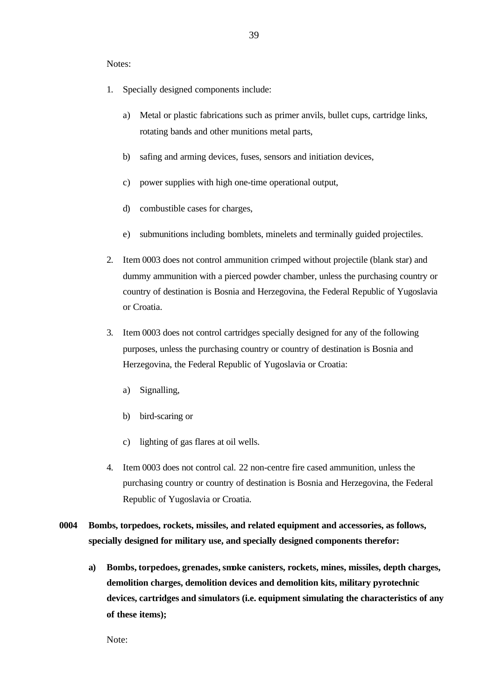Notes:

- 1. Specially designed components include:
	- a) Metal or plastic fabrications such as primer anvils, bullet cups, cartridge links, rotating bands and other munitions metal parts,
	- b) safing and arming devices, fuses, sensors and initiation devices,
	- c) power supplies with high one-time operational output,
	- d) combustible cases for charges,
	- e) submunitions including bomblets, minelets and terminally guided projectiles.
- 2. Item 0003 does not control ammunition crimped without projectile (blank star) and dummy ammunition with a pierced powder chamber, unless the purchasing country or country of destination is Bosnia and Herzegovina, the Federal Republic of Yugoslavia or Croatia.
- 3. Item 0003 does not control cartridges specially designed for any of the following purposes, unless the purchasing country or country of destination is Bosnia and Herzegovina, the Federal Republic of Yugoslavia or Croatia:
	- a) Signalling,
	- b) bird-scaring or
	- c) lighting of gas flares at oil wells.
- 4. Item 0003 does not control cal. 22 non-centre fire cased ammunition, unless the purchasing country or country of destination is Bosnia and Herzegovina, the Federal Republic of Yugoslavia or Croatia.
- **0004 Bombs, torpedoes, rockets, missiles, and related equipment and accessories, as follows, specially designed for military use, and specially designed components therefor:**
	- **a) Bombs, torpedoes, grenades, smoke canisters, rockets, mines, missiles, depth charges, demolition charges, demolition devices and demolition kits, military pyrotechnic devices, cartridges and simulators (i.e. equipment simulating the characteristics of any of these items);**

Note: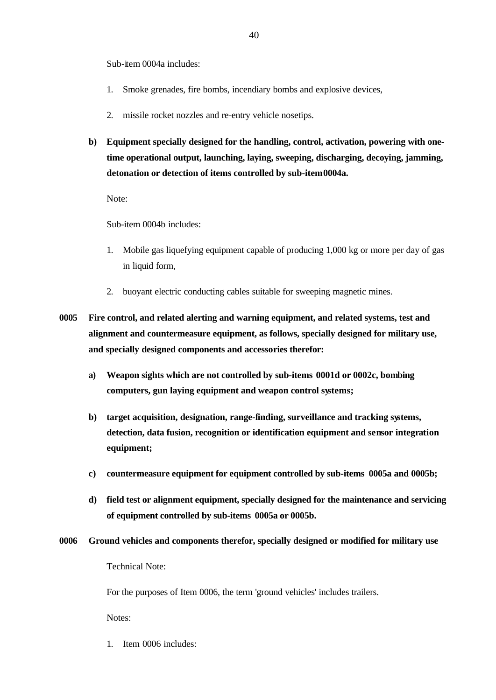Sub-item 0004a includes:

- 1. Smoke grenades, fire bombs, incendiary bombs and explosive devices,
- 2. missile rocket nozzles and re-entry vehicle nosetips.
- **b) Equipment specially designed for the handling, control, activation, powering with onetime operational output, launching, laying, sweeping, discharging, decoying, jamming, detonation or detection of items controlled by sub-item 0004a.**

Note:

Sub-item 0004b includes:

- 1. Mobile gas liquefying equipment capable of producing 1,000 kg or more per day of gas in liquid form,
- 2. buoyant electric conducting cables suitable for sweeping magnetic mines.
- **0005 Fire control, and related alerting and warning equipment, and related systems, test and alignment and countermeasure equipment, as follows, specially designed for military use, and specially designed components and accessories therefor:**
	- **a) Weapon sights which are not controlled by sub-items 0001d or 0002c, bombing computers, gun laying equipment and weapon control systems;**
	- **b) target acquisition, designation, range-finding, surveillance and tracking systems, detection, data fusion, recognition or identification equipment and sensor integration equipment;**
	- **c) countermeasure equipment for equipment controlled by sub-items 0005a and 0005b;**
	- **d) field test or alignment equipment, specially designed for the maintenance and servicing of equipment controlled by sub-items 0005a or 0005b.**
- **0006 Ground vehicles and components therefor, specially designed or modified for military use** Technical Note:

For the purposes of Item 0006, the term 'ground vehicles' includes trailers.

Notes:

1. Item 0006 includes: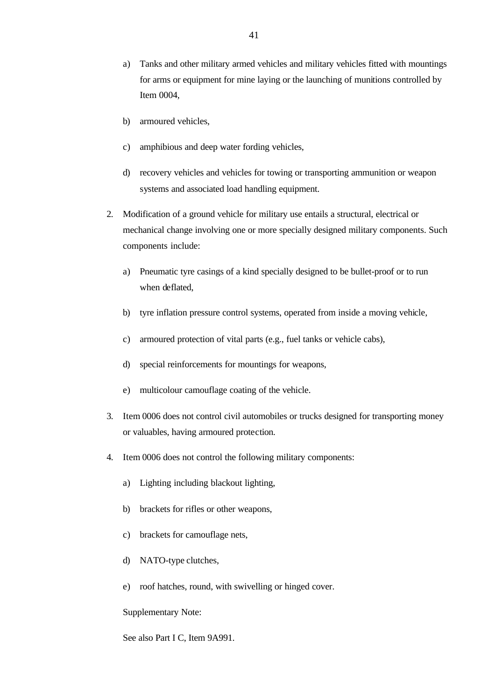- a) Tanks and other military armed vehicles and military vehicles fitted with mountings for arms or equipment for mine laying or the launching of munitions controlled by Item 0004,
- b) armoured vehicles,
- c) amphibious and deep water fording vehicles,
- d) recovery vehicles and vehicles for towing or transporting ammunition or weapon systems and associated load handling equipment.
- 2. Modification of a ground vehicle for military use entails a structural, electrical or mechanical change involving one or more specially designed military components. Such components include:
	- a) Pneumatic tyre casings of a kind specially designed to be bullet-proof or to run when deflated,
	- b) tyre inflation pressure control systems, operated from inside a moving vehicle,
	- c) armoured protection of vital parts (e.g., fuel tanks or vehicle cabs),
	- d) special reinforcements for mountings for weapons,
	- e) multicolour camouflage coating of the vehicle.
- 3. Item 0006 does not control civil automobiles or trucks designed for transporting money or valuables, having armoured protection.
- 4. Item 0006 does not control the following military components:
	- a) Lighting including blackout lighting,
	- b) brackets for rifles or other weapons,
	- c) brackets for camouflage nets,
	- d) NATO-type clutches,
	- e) roof hatches, round, with swivelling or hinged cover.

#### Supplementary Note:

See also Part I C, Item 9A991.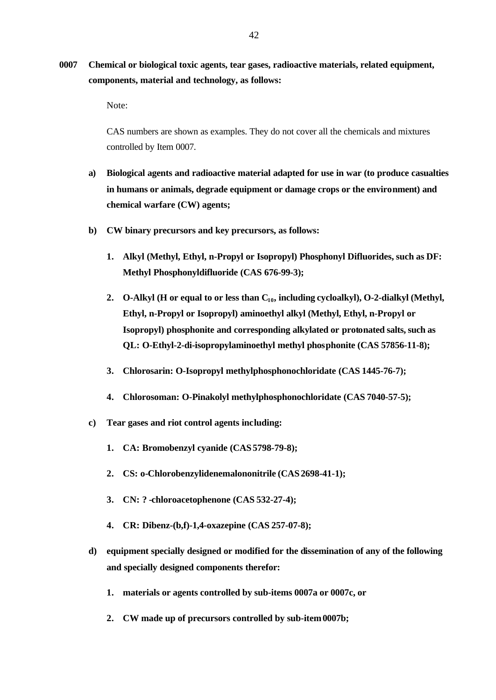# **0007 Chemical or biological toxic agents, tear gases, radioactive materials, related equipment, components, material and technology, as follows:**

Note:

CAS numbers are shown as examples. They do not cover all the chemicals and mixtures controlled by Item 0007.

- **a) Biological agents and radioactive material adapted for use in war (to produce casualties in humans or animals, degrade equipment or damage crops or the environment) and chemical warfare (CW) agents;**
- **b) CW binary precursors and key precursors, as follows:**
	- **1. Alkyl (Methyl, Ethyl, n-Propyl or Isopropyl) Phosphonyl Difluorides, such as DF: Methyl Phosphonyldifluoride (CAS 676-99-3);**
	- **2. O-Alkyl (H or equal to or less than C10, including cycloalkyl), O-2-dialkyl (Methyl, Ethyl, n-Propyl or Isopropyl) aminoethyl alkyl (Methyl, Ethyl, n-Propyl or Isopropyl) phosphonite and corresponding alkylated or protonated salts, such as QL: O-Ethyl-2-di-isopropylaminoethyl methyl phosphonite (CAS 57856-11-8);**
	- **3. Chlorosarin: O-Isopropyl methylphosphonochloridate (CAS 1445-76-7);**
	- **4. Chlorosoman: O-Pinakolyl methylphosphonochloridate (CAS 7040-57-5);**
- **c) Tear gases and riot control agents including:**
	- **1. CA: Bromobenzyl cyanide (CAS 5798-79-8);**
	- **2. CS: o-Chlorobenzylidenemalononitrile (CAS 2698-41-1);**
	- **3. CN: ?-chloroacetophenone (CAS 532-27-4);**
	- **4. CR: Dibenz-(b,f)-1,4-oxazepine (CAS 257-07-8);**
- **d) equipment specially designed or modified for the dissemination of any of the following and specially designed components therefor:**
	- **1. materials or agents controlled by sub-items 0007a or 0007c, or**
	- **2. CW made up of precursors controlled by sub-item 0007b;**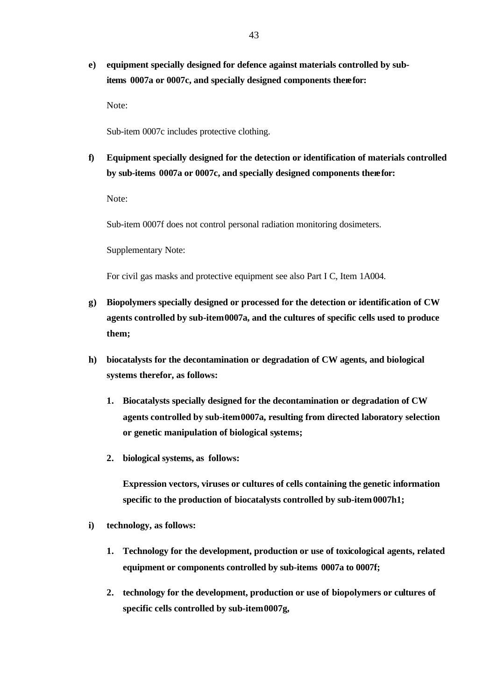**e) equipment specially designed for defence against materials controlled by subitems 0007a or 0007c, and specially designed components therefor:**

Note:

Sub-item 0007c includes protective clothing.

**f) Equipment specially designed for the detection or identification of materials controlled by sub-items 0007a or 0007c, and specially designed components therefor:**

Note:

Sub-item 0007f does not control personal radiation monitoring dosimeters.

Supplementary Note:

For civil gas masks and protective equipment see also Part I C, Item 1A004.

- **g) Biopolymers specially designed or processed for the detection or identification of CW agents controlled by sub-item 0007a, and the cultures of specific cells used to produce them;**
- **h) biocatalysts for the decontamination or degradation of CW agents, and biological systems therefor, as follows:**
	- **1. Biocatalysts specially designed for the decontamination or degradation of CW agents controlled by sub-item 0007a, resulting from directed laboratory selection or genetic manipulation of biological systems;**
	- **2. biological systems, as follows:**

**Expression vectors, viruses or cultures of cells containing the genetic information specific to the production of biocatalysts controlled by sub-item 0007h1;**

- **i) technology, as follows:**
	- **1. Technology for the development, production or use of toxicological agents, related equipment or components controlled by sub-items 0007a to 0007f;**
	- **2. technology for the development, production or use of biopolymers or cultures of specific cells controlled by sub-item 0007g,**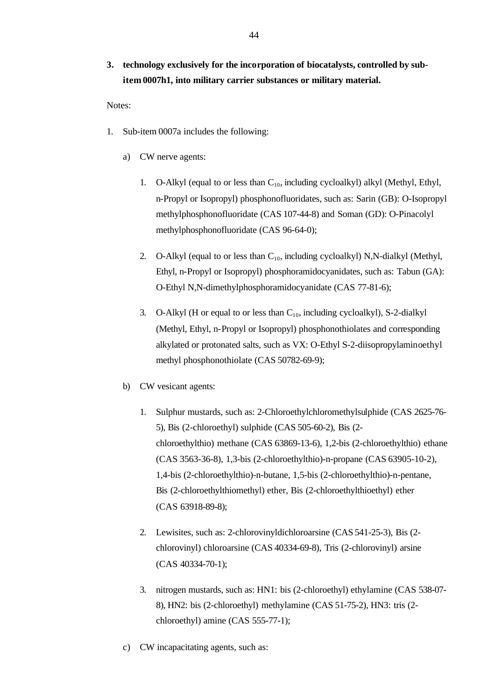# **3. technology exclusively for the incorporation of biocatalysts, controlled by subitem 0007h1, into military carrier substances or military material.**

Notes:

- 1. Sub-item 0007a includes the following:
	- a) CW nerve agents:
		- 1. O-Alkyl (equal to or less than  $C_{10}$ , including cycloalkyl) alkyl (Methyl, Ethyl, n-Propyl or Isopropyl) phosphonofluoridates, such as: Sarin (GB): O-Isopropyl methylphosphonofluoridate (CAS 107-44-8) and Soman (GD): O-Pinacolyl methylphosphonofluoridate (CAS 96-64-0);
		- 2. O-Alkyl (equal to or less than  $C_{10}$ , including cycloalkyl) N,N-dialkyl (Methyl, Ethyl, n-Propyl or Isopropyl) phosphoramidocyanidates, such as: Tabun (GA): O-Ethyl N,N-dimethylphosphoramidocyanidate (CAS 77-81-6);
		- 3. O-Alkyl (H or equal to or less than  $C_{10}$ , including cycloalkyl), S-2-dialkyl (Methyl, Ethyl, n-Propyl or Isopropyl) phosphonothiolates and corresponding alkylated or protonated salts, such as VX: O-Ethyl S-2-diisopropylaminoethyl methyl phosphonothiolate (CAS 50782-69-9);
	- b) CW vesicant agents:
		- 1. Sulphur mustards, such as: 2-Chloroethylchloromethylsulphide (CAS 2625-76- 5), Bis (2-chloroethyl) sulphide (CAS 505-60-2), Bis (2 chloroethylthio) methane (CAS 63869-13-6), 1,2-bis (2-chloroethylthio) ethane (CAS 3563-36-8), 1,3-bis (2-chloroethylthio)-n-propane (CAS 63905-10-2), 1,4-bis (2-chloroethylthio)-n-butane, 1,5-bis (2-chloroethylthio)-n-pentane, Bis (2-chloroethylthiomethyl) ether, Bis (2-chloroethylthioethyl) ether (CAS 63918-89-8);
		- 2. Lewisites, such as: 2-chlorovinyldichloroarsine (CAS 541-25-3), Bis (2 chlorovinyl) chloroarsine (CAS 40334-69-8), Tris (2-chlorovinyl) arsine (CAS 40334-70-1);
		- 3. nitrogen mustards, such as: HN1: bis (2-chloroethyl) ethylamine (CAS 538-07- 8), HN2: bis (2-chloroethyl) methylamine (CAS 51-75-2), HN3: tris (2 chloroethyl) amine (CAS 555-77-1);
	- c) CW incapacitating agents, such as: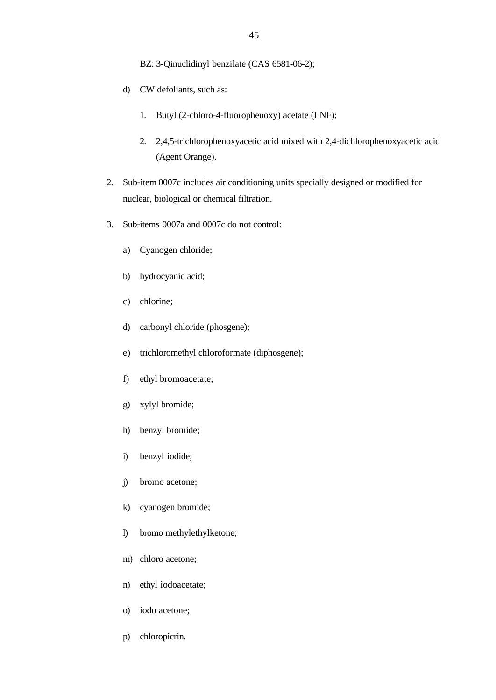BZ: 3-Qinuclidinyl benzilate (CAS 6581-06-2);

- d) CW defoliants, such as:
	- 1. Butyl (2-chloro-4-fluorophenoxy) acetate (LNF);
	- 2. 2,4,5-trichlorophenoxyacetic acid mixed with 2,4-dichlorophenoxyacetic acid (Agent Orange).
- 2. Sub-item 0007c includes air conditioning units specially designed or modified for nuclear, biological or chemical filtration.
- 3. Sub-items 0007a and 0007c do not control:
	- a) Cyanogen chloride;
	- b) hydrocyanic acid;
	- c) chlorine;
	- d) carbonyl chloride (phosgene);
	- e) trichloromethyl chloroformate (diphosgene);
	- f) ethyl bromoacetate;
	- g) xylyl bromide;
	- h) benzyl bromide;
	- i) benzyl iodide;
	- j) bromo acetone;
	- k) cyanogen bromide;
	- l) bromo methylethylketone;
	- m) chloro acetone;
	- n) ethyl iodoacetate;
	- o) iodo acetone;
	- p) chloropicrin.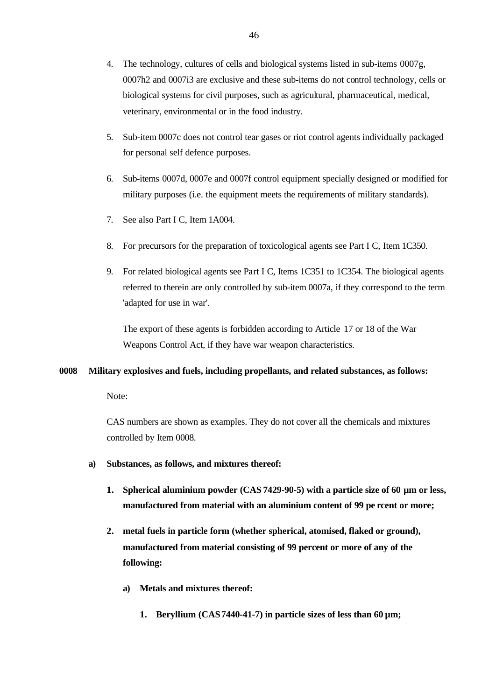- 4. The technology, cultures of cells and biological systems listed in sub-items 0007g, 0007h2 and 0007i3 are exclusive and these sub-items do not control technology, cells or biological systems for civil purposes, such as agricultural, pharmaceutical, medical, veterinary, environmental or in the food industry.
- 5. Sub-item 0007c does not control tear gases or riot control agents individually packaged for personal self defence purposes.
- 6. Sub-items 0007d, 0007e and 0007f control equipment specially designed or modified for military purposes (i.e. the equipment meets the requirements of military standards).
- 7. See also Part I C, Item 1A004.
- 8. For precursors for the preparation of toxicological agents see Part I C, Item 1C350.
- 9. For related biological agents see Part I C, Items 1C351 to 1C354. The biological agents referred to therein are only controlled by sub-item 0007a, if they correspond to the term 'adapted for use in war'.

The export of these agents is forbidden according to Article 17 or 18 of the War Weapons Control Act, if they have war weapon characteristics.

### **0008 Military explosives and fuels, including propellants, and related substances, as follows:**

Note:

CAS numbers are shown as examples. They do not cover all the chemicals and mixtures controlled by Item 0008.

- **a) Substances, as follows, and mixtures thereof:**
	- **1. Spherical aluminium powder (CAS 7429-90-5) with a particle size of 60 µm or less, manufactured from material with an aluminium content of 99 pe rcent or more;**
	- **2. metal fuels in particle form (whether spherical, atomised, flaked or ground), manufactured from material consisting of 99 percent or more of any of the following:**
		- **a) Metals and mixtures thereof:**
			- **1. Beryllium (CAS 7440-41-7) in particle sizes of less than 60 µm;**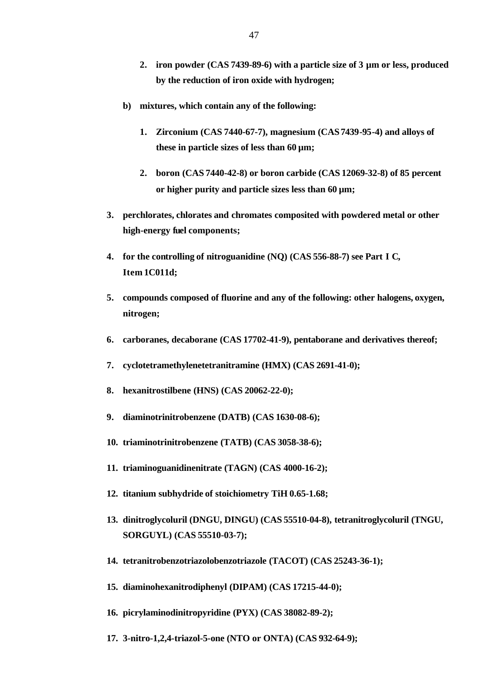- **2. iron powder (CAS 7439-89-6) with a particle size of 3 µm or less, produced by the reduction of iron oxide with hydrogen;**
- **b) mixtures, which contain any of the following:**
	- **1. Zirconium (CAS 7440-67-7), magnesium (CAS 7439-95-4) and alloys of these in particle sizes of less than 60 µm;**
	- **2. boron (CAS 7440-42-8) or boron carbide (CAS 12069-32-8) of 85 percent or higher purity and particle sizes less than 60 µm;**
- **3. perchlorates, chlorates and chromates composited with powdered metal or other high-energy fuel components;**
- **4. for the controlling of nitroguanidine (NQ) (CAS 556-88-7) see Part I C, Item 1C011d;**
- **5. compounds composed of fluorine and any of the following: other halogens, oxygen, nitrogen;**
- **6. carboranes, decaborane (CAS 17702-41-9), pentaborane and derivatives thereof;**
- **7. cyclotetramethylenetetranitramine (HMX) (CAS 2691-41-0);**
- **8. hexanitrostilbene (HNS) (CAS 20062-22-0);**
- **9. diaminotrinitrobenzene (DATB) (CAS 1630-08-6);**
- **10. triaminotrinitrobenzene (TATB) (CAS 3058-38-6);**
- **11. triaminoguanidinenitrate (TAGN) (CAS 4000-16-2);**
- **12. titanium subhydride of stoichiometry TiH 0.65-1.68;**
- **13. dinitroglycoluril (DNGU, DINGU) (CAS 55510-04-8), tetranitroglycoluril (TNGU, SORGUYL) (CAS 55510-03-7);**
- **14. tetranitrobenzotriazolobenzotriazole (TACOT) (CAS 25243-36-1);**
- **15. diaminohexanitrodiphenyl (DIPAM) (CAS 17215-44-0);**
- **16. picrylaminodinitropyridine (PYX) (CAS 38082-89-2);**
- **17. 3-nitro-1,2,4-triazol-5-one (NTO or ONTA) (CAS 932-64-9);**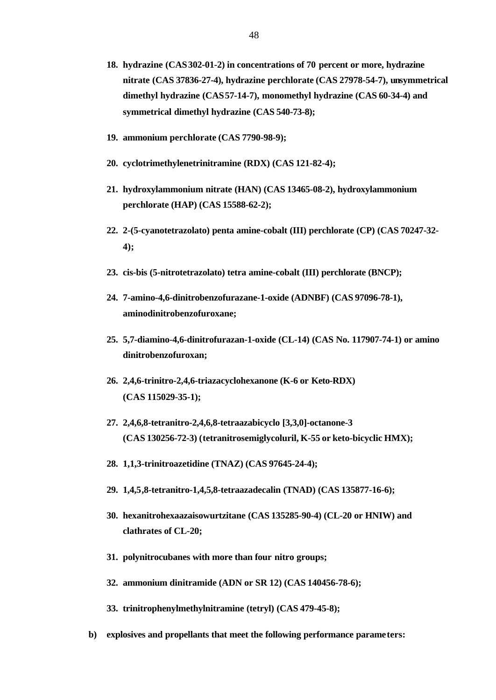- **18. hydrazine (CAS 302-01-2) in concentrations of 70 percent or more, hydrazine nitrate (CAS 37836-27-4), hydrazine perchlorate (CAS 27978-54-7), unsymmetrical dimethyl hydrazine (CAS 57-14-7), monomethyl hydrazine (CAS 60-34-4) and symmetrical dimethyl hydrazine (CAS 540-73-8);**
- **19. ammonium perchlorate (CAS 7790-98-9);**
- **20. cyclotrimethylenetrinitramine (RDX) (CAS 121-82-4);**
- **21. hydroxylammonium nitrate (HAN) (CAS 13465-08-2), hydroxylammonium perchlorate (HAP) (CAS 15588-62-2);**
- **22. 2-(5-cyanotetrazolato) penta amine-cobalt (III) perchlorate (CP) (CAS 70247-32- 4);**
- **23. cis-bis (5-nitrotetrazolato) tetra amine-cobalt (III) perchlorate (BNCP);**
- **24. 7-amino-4,6-dinitrobenzofurazane-1-oxide (ADNBF) (CAS 97096-78-1), aminodinitrobenzofuroxane;**
- **25. 5,7-diamino-4,6-dinitrofurazan-1-oxide (CL-14) (CAS No. 117907-74-1) or amino dinitrobenzofuroxan;**
- **26. 2,4,6-trinitro-2,4,6-triazacyclohexanone (K-6 or Keto-RDX) (CAS 115029-35-1);**
- **27. 2,4,6,8-tetranitro-2,4,6,8-tetraazabicyclo [3,3,0]-octanone-3 (CAS 130256-72-3) (tetranitrosemiglycoluril, K-55 or keto-bicyclic HMX);**
- **28. 1,1,3-trinitroazetidine (TNAZ) (CAS 97645-24-4);**
- **29. 1,4,5,8-tetranitro-1,4,5,8-tetraazadecalin (TNAD) (CAS 135877-16-6);**
- **30. hexanitrohexaazaisowurtzitane (CAS 135285-90-4) (CL-20 or HNIW) and clathrates of CL-20;**
- **31. polynitrocubanes with more than four nitro groups;**
- **32. ammonium dinitramide (ADN or SR 12) (CAS 140456-78-6);**
- **33. trinitrophenylmethylnitramine (tetryl) (CAS 479-45-8);**
- **b) explosives and propellants that meet the following performance parameters:**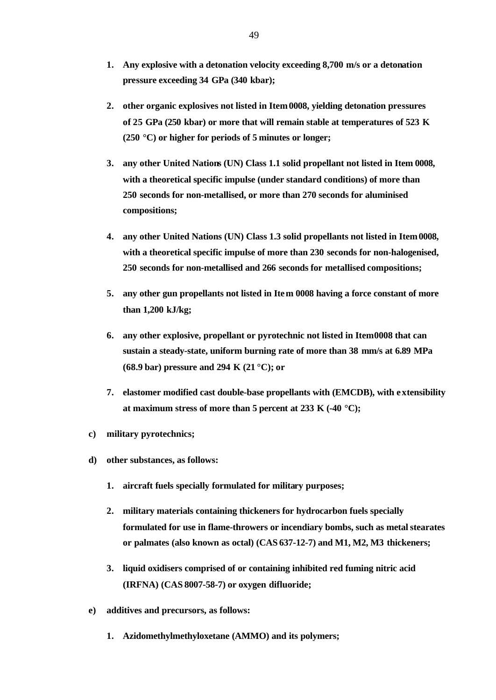- **1. Any explosive with a detonation velocity exceeding 8,700 m/s or a detonation pressure exceeding 34 GPa (340 kbar);**
- **2. other organic explosives not listed in Item 0008, yielding detonation pressures of 25 GPa (250 kbar) or more that will remain stable at temperatures of 523 K (250 °C) or higher for periods of 5 minutes or longer;**
- **3. any other United Nations (UN) Class 1.1 solid propellant not listed in Item 0008, with a theoretical specific impulse (under standard conditions) of more than 250 seconds for non-metallised, or more than 270 seconds for aluminised compositions;**
- **4. any other United Nations (UN) Class 1.3 solid propellants not listed in Item 0008, with a theoretical specific impulse of more than 230 seconds for non-halogenised, 250 seconds for non-metallised and 266 seconds for metallised compositions;**
- **5. any other gun propellants not listed in Item 0008 having a force constant of more than 1,200 kJ/kg;**
- **6. any other explosive, propellant or pyrotechnic not listed in Item 0008 that can sustain a steady-state, uniform burning rate of more than 38 mm/s at 6.89 MPa (68.9 bar) pressure and 294 K (21 °C); or**
- **7. elastomer modified cast double-base propellants with (EMCDB), with extensibility at maximum stress of more than 5 percent at 233 K (-40 °C);**
- **c) military pyrotechnics;**
- **d) other substances, as follows:**
	- **1. aircraft fuels specially formulated for military purposes;**
	- **2. military materials containing thickeners for hydrocarbon fuels specially formulated for use in flame-throwers or incendiary bombs, such as metal stearates or palmates (also known as octal) (CAS 637-12-7) and M1, M2, M3 thickeners;**
	- **3. liquid oxidisers comprised of or containing inhibited red fuming nitric acid (IRFNA) (CAS 8007-58-7) or oxygen difluoride;**
- **e) additives and precursors, as follows:**
	- **1. Azidomethylmethyloxetane (AMMO) and its polymers;**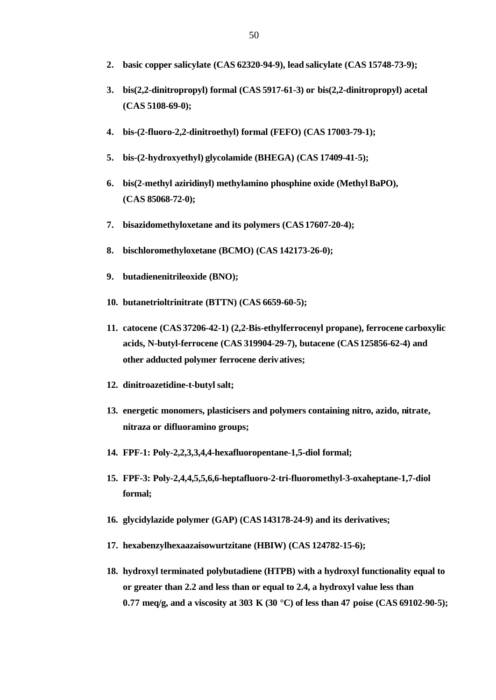- **2. basic copper salicylate (CAS 62320-94-9), lead salicylate (CAS 15748-73-9);**
- **3. bis(2,2-dinitropropyl) formal (CAS 5917-61-3) or bis(2,2-dinitropropyl) acetal (CAS 5108-69-0);**
- **4. bis-(2-fluoro-2,2-dinitroethyl) formal (FEFO) (CAS 17003-79-1);**
- **5. bis-(2-hydroxyethyl) glycolamide (BHEGA) (CAS 17409-41-5);**
- **6. bis(2-methyl aziridinyl) methylamino phosphine oxide (Methyl BaPO), (CAS 85068-72-0);**
- **7. bisazidomethyloxetane and its polymers (CAS 17607-20-4);**
- **8. bischloromethyloxetane (BCMO) (CAS 142173-26-0);**
- **9. butadienenitrileoxide (BNO);**
- **10. butanetrioltrinitrate (BTTN) (CAS 6659-60-5);**
- **11. catocene (CAS 37206-42-1) (2,2-Bis-ethylferrocenyl propane), ferrocene carboxylic acids, N-butyl-ferrocene (CAS 319904-29-7), butacene (CAS 125856-62-4) and other adducted polymer ferrocene derivatives;**
- **12. dinitroazetidine-t-butyl salt;**
- **13. energetic monomers, plasticisers and polymers containing nitro, azido, nitrate, nitraza or difluoramino groups;**
- **14. FPF-1: Poly-2,2,3,3,4,4-hexafluoropentane-1,5-diol formal;**
- **15. FPF-3: Poly-2,4,4,5,5,6,6-heptafluoro-2-tri-fluoromethyl-3-oxaheptane-1,7-diol formal;**
- **16. glycidylazide polymer (GAP) (CAS 143178-24-9) and its derivatives;**
- **17. hexabenzylhexaazaisowurtzitane (HBIW) (CAS 124782-15-6);**
- **18. hydroxyl terminated polybutadiene (HTPB) with a hydroxyl functionality equal to or greater than 2.2 and less than or equal to 2.4, a hydroxyl value less than 0.77 meq/g, and a viscosity at 303 K (30 °C) of less than 47 poise (CAS 69102-90-5);**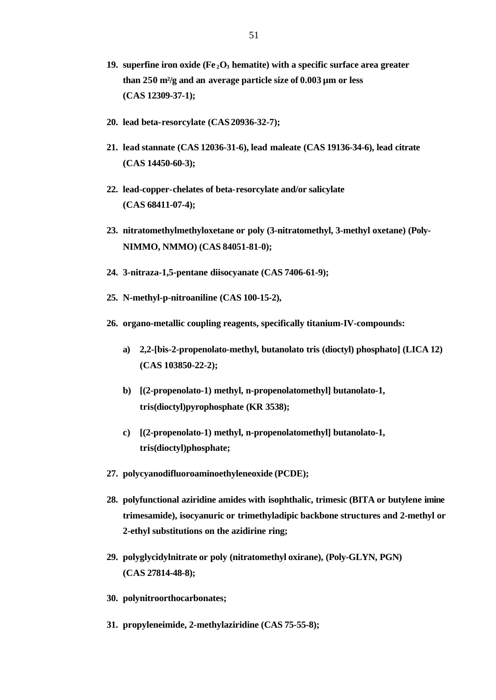- **19. superfine iron oxide (Fe <sup>2</sup>O3 hematite) with a specific surface area greater than 250 m²/g and an average particle size of 0.003 µm or less (CAS 12309-37-1);**
- **20. lead beta-resorcylate (CAS 20936-32-7);**
- **21. lead stannate (CAS 12036-31-6), lead maleate (CAS 19136-34-6), lead citrate (CAS 14450-60-3);**
- **22. lead-copper-chelates of beta-resorcylate and/or salicylate (CAS 68411-07-4);**
- **23. nitratomethylmethyloxetane or poly (3-nitratomethyl, 3-methyl oxetane) (Poly-NIMMO, NMMO) (CAS 84051-81-0);**
- **24. 3-nitraza-1,5-pentane diisocyanate (CAS 7406-61-9);**
- **25. N-methyl-p-nitroaniline (CAS 100-15-2),**
- **26. organo-metallic coupling reagents, specifically titanium-IV-compounds:**
	- **a) 2,2-[bis-2-propenolato-methyl, butanolato tris (dioctyl) phosphato] (LICA 12) (CAS 103850-22-2);**
	- **b) [(2-propenolato-1) methyl, n-propenolatomethyl] butanolato-1, tris(dioctyl)pyrophosphate (KR 3538);**
	- **c) [(2-propenolato-1) methyl, n-propenolatomethyl] butanolato-1, tris(dioctyl)phosphate;**
- **27. polycyanodifluoroaminoethyleneoxide (PCDE);**
- **28. polyfunctional aziridine amides with isophthalic, trimesic (BITA or butylene imine trimesamide), isocyanuric or trimethyladipic backbone structures and 2-methyl or 2-ethyl substitutions on the azidirine ring;**
- **29. polyglycidylnitrate or poly (nitratomethyl oxirane), (Poly-GLYN, PGN) (CAS 27814-48-8);**
- **30. polynitroorthocarbonates;**
- **31. propyleneimide, 2-methylaziridine (CAS 75-55-8);**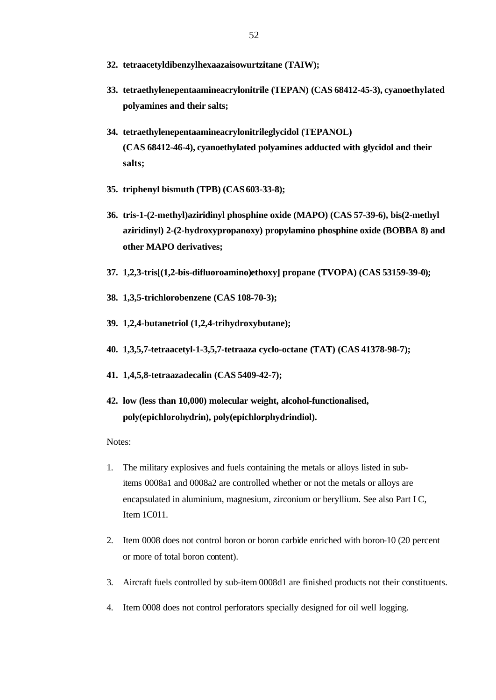- **32. tetraacetyldibenzylhexaazaisowurtzitane (TAIW);**
- **33. tetraethylenepentaamineacrylonitrile (TEPAN) (CAS 68412-45-3), cyanoethylated polyamines and their salts;**
- **34. tetraethylenepentaamineacrylonitrileglycidol (TEPANOL) (CAS 68412-46-4), cyanoethylated polyamines adducted with glycidol and their salts;**
- **35. triphenyl bismuth (TPB) (CAS 603-33-8);**
- **36. tris-1-(2-methyl)aziridinyl phosphine oxide (MAPO) (CAS 57-39-6), bis(2-methyl aziridinyl) 2-(2-hydroxypropanoxy) propylamino phosphine oxide (BOBBA 8) and other MAPO derivatives;**
- **37. 1,2,3-tris[(1,2-bis-difluoroamino)ethoxy] propane (TVOPA) (CAS 53159-39-0);**
- **38. 1,3,5-trichlorobenzene (CAS 108-70-3);**
- **39. 1,2,4-butanetriol (1,2,4-trihydroxybutane);**
- **40. 1,3,5,7-tetraacetyl-1-3,5,7-tetraaza cyclo-octane (TAT) (CAS 41378-98-7);**
- **41. 1,4,5,8-tetraazadecalin (CAS 5409-42-7);**
- **42. low (less than 10,000) molecular weight, alcohol-functionalised, poly(epichlorohydrin), poly(epichlorphydrindiol).**
- Notes:
- 1. The military explosives and fuels containing the metals or alloys listed in subitems 0008a1 and 0008a2 are controlled whether or not the metals or alloys are encapsulated in aluminium, magnesium, zirconium or beryllium. See also Part I C, Item 1C011.
- 2. Item 0008 does not control boron or boron carbide enriched with boron-10 (20 percent or more of total boron content).
- 3. Aircraft fuels controlled by sub-item 0008d1 are finished products not their constituents.
- 4. Item 0008 does not control perforators specially designed for oil well logging.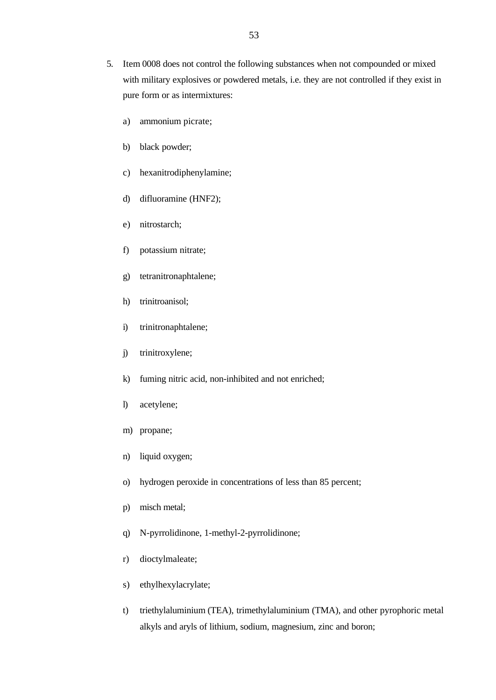- 5. Item 0008 does not control the following substances when not compounded or mixed with military explosives or powdered metals, i.e. they are not controlled if they exist in pure form or as intermixtures:
	- a) ammonium picrate;
	- b) black powder;
	- c) hexanitrodiphenylamine;
	- d) difluoramine (HNF2);
	- e) nitrostarch;
	- f) potassium nitrate;
	- g) tetranitronaphtalene;
	- h) trinitroanisol;
	- i) trinitronaphtalene;
	- j) trinitroxylene;
	- k) fuming nitric acid, non-inhibited and not enriched;
	- l) acetylene;
	- m) propane;
	- n) liquid oxygen;
	- o) hydrogen peroxide in concentrations of less than 85 percent;
	- p) misch metal;
	- q) N-pyrrolidinone, 1-methyl-2-pyrrolidinone;
	- r) dioctylmaleate;
	- s) ethylhexylacrylate;
	- t) triethylaluminium (TEA), trimethylaluminium (TMA), and other pyrophoric metal alkyls and aryls of lithium, sodium, magnesium, zinc and boron;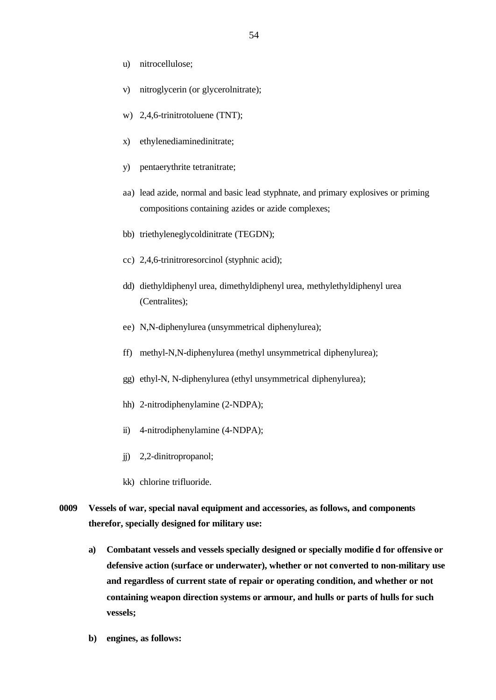- u) nitrocellulose;
- v) nitroglycerin (or glycerolnitrate);
- w) 2,4,6-trinitrotoluene (TNT);
- x) ethylenediaminedinitrate;
- y) pentaerythrite tetranitrate;
- aa) lead azide, normal and basic lead styphnate, and primary explosives or priming compositions containing azides or azide complexes;
- bb) triethyleneglycoldinitrate (TEGDN);
- cc) 2,4,6-trinitroresorcinol (styphnic acid);
- dd) diethyldiphenyl urea, dimethyldiphenyl urea, methylethyldiphenyl urea (Centralites);
- ee) N,N-diphenylurea (unsymmetrical diphenylurea);
- ff) methyl-N,N-diphenylurea (methyl unsymmetrical diphenylurea);
- gg) ethyl-N, N-diphenylurea (ethyl unsymmetrical diphenylurea);
- hh) 2-nitrodiphenylamine (2-NDPA);
- ii) 4-nitrodiphenylamine (4-NDPA);
- jj) 2,2-dinitropropanol;
- kk) chlorine trifluoride.
- **0009 Vessels of war, special naval equipment and accessories, as follows, and components therefor, specially designed for military use:**
	- **a) Combatant vessels and vessels specially designed or specially modifie d for offensive or defensive action (surface or underwater), whether or not converted to non-military use and regardless of current state of repair or operating condition, and whether or not containing weapon direction systems or armour, and hulls or parts of hulls for such vessels;**
	- **b) engines, as follows:**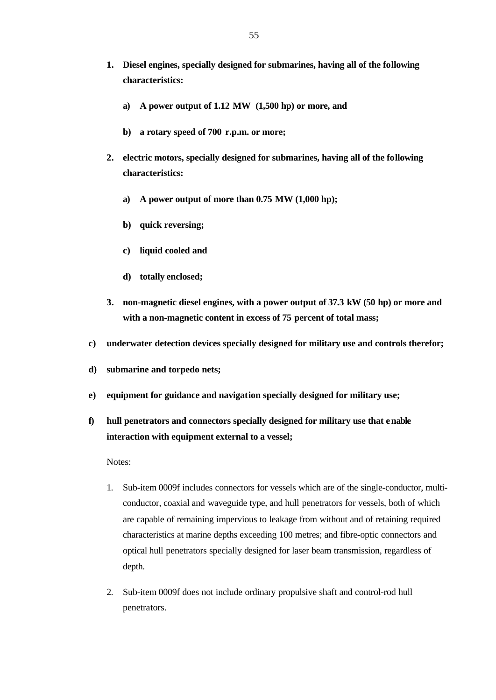- **1. Diesel engines, specially designed for submarines, having all of the following characteristics:**
	- **a) A power output of 1.12 MW (1,500 hp) or more, and**
	- **b) a rotary speed of 700 r.p.m. or more;**
- **2. electric motors, specially designed for submarines, having all of the following characteristics:**
	- **a) A power output of more than 0.75 MW (1,000 hp);**
	- **b) quick reversing;**
	- **c) liquid cooled and**
	- **d) totally enclosed;**
- **3. non-magnetic diesel engines, with a power output of 37.3 kW (50 hp) or more and with a non-magnetic content in excess of 75 percent of total mass;**
- **c) underwater detection devices specially designed for military use and controls therefor;**
- **d) submarine and torpedo nets;**
- **e) equipment for guidance and navigation specially designed for military use;**
- **f) hull penetrators and connectors specially designed for military use that enable interaction with equipment external to a vessel;**

Notes:

- 1. Sub-item 0009f includes connectors for vessels which are of the single-conductor, multiconductor, coaxial and waveguide type, and hull penetrators for vessels, both of which are capable of remaining impervious to leakage from without and of retaining required characteristics at marine depths exceeding 100 metres; and fibre-optic connectors and optical hull penetrators specially designed for laser beam transmission, regardless of depth.
- 2. Sub-item 0009f does not include ordinary propulsive shaft and control-rod hull penetrators.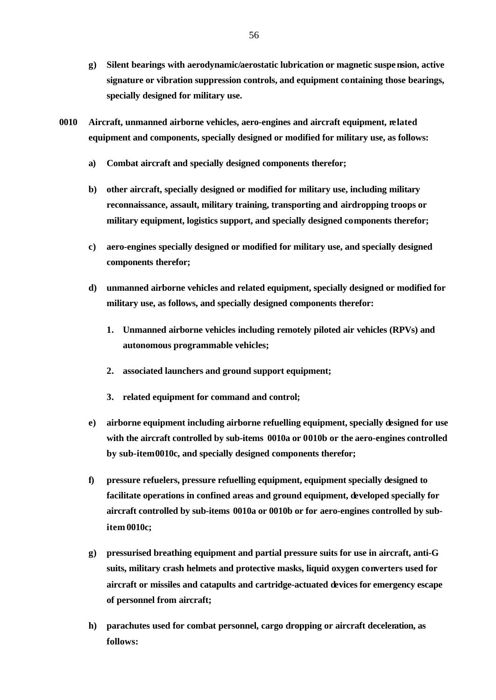- **g) Silent bearings with aerodynamic/aerostatic lubrication or magnetic suspension, active signature or vibration suppression controls, and equipment containing those bearings, specially designed for military use.**
- **0010 Aircraft, unmanned airborne vehicles, aero-engines and aircraft equipment, related equipment and components, specially designed or modified for military use, as follows:**
	- **a) Combat aircraft and specially designed components therefor;**
	- **b) other aircraft, specially designed or modified for military use, including military reconnaissance, assault, military training, transporting and airdropping troops or military equipment, logistics support, and specially designed components therefor;**
	- **c) aero-engines specially designed or modified for military use, and specially designed components therefor;**
	- **d) unmanned airborne vehicles and related equipment, specially designed or modified for military use, as follows, and specially designed components therefor:**
		- **1. Unmanned airborne vehicles including remotely piloted air vehicles (RPVs) and autonomous programmable vehicles;**
		- **2. associated launchers and ground support equipment;**
		- **3. related equipment for command and control;**
	- **e) airborne equipment including airborne refuelling equipment, specially designed for use with the aircraft controlled by sub-items 0010a or 0010b or the aero-engines controlled by sub-item 0010c, and specially designed components therefor;**
	- **f) pressure refuelers, pressure refuelling equipment, equipment specially designed to facilitate operations in confined areas and ground equipment, developed specially for aircraft controlled by sub-items 0010a or 0010b or for aero-engines controlled by subitem 0010c;**
	- **g) pressurised breathing equipment and partial pressure suits for use in aircraft, anti-G suits, military crash helmets and protective masks, liquid oxygen converters used for aircraft or missiles and catapults and cartridge-actuated devices for emergency escape of personnel from aircraft;**
	- **h) parachutes used for combat personnel, cargo dropping or aircraft deceleration, as follows:**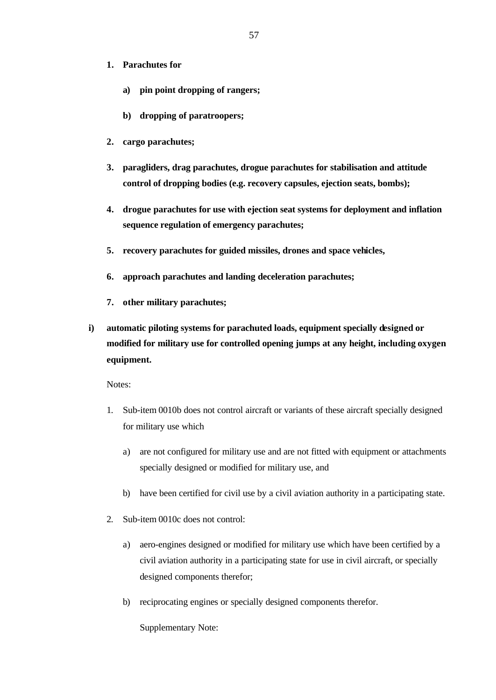- **1. Parachutes for**
	- **a) pin point dropping of rangers;**
	- **b) dropping of paratroopers;**
- **2. cargo parachutes;**
- **3. paragliders, drag parachutes, drogue parachutes for stabilisation and attitude control of dropping bodies (e.g. recovery capsules, ejection seats, bombs);**
- **4. drogue parachutes for use with ejection seat systems for deployment and inflation sequence regulation of emergency parachutes;**
- **5. recovery parachutes for guided missiles, drones and space vehicles,**
- **6. approach parachutes and landing deceleration parachutes;**
- **7. other military parachutes;**
- **i) automatic piloting systems for parachuted loads, equipment specially designed or modified for military use for controlled opening jumps at any height, including oxygen equipment.**

Notes:

- 1. Sub-item 0010b does not control aircraft or variants of these aircraft specially designed for military use which
	- a) are not configured for military use and are not fitted with equipment or attachments specially designed or modified for military use, and
	- b) have been certified for civil use by a civil aviation authority in a participating state.
- 2. Sub-item 0010c does not control:
	- a) aero-engines designed or modified for military use which have been certified by a civil aviation authority in a participating state for use in civil aircraft, or specially designed components therefor;
	- b) reciprocating engines or specially designed components therefor.

Supplementary Note: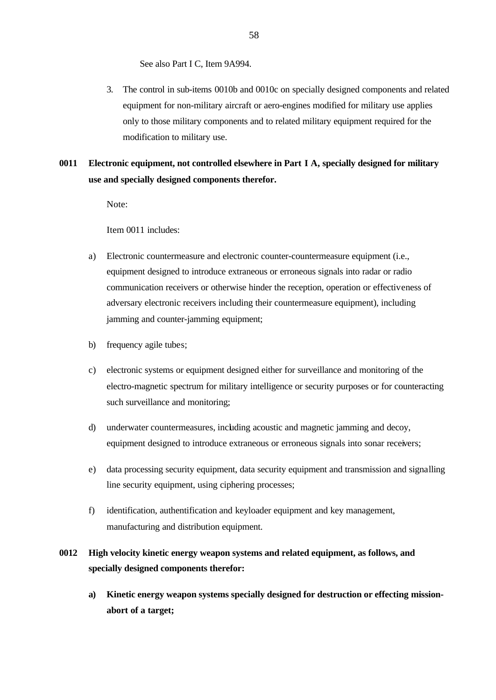See also Part I C, Item 9A994.

- 3. The control in sub-items 0010b and 0010c on specially designed components and related equipment for non-military aircraft or aero-engines modified for military use applies only to those military components and to related military equipment required for the modification to military use.
- **0011 Electronic equipment, not controlled elsewhere in Part I A, specially designed for military use and specially designed components therefor.**

Note:

Item 0011 includes:

- a) Electronic countermeasure and electronic counter-countermeasure equipment (i.e., equipment designed to introduce extraneous or erroneous signals into radar or radio communication receivers or otherwise hinder the reception, operation or effectiveness of adversary electronic receivers including their countermeasure equipment), including jamming and counter-jamming equipment;
- b) frequency agile tubes;
- c) electronic systems or equipment designed either for surveillance and monitoring of the electro-magnetic spectrum for military intelligence or security purposes or for counteracting such surveillance and monitoring;
- d) underwater countermeasures, including acoustic and magnetic jamming and decoy, equipment designed to introduce extraneous or erroneous signals into sonar receivers;
- e) data processing security equipment, data security equipment and transmission and signalling line security equipment, using ciphering processes;
- f) identification, authentification and keyloader equipment and key management, manufacturing and distribution equipment.

## **0012 High velocity kinetic energy weapon systems and related equipment, as follows, and specially designed components therefor:**

**a) Kinetic energy weapon systems specially designed for destruction or effecting missionabort of a target;**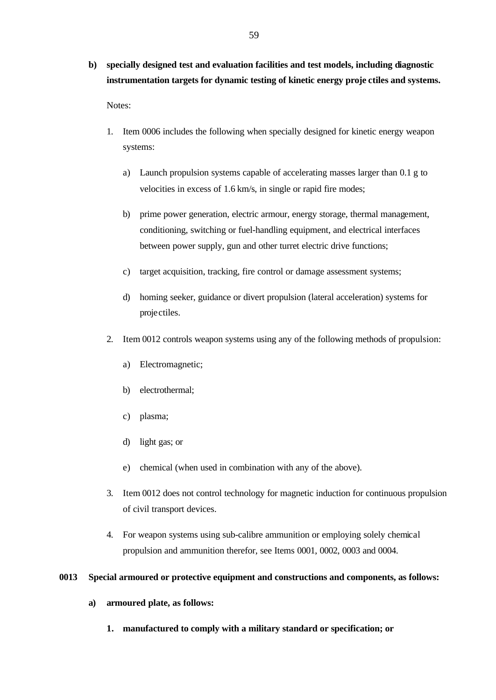**b) specially designed test and evaluation facilities and test models, including diagnostic instrumentation targets for dynamic testing of kinetic energy proje ctiles and systems.**

Notes:

- 1. Item 0006 includes the following when specially designed for kinetic energy weapon systems:
	- a) Launch propulsion systems capable of accelerating masses larger than 0.1 g to velocities in excess of 1.6 km/s, in single or rapid fire modes;
	- b) prime power generation, electric armour, energy storage, thermal management, conditioning, switching or fuel-handling equipment, and electrical interfaces between power supply, gun and other turret electric drive functions;
	- c) target acquisition, tracking, fire control or damage assessment systems;
	- d) homing seeker, guidance or divert propulsion (lateral acceleration) systems for projectiles.
- 2. Item 0012 controls weapon systems using any of the following methods of propulsion:
	- a) Electromagnetic;
	- b) electrothermal;
	- c) plasma;
	- d) light gas; or
	- e) chemical (when used in combination with any of the above).
- 3. Item 0012 does not control technology for magnetic induction for continuous propulsion of civil transport devices.
- 4. For weapon systems using sub-calibre ammunition or employing solely chemical propulsion and ammunition therefor, see Items 0001, 0002, 0003 and 0004.

### **0013 Special armoured or protective equipment and constructions and components, as follows:**

- **a) armoured plate, as follows:**
	- **1. manufactured to comply with a military standard or specification; or**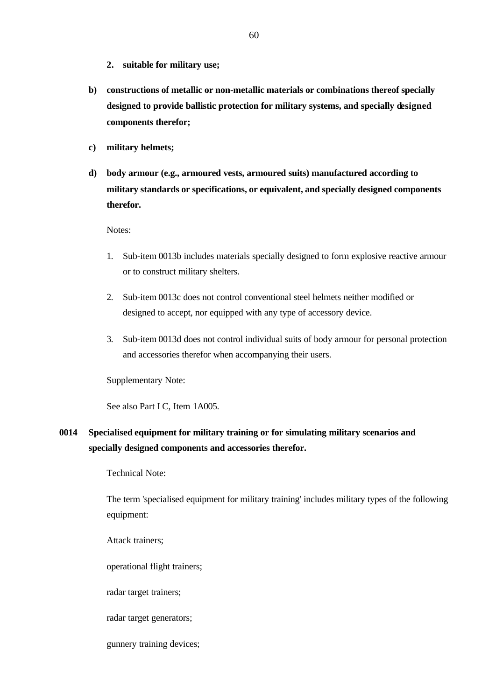- **2. suitable for military use;**
- **b) constructions of metallic or non-metallic materials or combinations thereof specially designed to provide ballistic protection for military systems, and specially designed components therefor;**
- **c) military helmets;**
- **d) body armour (e.g., armoured vests, armoured suits) manufactured according to military standards or specifications, or equivalent, and specially designed components therefor.**

Notes:

- 1. Sub-item 0013b includes materials specially designed to form explosive reactive armour or to construct military shelters.
- 2. Sub-item 0013c does not control conventional steel helmets neither modified or designed to accept, nor equipped with any type of accessory device.
- 3. Sub-item 0013d does not control individual suits of body armour for personal protection and accessories therefor when accompanying their users.

Supplementary Note:

See also Part I C, Item 1A005.

# **0014 Specialised equipment for military training or for simulating military scenarios and specially designed components and accessories therefor.**

Technical Note:

The term 'specialised equipment for military training' includes military types of the following equipment:

Attack trainers;

operational flight trainers;

radar target trainers;

radar target generators;

gunnery training devices;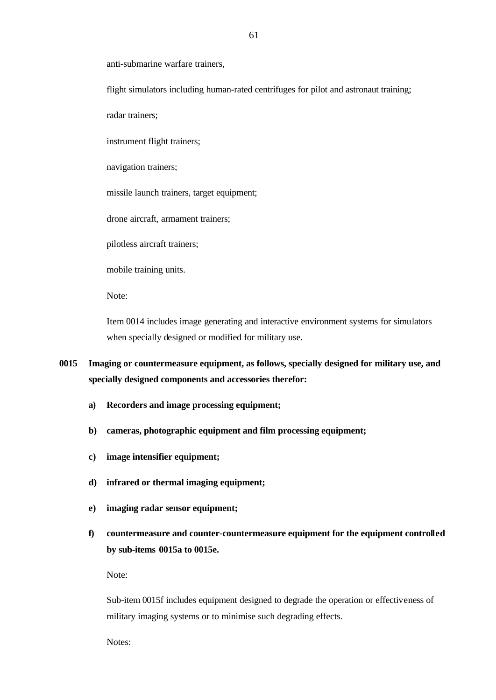anti-submarine warfare trainers,

flight simulators including human-rated centrifuges for pilot and astronaut training;

radar trainers;

instrument flight trainers;

navigation trainers;

missile launch trainers, target equipment;

drone aircraft, armament trainers;

pilotless aircraft trainers;

mobile training units.

Note:

Item 0014 includes image generating and interactive environment systems for simulators when specially designed or modified for military use.

- **0015 Imaging or countermeasure equipment, as follows, specially designed for military use, and specially designed components and accessories therefor:**
	- **a) Recorders and image processing equipment;**
	- **b) cameras, photographic equipment and film processing equipment;**
	- **c) image intensifier equipment;**
	- **d) infrared or thermal imaging equipment;**
	- **e) imaging radar sensor equipment;**
	- **f) countermeasure and counter-countermeasure equipment for the equipment controlled by sub-items 0015a to 0015e.**

Note:

Sub-item 0015f includes equipment designed to degrade the operation or effectiveness of military imaging systems or to minimise such degrading effects.

Notes: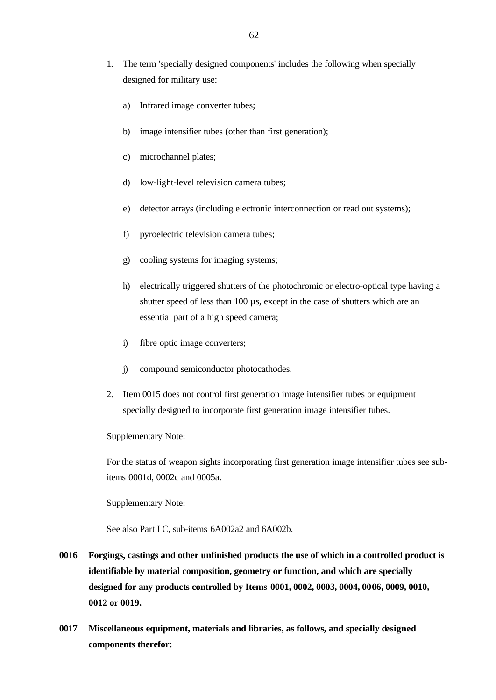- 1. The term 'specially designed components' includes the following when specially designed for military use:
	- a) Infrared image converter tubes;
	- b) image intensifier tubes (other than first generation);
	- c) microchannel plates;
	- d) low-light-level television camera tubes;
	- e) detector arrays (including electronic interconnection or read out systems);
	- f) pyroelectric television camera tubes;
	- g) cooling systems for imaging systems;
	- h) electrically triggered shutters of the photochromic or electro-optical type having a shutter speed of less than 100  $\mu$ s, except in the case of shutters which are an essential part of a high speed camera;
	- i) fibre optic image converters;
	- j) compound semiconductor photocathodes.
- 2. Item 0015 does not control first generation image intensifier tubes or equipment specially designed to incorporate first generation image intensifier tubes.

Supplementary Note:

For the status of weapon sights incorporating first generation image intensifier tubes see subitems 0001d, 0002c and 0005a.

Supplementary Note:

See also Part I C, sub-items 6A002a2 and 6A002b.

- **0016 Forgings, castings and other unfinished products the use of which in a controlled product is identifiable by material composition, geometry or function, and which are specially designed for any products controlled by Items 0001, 0002, 0003, 0004, 0006, 0009, 0010, 0012 or 0019.**
- **0017 Miscellaneous equipment, materials and libraries, as follows, and specially designed components therefor:**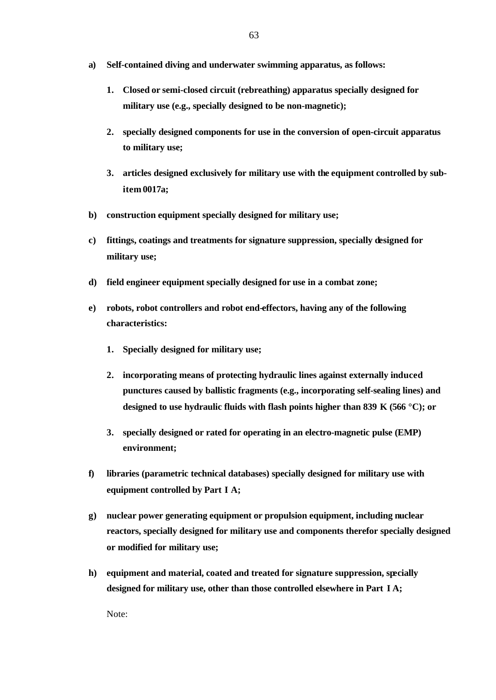- **a) Self-contained diving and underwater swimming apparatus, as follows:**
	- **1. Closed or semi-closed circuit (rebreathing) apparatus specially designed for military use (e.g., specially designed to be non-magnetic);**
	- **2. specially designed components for use in the conversion of open-circuit apparatus to military use;**
	- **3. articles designed exclusively for military use with the equipment controlled by subitem 0017a;**
- **b) construction equipment specially designed for military use;**
- **c) fittings, coatings and treatments for signature suppression, specially designed for military use;**
- **d) field engineer equipment specially designed for use in a combat zone;**
- **e) robots, robot controllers and robot end-effectors, having any of the following characteristics:**
	- **1. Specially designed for military use;**
	- **2. incorporating means of protecting hydraulic lines against externally induced punctures caused by ballistic fragments (e.g., incorporating self-sealing lines) and designed to use hydraulic fluids with flash points higher than 839 K (566 °C); or**
	- **3. specially designed or rated for operating in an electro-magnetic pulse (EMP) environment;**
- **f) libraries (parametric technical databases) specially designed for military use with equipment controlled by Part I A;**
- **g) nuclear power generating equipment or propulsion equipment, including nuclear reactors, specially designed for military use and components therefor specially designed or modified for military use;**
- **h) equipment and material, coated and treated for signature suppression, specially designed for military use, other than those controlled elsewhere in Part I A;**

Note: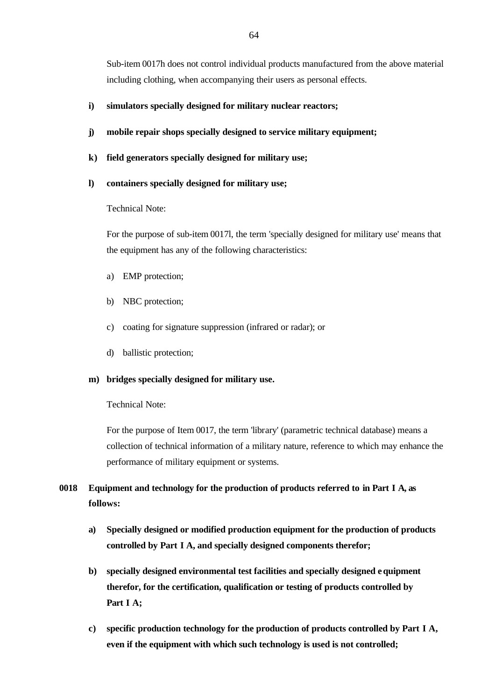Sub-item 0017h does not control individual products manufactured from the above material including clothing, when accompanying their users as personal effects.

### **i) simulators specially designed for military nuclear reactors;**

- **j) mobile repair shops specially designed to service military equipment;**
- **k) field generators specially designed for military use;**
- **l) containers specially designed for military use;**

#### Technical Note:

For the purpose of sub-item 0017l, the term 'specially designed for military use' means that the equipment has any of the following characteristics:

- a) EMP protection;
- b) NBC protection;
- c) coating for signature suppression (infrared or radar); or
- d) ballistic protection;

#### **m) bridges specially designed for military use.**

#### Technical Note:

For the purpose of Item 0017, the term 'library' (parametric technical database) means a collection of technical information of a military nature, reference to which may enhance the performance of military equipment or systems.

# **0018 Equipment and technology for the production of products referred to in Part I A, as follows:**

- **a) Specially designed or modified production equipment for the production of products controlled by Part I A, and specially designed components therefor;**
- **b) specially designed environmental test facilities and specially designed equipment therefor, for the certification, qualification or testing of products controlled by Part I A;**
- **c) specific production technology for the production of products controlled by Part I A, even if the equipment with which such technology is used is not controlled;**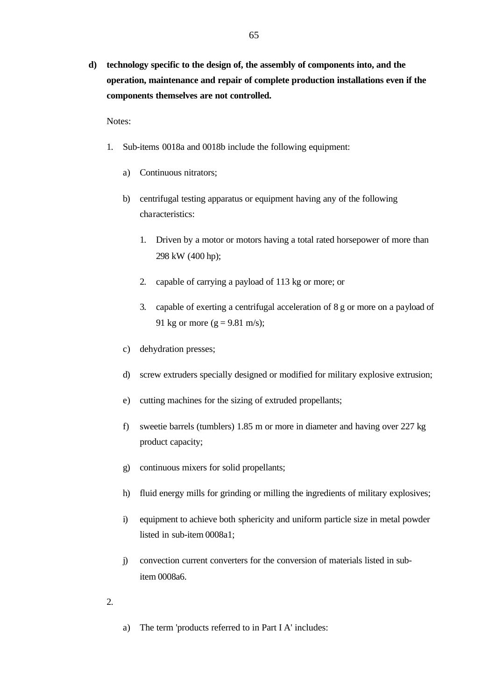**d) technology specific to the design of, the assembly of components into, and the operation, maintenance and repair of complete production installations even if the components themselves are not controlled.**

Notes:

- 1. Sub-items 0018a and 0018b include the following equipment:
	- a) Continuous nitrators;
	- b) centrifugal testing apparatus or equipment having any of the following characteristics:
		- 1. Driven by a motor or motors having a total rated horsepower of more than 298 kW (400 hp);
		- 2. capable of carrying a payload of 113 kg or more; or
		- 3. capable of exerting a centrifugal acceleration of 8 g or more on a payload of 91 kg or more ( $g = 9.81$  m/s);
	- c) dehydration presses;
	- d) screw extruders specially designed or modified for military explosive extrusion;
	- e) cutting machines for the sizing of extruded propellants;
	- f) sweetie barrels (tumblers) 1.85 m or more in diameter and having over 227 kg product capacity;
	- g) continuous mixers for solid propellants;
	- h) fluid energy mills for grinding or milling the ingredients of military explosives;
	- i) equipment to achieve both sphericity and uniform particle size in metal powder listed in sub-item 0008a1;
	- j) convection current converters for the conversion of materials listed in subitem 0008a6.
- 2.
- a) The term 'products referred to in Part I A' includes: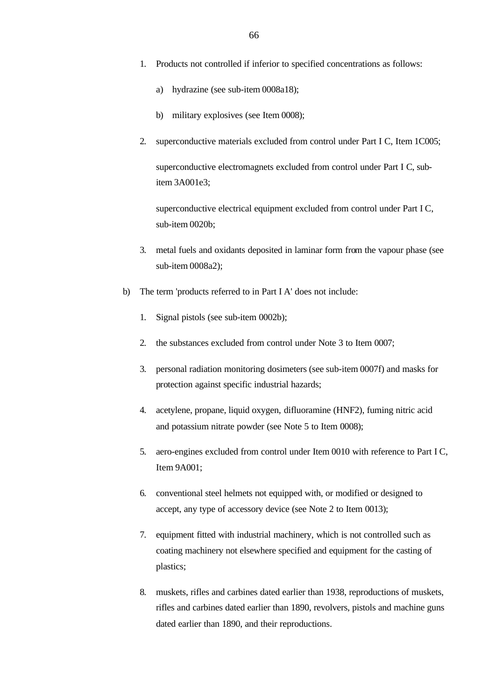- 1. Products not controlled if inferior to specified concentrations as follows:
	- a) hydrazine (see sub-item 0008a18);
	- b) military explosives (see Item 0008);
- 2. superconductive materials excluded from control under Part I C, Item 1C005;

superconductive electromagnets excluded from control under Part I C, subitem 3A001e3;

superconductive electrical equipment excluded from control under Part I C, sub-item 0020b;

- 3. metal fuels and oxidants deposited in laminar form from the vapour phase (see sub-item 0008a2);
- b) The term 'products referred to in Part I A' does not include:
	- 1. Signal pistols (see sub-item 0002b);
	- 2. the substances excluded from control under Note 3 to Item 0007;
	- 3. personal radiation monitoring dosimeters (see sub-item 0007f) and masks for protection against specific industrial hazards;
	- 4. acetylene, propane, liquid oxygen, difluoramine (HNF2), fuming nitric acid and potassium nitrate powder (see Note 5 to Item 0008);
	- 5. aero-engines excluded from control under Item 0010 with reference to Part I C, Item 9A001;
	- 6. conventional steel helmets not equipped with, or modified or designed to accept, any type of accessory device (see Note 2 to Item 0013);
	- 7. equipment fitted with industrial machinery, which is not controlled such as coating machinery not elsewhere specified and equipment for the casting of plastics;
	- 8. muskets, rifles and carbines dated earlier than 1938, reproductions of muskets, rifles and carbines dated earlier than 1890, revolvers, pistols and machine guns dated earlier than 1890, and their reproductions.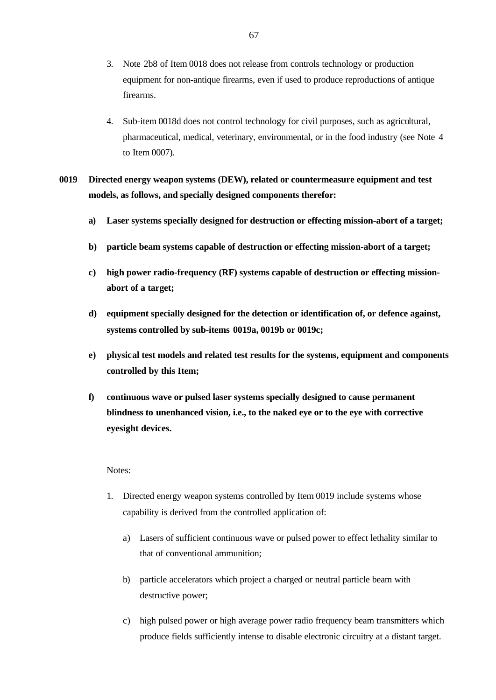- 3. Note 2b8 of Item 0018 does not release from controls technology or production equipment for non-antique firearms, even if used to produce reproductions of antique firearms.
- 4. Sub-item 0018d does not control technology for civil purposes, such as agricultural, pharmaceutical, medical, veterinary, environmental, or in the food industry (see Note 4 to Item 0007).

# **0019 Directed energy weapon systems (DEW), related or countermeasure equipment and test models, as follows, and specially designed components therefor:**

- **a) Laser systems specially designed for destruction or effecting mission-abort of a target;**
- **b) particle beam systems capable of destruction or effecting mission-abort of a target;**
- **c) high power radio-frequency (RF) systems capable of destruction or effecting missionabort of a target;**
- **d) equipment specially designed for the detection or identification of, or defence against, systems controlled by sub-items 0019a, 0019b or 0019c;**
- **e) physical test models and related test results for the systems, equipment and components controlled by this Item;**
- **f) continuous wave or pulsed laser systems specially designed to cause permanent blindness to unenhanced vision, i.e., to the naked eye or to the eye with corrective eyesight devices.**

### Notes:

- 1. Directed energy weapon systems controlled by Item 0019 include systems whose capability is derived from the controlled application of:
	- a) Lasers of sufficient continuous wave or pulsed power to effect lethality similar to that of conventional ammunition;
	- b) particle accelerators which project a charged or neutral particle beam with destructive power;
	- c) high pulsed power or high average power radio frequency beam transmitters which produce fields sufficiently intense to disable electronic circuitry at a distant target.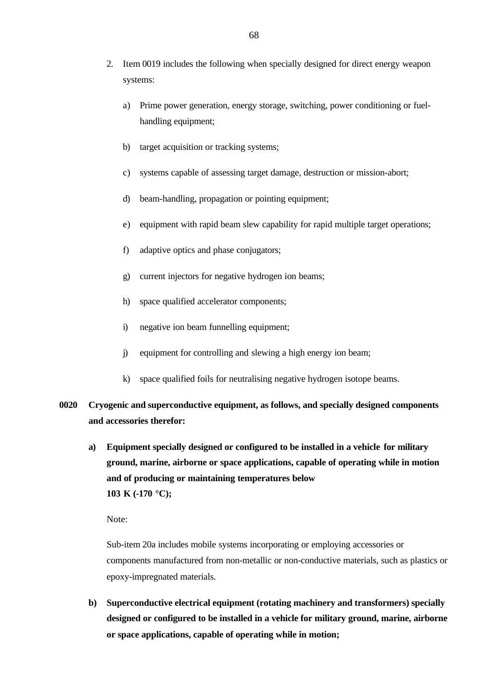- 2. Item 0019 includes the following when specially designed for direct energy weapon systems:
	- a) Prime power generation, energy storage, switching, power conditioning or fuelhandling equipment;
	- b) target acquisition or tracking systems;
	- c) systems capable of assessing target damage, destruction or mission-abort;
	- d) beam-handling, propagation or pointing equipment;
	- e) equipment with rapid beam slew capability for rapid multiple target operations;
	- f) adaptive optics and phase conjugators;
	- g) current injectors for negative hydrogen ion beams;
	- h) space qualified accelerator components;
	- i) negative ion beam funnelling equipment;
	- j) equipment for controlling and slewing a high energy ion beam;
	- k) space qualified foils for neutralising negative hydrogen isotope beams.
- **0020 Cryogenic and superconductive equipment, as follows, and specially designed components and accessories therefor:**
	- **a) Equipment specially designed or configured to be installed in a vehicle for military ground, marine, airborne or space applications, capable of operating while in motion and of producing or maintaining temperatures below 103 K (-170 °C);**

Note:

Sub-item 20a includes mobile systems incorporating or employing accessories or components manufactured from non-metallic or non-conductive materials, such as plastics or epoxy-impregnated materials.

**b) Superconductive electrical equipment (rotating machinery and transformers) specially designed or configured to be installed in a vehicle for military ground, marine, airborne or space applications, capable of operating while in motion;**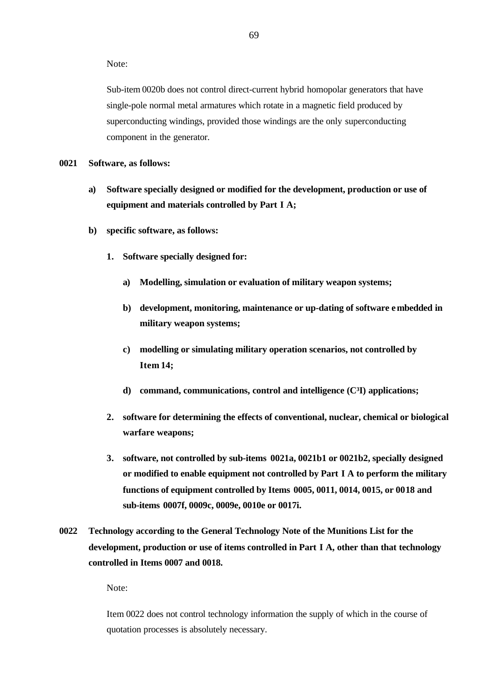Note:

Sub-item 0020b does not control direct-current hybrid homopolar generators that have single-pole normal metal armatures which rotate in a magnetic field produced by superconducting windings, provided those windings are the only superconducting component in the generator.

#### **0021 Software, as follows:**

- **a) Software specially designed or modified for the development, production or use of equipment and materials controlled by Part I A;**
- **b) specific software, as follows:**
	- **1. Software specially designed for:**
		- **a) Modelling, simulation or evaluation of military weapon systems;**
		- **b) development, monitoring, maintenance or up-dating of software embedded in military weapon systems;**
		- **c) modelling or simulating military operation scenarios, not controlled by Item 14;**
		- **d) command, communications, control and intelligence (C³I) applications;**
	- **2. software for determining the effects of conventional, nuclear, chemical or biological warfare weapons;**
	- **3. software, not controlled by sub-items 0021a, 0021b1 or 0021b2, specially designed or modified to enable equipment not controlled by Part I A to perform the military functions of equipment controlled by Items 0005, 0011, 0014, 0015, or 0018 and sub-items 0007f, 0009c, 0009e, 0010e or 0017i.**
- **0022 Technology according to the General Technology Note of the Munitions List for the development, production or use of items controlled in Part I A, other than that technology controlled in Items 0007 and 0018.**

Note:

Item 0022 does not control technology information the supply of which in the course of quotation processes is absolutely necessary.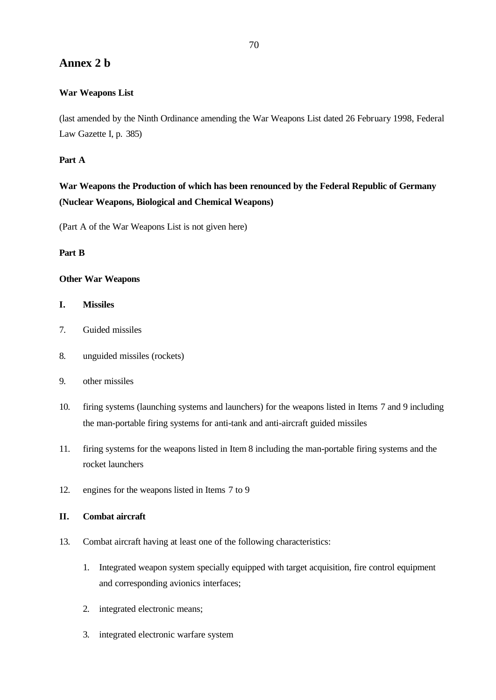# **Annex 2 b**

## **War Weapons List**

(last amended by the Ninth Ordinance amending the War Weapons List dated 26 February 1998, Federal Law Gazette I, p. 385)

## **Part A**

# **War Weapons the Production of which has been renounced by the Federal Republic of Germany (Nuclear Weapons, Biological and Chemical Weapons)**

(Part A of the War Weapons List is not given here)

## **Part B**

## **Other War Weapons**

## **I. Missiles**

- 7. Guided missiles
- 8. unguided missiles (rockets)
- 9. other missiles
- 10. firing systems (launching systems and launchers) for the weapons listed in Items 7 and 9 including the man-portable firing systems for anti-tank and anti-aircraft guided missiles
- 11. firing systems for the weapons listed in Item 8 including the man-portable firing systems and the rocket launchers
- 12. engines for the weapons listed in Items 7 to 9

## **II. Combat aircraft**

- 13. Combat aircraft having at least one of the following characteristics:
	- 1. Integrated weapon system specially equipped with target acquisition, fire control equipment and corresponding avionics interfaces;
	- 2. integrated electronic means;
	- 3. integrated electronic warfare system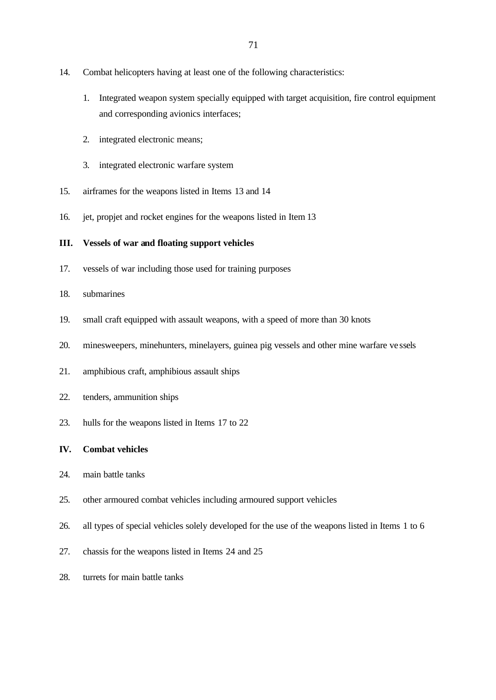- 14. Combat helicopters having at least one of the following characteristics:
	- 1. Integrated weapon system specially equipped with target acquisition, fire control equipment and corresponding avionics interfaces;
	- 2. integrated electronic means;
	- 3. integrated electronic warfare system
- 15. airframes for the weapons listed in Items 13 and 14
- 16. jet, propjet and rocket engines for the weapons listed in Item 13

#### **III. Vessels of war and floating support vehicles**

- 17. vessels of war including those used for training purposes
- 18. submarines
- 19. small craft equipped with assault weapons, with a speed of more than 30 knots
- 20. minesweepers, minehunters, minelayers, guinea pig vessels and other mine warfare ve ssels
- 21. amphibious craft, amphibious assault ships
- 22. tenders, ammunition ships
- 23. hulls for the weapons listed in Items 17 to 22

#### **IV. Combat vehicles**

- 24. main battle tanks
- 25. other armoured combat vehicles including armoured support vehicles
- 26. all types of special vehicles solely developed for the use of the weapons listed in Items 1 to 6
- 27. chassis for the weapons listed in Items 24 and 25
- 28. turrets for main battle tanks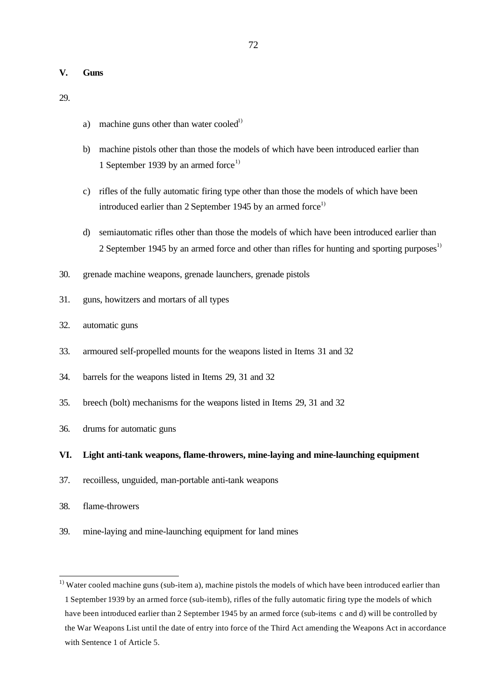#### **V. Guns**

29.

- a) machine guns other than water cooled<sup>1)</sup>
- b) machine pistols other than those the models of which have been introduced earlier than 1 September 1939 by an armed force<sup>1)</sup>
- c) rifles of the fully automatic firing type other than those the models of which have been introduced earlier than 2 September 1945 by an armed force<sup>1)</sup>
- d) semiautomatic rifles other than those the models of which have been introduced earlier than 2 September 1945 by an armed force and other than rifles for hunting and sporting purposes<sup>1)</sup>
- 30. grenade machine weapons, grenade launchers, grenade pistols
- 31. guns, howitzers and mortars of all types
- 32. automatic guns
- 33. armoured self-propelled mounts for the weapons listed in Items 31 and 32
- 34. barrels for the weapons listed in Items 29, 31 and 32
- 35. breech (bolt) mechanisms for the weapons listed in Items 29, 31 and 32
- 36. drums for automatic guns

#### **VI. Light anti-tank weapons, flame-throwers, mine-laying and mine-launching equipment**

- 37. recoilless, unguided, man-portable anti-tank weapons
- 38. flame-throwers

 $\overline{\phantom{a}}$ 

39. mine-laying and mine-launching equipment for land mines

 $1)$  Water cooled machine guns (sub-item a), machine pistols the models of which have been introduced earlier than 1 September 1939 by an armed force (sub-item b), rifles of the fully automatic firing type the models of which have been introduced earlier than 2 September 1945 by an armed force (sub-items c and d) will be controlled by the War Weapons List until the date of entry into force of the Third Act amending the Weapons Act in accordance with Sentence 1 of Article 5.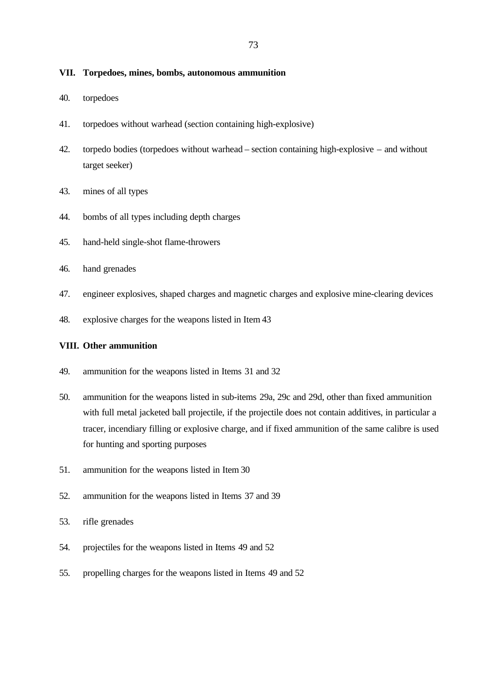#### **VII. Torpedoes, mines, bombs, autonomous ammunition**

- 40. torpedoes
- 41. torpedoes without warhead (section containing high-explosive)
- 42. torpedo bodies (torpedoes without warhead section containing high-explosive and without target seeker)
- 43. mines of all types
- 44. bombs of all types including depth charges
- 45. hand-held single-shot flame-throwers
- 46. hand grenades
- 47. engineer explosives, shaped charges and magnetic charges and explosive mine-clearing devices
- 48. explosive charges for the weapons listed in Item 43

#### **VIII. Other ammunition**

- 49. ammunition for the weapons listed in Items 31 and 32
- 50. ammunition for the weapons listed in sub-items 29a, 29c and 29d, other than fixed ammunition with full metal jacketed ball projectile, if the projectile does not contain additives, in particular a tracer, incendiary filling or explosive charge, and if fixed ammunition of the same calibre is used for hunting and sporting purposes
- 51. ammunition for the weapons listed in Item 30
- 52. ammunition for the weapons listed in Items 37 and 39
- 53. rifle grenades
- 54. projectiles for the weapons listed in Items 49 and 52
- 55. propelling charges for the weapons listed in Items 49 and 52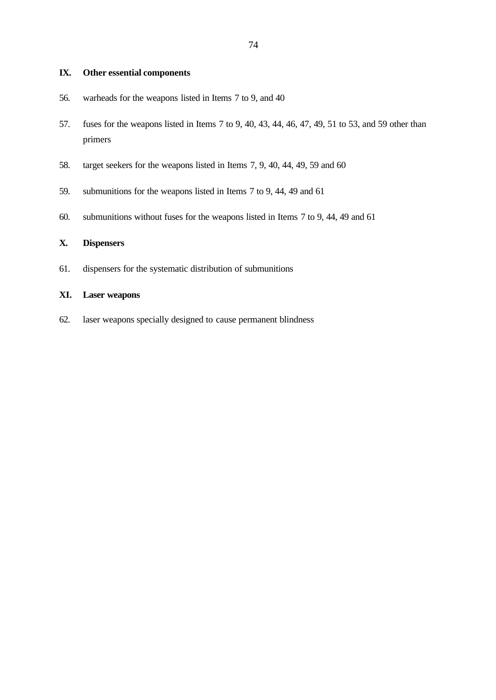## **IX. Other essential components**

- 56. warheads for the weapons listed in Items 7 to 9, and 40
- 57. fuses for the weapons listed in Items 7 to 9, 40, 43, 44, 46, 47, 49, 51 to 53, and 59 other than primers
- 58. target seekers for the weapons listed in Items 7, 9, 40, 44, 49, 59 and 60
- 59. submunitions for the weapons listed in Items 7 to 9, 44, 49 and 61
- 60. submunitions without fuses for the weapons listed in Items 7 to 9, 44, 49 and 61

## **X. Dispensers**

61. dispensers for the systematic distribution of submunitions

#### **XI. Laser weapons**

62. laser weapons specially designed to cause permanent blindness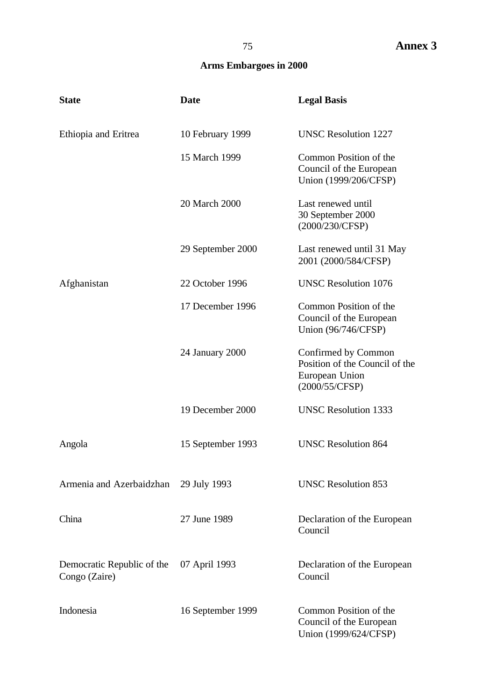# 75 **Annex 3**

# **Arms Embargoes in 2000**

| <b>State</b>                                | <b>Date</b>       | <b>Legal Basis</b>                                                                        |
|---------------------------------------------|-------------------|-------------------------------------------------------------------------------------------|
| Ethiopia and Eritrea                        | 10 February 1999  | <b>UNSC Resolution 1227</b>                                                               |
|                                             | 15 March 1999     | Common Position of the<br>Council of the European<br>Union (1999/206/CFSP)                |
|                                             | 20 March 2000     | Last renewed until<br>30 September 2000<br>(2000/230/CFSP)                                |
|                                             | 29 September 2000 | Last renewed until 31 May<br>2001 (2000/584/CFSP)                                         |
| Afghanistan                                 | 22 October 1996   | <b>UNSC Resolution 1076</b>                                                               |
|                                             | 17 December 1996  | Common Position of the<br>Council of the European<br>Union (96/746/CFSP)                  |
|                                             | 24 January 2000   | Confirmed by Common<br>Position of the Council of the<br>European Union<br>(2000/55/CFSP) |
|                                             | 19 December 2000  | <b>UNSC Resolution 1333</b>                                                               |
| Angola                                      | 15 September 1993 | <b>UNSC Resolution 864</b>                                                                |
| Armenia and Azerbaidzhan 29 July 1993       |                   | <b>UNSC Resolution 853</b>                                                                |
| China                                       | 27 June 1989      | Declaration of the European<br>Council                                                    |
| Democratic Republic of the<br>Congo (Zaire) | 07 April 1993     | Declaration of the European<br>Council                                                    |
| Indonesia                                   | 16 September 1999 | Common Position of the<br>Council of the European<br>Union (1999/624/CFSP)                |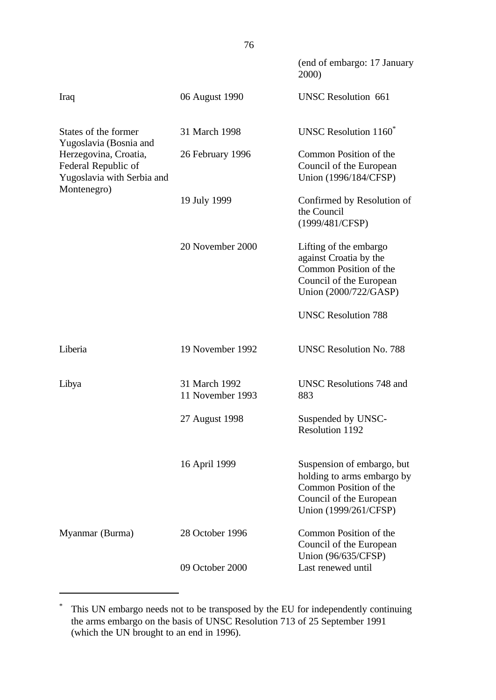|                                                                                           |                                   | (end of embargo: 17 January<br>2000)                                                                                                   |
|-------------------------------------------------------------------------------------------|-----------------------------------|----------------------------------------------------------------------------------------------------------------------------------------|
| Iraq                                                                                      | 06 August 1990                    | <b>UNSC Resolution 661</b>                                                                                                             |
| States of the former<br>Yugoslavia (Bosnia and                                            | 31 March 1998                     | UNSC Resolution 1160 <sup>*</sup>                                                                                                      |
| Herzegovina, Croatia,<br>Federal Republic of<br>Yugoslavia with Serbia and<br>Montenegro) | 26 February 1996                  | Common Position of the<br>Council of the European<br>Union (1996/184/CFSP)                                                             |
|                                                                                           | 19 July 1999                      | Confirmed by Resolution of<br>the Council<br>(1999/481/CFSP)                                                                           |
|                                                                                           | 20 November 2000                  | Lifting of the embargo<br>against Croatia by the<br>Common Position of the<br>Council of the European<br>Union (2000/722/GASP)         |
|                                                                                           |                                   | <b>UNSC Resolution 788</b>                                                                                                             |
| Liberia                                                                                   | 19 November 1992                  | <b>UNSC Resolution No. 788</b>                                                                                                         |
| Libya                                                                                     | 31 March 1992<br>11 November 1993 | UNSC Resolutions 748 and<br>883                                                                                                        |
|                                                                                           | 27 August 1998                    | Suspended by UNSC-<br><b>Resolution 1192</b>                                                                                           |
|                                                                                           | 16 April 1999                     | Suspension of embargo, but<br>holding to arms embargo by<br>Common Position of the<br>Council of the European<br>Union (1999/261/CFSP) |
| Myanmar (Burma)                                                                           | 28 October 1996                   | Common Position of the<br>Council of the European<br>Union (96/635/CFSP)                                                               |
|                                                                                           | 09 October 2000                   | Last renewed until                                                                                                                     |

<sup>\*</sup> This UN embargo needs not to be transposed by the EU for independently continuing the arms embargo on the basis of UNSC Resolution 713 of 25 September 1991 (which the UN brought to an end in 1996).

l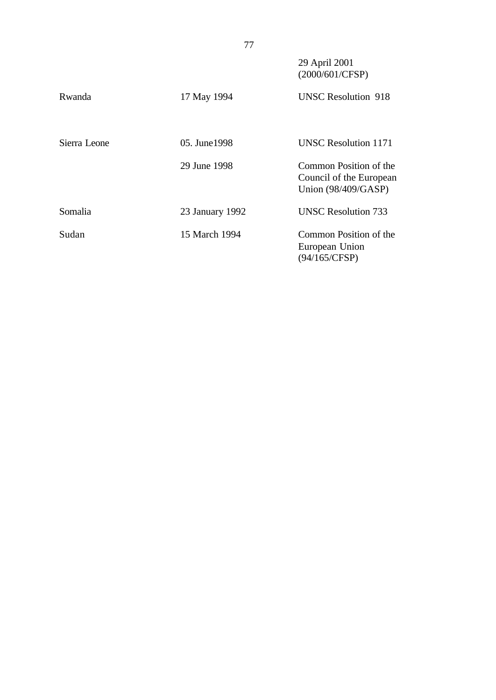|              | 77              |                                                                            |
|--------------|-----------------|----------------------------------------------------------------------------|
|              |                 | 29 April 2001<br>(2000/601/CFSP)                                           |
| Rwanda       | 17 May 1994     | <b>UNSC Resolution 918</b>                                                 |
| Sierra Leone | 05. June 1998   | <b>UNSC Resolution 1171</b>                                                |
|              | 29 June 1998    | Common Position of the<br>Council of the European<br>Union $(98/409/GASP)$ |
| Somalia      | 23 January 1992 | <b>UNSC Resolution 733</b>                                                 |
| Sudan        | 15 March 1994   | Common Position of the<br>European Union<br>(94/165/CFSP)                  |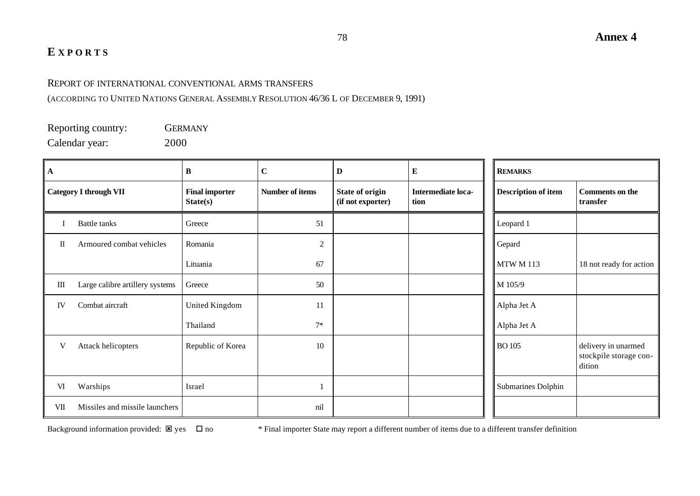# **E XPORTS**

# REPORT OF INTERNATIONAL CONVENTIONAL ARMS TRANSFERS

(ACCORDING TO UNITED NATIONS GENERAL ASSEMBLY RESOLUTION 46/36 L OF DECEMBER 9, 1991)

Reporting country: GERMANY Calendar year: 2000

| $\mathbf A$                     |                                 | B                                 | $\mathbf C$     | D                                           | E                          | <b>REMARKS</b>             |                                                         |
|---------------------------------|---------------------------------|-----------------------------------|-----------------|---------------------------------------------|----------------------------|----------------------------|---------------------------------------------------------|
| <b>Category I through VII</b>   |                                 | <b>Final importer</b><br>State(s) | Number of items | <b>State of origin</b><br>(if not exporter) | Intermediate loca-<br>tion | <b>Description of item</b> | <b>Comments on the</b><br>transfer                      |
|                                 | <b>Battle tanks</b>             | Greece                            | 51              |                                             |                            | Leopard 1                  |                                                         |
| $\mathop{\mathrm{II}}\nolimits$ | Armoured combat vehicles        | Romania                           | $\overline{2}$  |                                             |                            | Gepard                     |                                                         |
|                                 |                                 | Lituania                          | 67              |                                             |                            | <b>MTW M 113</b>           | 18 not ready for action                                 |
| Ш                               | Large calibre artillery systems | Greece                            | 50              |                                             |                            | M 105/9                    |                                                         |
| IV                              | Combat aircraft                 | United Kingdom                    | 11              |                                             |                            | Alpha Jet A                |                                                         |
|                                 |                                 | Thailand                          | $7*$            |                                             |                            | Alpha Jet A                |                                                         |
| V                               | Attack helicopters              | Republic of Korea                 | 10              |                                             |                            | <b>BO</b> 105              | delivery in unarmed<br>stockpile storage con-<br>dition |
| VI                              | Warships                        | Israel                            |                 |                                             |                            | Submarines Dolphin         |                                                         |
| VII                             | Missiles and missile launchers  |                                   | nil             |                                             |                            |                            |                                                         |

Background information provided:  $\boxtimes$  yes  $\Box$  no  $*$  Final importer State may report a different number of items due to a different transfer definition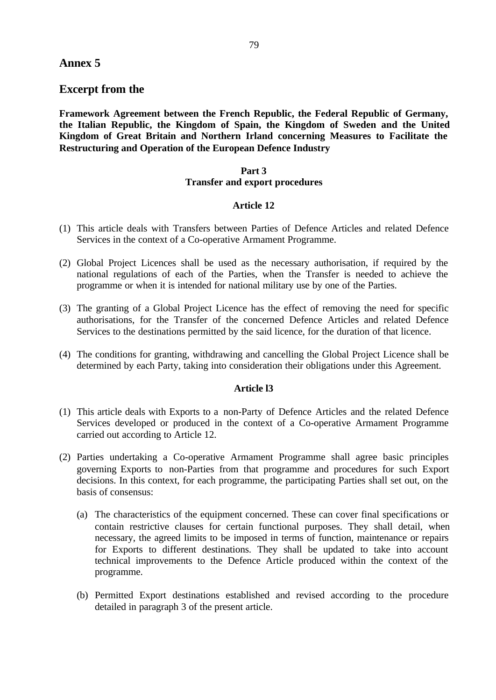# **Annex 5**

# **Excerpt from the**

**Framework Agreement between the French Republic, the Federal Republic of Germany, the Italian Republic, the Kingdom of Spain, the Kingdom of Sweden and the United Kingdom of Great Britain and Northern Irland concerning Measures to Facilitate the Restructuring and Operation of the European Defence Industry**

# **Part 3 Transfer and export procedures**

## **Article 12**

- (1) This article deals with Transfers between Parties of Defence Articles and related Defence Services in the context of a Co-operative Armament Programme.
- (2) Global Project Licences shall be used as the necessary authorisation, if required by the national regulations of each of the Parties, when the Transfer is needed to achieve the programme or when it is intended for national military use by one of the Parties.
- (3) The granting of a Global Project Licence has the effect of removing the need for specific authorisations, for the Transfer of the concerned Defence Articles and related Defence Services to the destinations permitted by the said licence, for the duration of that licence.
- (4) The conditions for granting, withdrawing and cancelling the Global Project Licence shall be determined by each Party, taking into consideration their obligations under this Agreement.

## **Article l3**

- (1) This article deals with Exports to a non-Party of Defence Articles and the related Defence Services developed or produced in the context of a Co-operative Armament Programme carried out according to Article 12.
- (2) Parties undertaking a Co-operative Armament Programme shall agree basic principles governing Exports to non-Parties from that programme and procedures for such Export decisions. In this context, for each programme, the participating Parties shall set out, on the basis of consensus:
	- (a) The characteristics of the equipment concerned. These can cover final specifications or contain restrictive clauses for certain functional purposes. They shall detail, when necessary, the agreed limits to be imposed in terms of function, maintenance or repairs for Exports to different destinations. They shall be updated to take into account technical improvements to the Defence Article produced within the context of the programme.
	- (b) Permitted Export destinations established and revised according to the procedure detailed in paragraph 3 of the present article.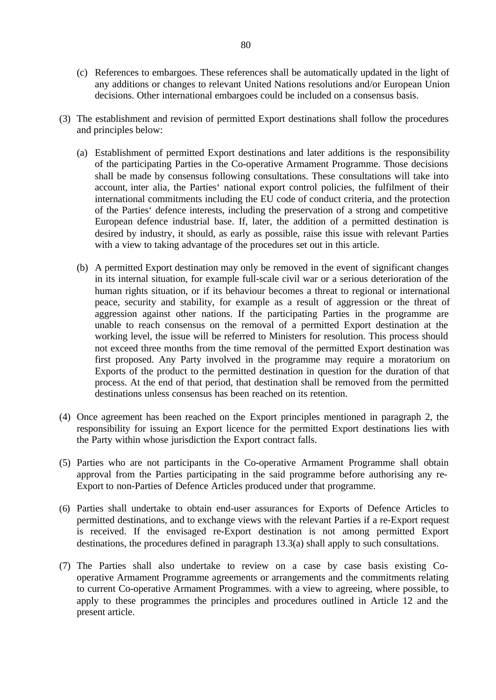- (c) References to embargoes. These references shall be automatically updated in the light of any additions or changes to relevant United Nations resolutions and/or European Union decisions. Other international embargoes could be included on a consensus basis.
- (3) The establishment and revision of permitted Export destinations shall follow the procedures and principles below:
	- (a) Establishment of permitted Export destinations and later additions is the responsibility of the participating Parties in the Co-operative Armament Programme. Those decisions shall be made by consensus following consultations. These consultations will take into account, inter alia, the Parties' national export control policies, the fulfilment of their international commitments including the EU code of conduct criteria, and the protection of the Parties' defence interests, including the preservation of a strong and competitive European defence industrial base. If, later, the addition of a permitted destination is desired by industry, it should, as early as possible, raise this issue with relevant Parties with a view to taking advantage of the procedures set out in this article.
	- (b) A permitted Export destination may only be removed in the event of significant changes in its internal situation, for example full-scale civil war or a serious deterioration of the human rights situation, or if its behaviour becomes a threat to regional or international peace, security and stability, for example as a result of aggression or the threat of aggression against other nations. If the participating Parties in the programme are unable to reach consensus on the removal of a permitted Export destination at the working level, the issue will be referred to Ministers for resolution. This process should not exceed three months from the time removal of the permitted Export destination was first proposed. Any Party involved in the programme may require a moratorium on Exports of the product to the permitted destination in question for the duration of that process. At the end of that period, that destination shall be removed from the permitted destinations unless consensus has been reached on its retention.
- (4) Once agreement has been reached on the Export principles mentioned in paragraph 2, the responsibility for issuing an Export licence for the permitted Export destinations lies with the Party within whose jurisdiction the Export contract falls.
- (5) Parties who are not participants in the Co-operative Armament Programme shall obtain approval from the Parties participating in the said programme before authorising any re-Export to non-Parties of Defence Articles produced under that programme.
- (6) Parties shall undertake to obtain end-user assurances for Exports of Defence Articles to permitted destinations, and to exchange views with the relevant Parties if a re-Export request is received. If the envisaged re-Export destination is not among permitted Export destinations, the procedures defined in paragraph 13.3(a) shall apply to such consultations.
- (7) The Parties shall also undertake to review on a case by case basis existing Cooperative Armament Programme agreements or arrangements and the commitments relating to current Co-operative Armament Programmes. with a view to agreeing, where possible, to apply to these programmes the principles and procedures outlined in Article 12 and the present article.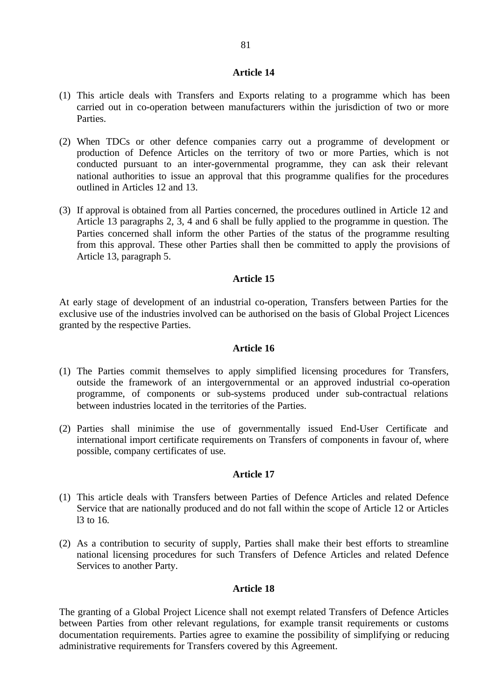#### **Article 14**

- (1) This article deals with Transfers and Exports relating to a programme which has been carried out in co-operation between manufacturers within the jurisdiction of two or more Parties.
- (2) When TDCs or other defence companies carry out a programme of development or production of Defence Articles on the territory of two or more Parties, which is not conducted pursuant to an inter-governmental programme, they can ask their relevant national authorities to issue an approval that this programme qualifies for the procedures outlined in Articles 12 and 13.
- (3) If approval is obtained from all Parties concerned, the procedures outlined in Article 12 and Article 13 paragraphs 2, 3, 4 and 6 shall be fully applied to the programme in question. The Parties concerned shall inform the other Parties of the status of the programme resulting from this approval. These other Parties shall then be committed to apply the provisions of Article 13, paragraph 5.

## **Article 15**

At early stage of development of an industrial co-operation, Transfers between Parties for the exclusive use of the industries involved can be authorised on the basis of Global Project Licences granted by the respective Parties.

### **Article 16**

- (1) The Parties commit themselves to apply simplified licensing procedures for Transfers, outside the framework of an intergovernmental or an approved industrial co-operation programme, of components or sub-systems produced under sub-contractual relations between industries located in the territories of the Parties.
- (2) Parties shall minimise the use of governmentally issued End-User Certificate and international import certificate requirements on Transfers of components in favour of, where possible, company certificates of use.

#### **Article 17**

- (1) This article deals with Transfers between Parties of Defence Articles and related Defence Service that are nationally produced and do not fall within the scope of Article 12 or Articles l3 to 16.
- (2) As a contribution to security of supply, Parties shall make their best efforts to streamline national licensing procedures for such Transfers of Defence Articles and related Defence Services to another Party.

# **Article 18**

The granting of a Global Project Licence shall not exempt related Transfers of Defence Articles between Parties from other relevant regulations, for example transit requirements or customs documentation requirements. Parties agree to examine the possibility of simplifying or reducing administrative requirements for Transfers covered by this Agreement.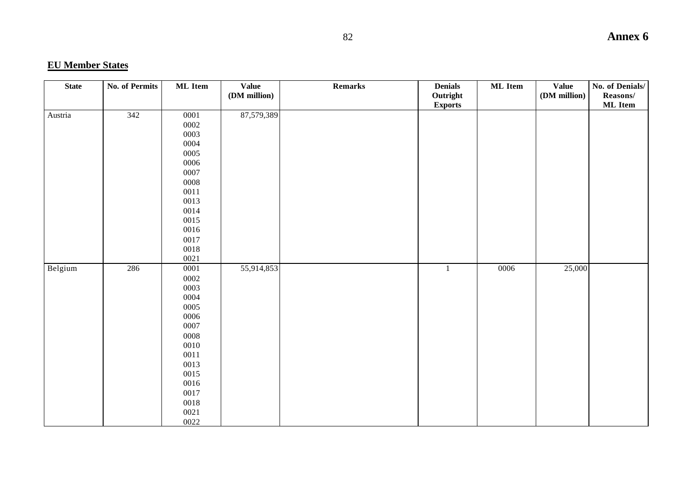# **EU Member States**

| <b>State</b> | <b>No. of Permits</b> | ML Item      | <b>Value</b> | Remarks | <b>Denials</b> | ML Item | <b>Value</b> | No. of Denials/ |
|--------------|-----------------------|--------------|--------------|---------|----------------|---------|--------------|-----------------|
|              |                       |              | (DM million) |         | Outright       |         | (DM million) | Reasons/        |
|              |                       |              |              |         | <b>Exports</b> |         |              | <b>ML</b> Item  |
| Austria      | 342                   | 0001         | 87,579,389   |         |                |         |              |                 |
|              |                       | 0002         |              |         |                |         |              |                 |
|              |                       | 0003         |              |         |                |         |              |                 |
|              |                       | 0004         |              |         |                |         |              |                 |
|              |                       | 0005         |              |         |                |         |              |                 |
|              |                       | 0006         |              |         |                |         |              |                 |
|              |                       | 0007         |              |         |                |         |              |                 |
|              |                       | ${\bf 0008}$ |              |         |                |         |              |                 |
|              |                       | $0011\,$     |              |         |                |         |              |                 |
|              |                       | 0013         |              |         |                |         |              |                 |
|              |                       | 0014         |              |         |                |         |              |                 |
|              |                       | 0015         |              |         |                |         |              |                 |
|              |                       | 0016         |              |         |                |         |              |                 |
|              |                       | 0017         |              |         |                |         |              |                 |
|              |                       | 0018         |              |         |                |         |              |                 |
|              |                       | 0021         |              |         |                |         |              |                 |
| Belgium      | 286                   | $0001\,$     | 55,914,853   |         | $\mathbf{1}$   | 0006    | 25,000       |                 |
|              |                       | 0002         |              |         |                |         |              |                 |
|              |                       | 0003         |              |         |                |         |              |                 |
|              |                       | 0004         |              |         |                |         |              |                 |
|              |                       | 0005         |              |         |                |         |              |                 |
|              |                       | 0006         |              |         |                |         |              |                 |
|              |                       | 0007         |              |         |                |         |              |                 |
|              |                       | 0008         |              |         |                |         |              |                 |
|              |                       | 0010         |              |         |                |         |              |                 |
|              |                       | 0011         |              |         |                |         |              |                 |
|              |                       | 0013         |              |         |                |         |              |                 |
|              |                       | 0015         |              |         |                |         |              |                 |
|              |                       | 0016         |              |         |                |         |              |                 |
|              |                       | $0017\,$     |              |         |                |         |              |                 |
|              |                       | 0018         |              |         |                |         |              |                 |
|              |                       | 0021         |              |         |                |         |              |                 |
|              |                       | 0022         |              |         |                |         |              |                 |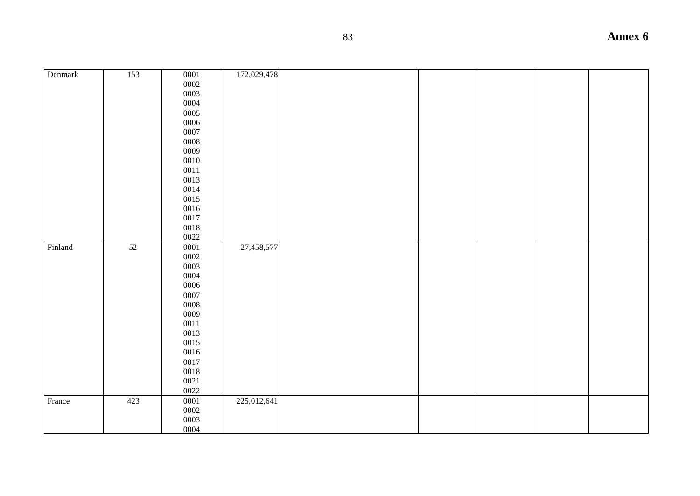| Denmark | 153 | 0001         | 172,029,478 |  |  |  |
|---------|-----|--------------|-------------|--|--|--|
|         |     | 0002         |             |  |  |  |
|         |     | 0003         |             |  |  |  |
|         |     | 0004         |             |  |  |  |
|         |     | 0005         |             |  |  |  |
|         |     | 0006         |             |  |  |  |
|         |     | 0007         |             |  |  |  |
|         |     | ${\bf 0008}$ |             |  |  |  |
|         |     | 0009         |             |  |  |  |
|         |     | $0010\,$     |             |  |  |  |
|         |     | 0011         |             |  |  |  |
|         |     | 0013         |             |  |  |  |
|         |     | 0014         |             |  |  |  |
|         |     | 0015         |             |  |  |  |
|         |     | 0016         |             |  |  |  |
|         |     | 0017         |             |  |  |  |
|         |     | $0018\,$     |             |  |  |  |
|         |     | 0022         |             |  |  |  |
| Finland | 52  | 0001         | 27,458,577  |  |  |  |
|         |     | $0002\,$     |             |  |  |  |
|         |     | 0003         |             |  |  |  |
|         |     | 0004         |             |  |  |  |
|         |     | 0006         |             |  |  |  |
|         |     | 0007         |             |  |  |  |
|         |     | ${\bf 0008}$ |             |  |  |  |
|         |     | 0009         |             |  |  |  |
|         |     | 0011         |             |  |  |  |
|         |     | 0013         |             |  |  |  |
|         |     | 0015         |             |  |  |  |
|         |     | 0016         |             |  |  |  |
|         |     | 0017         |             |  |  |  |
|         |     | $0018\,$     |             |  |  |  |
|         |     | $0021\,$     |             |  |  |  |
|         |     | 0022         |             |  |  |  |
| France  | 423 | $\,0001$     | 225,012,641 |  |  |  |
|         |     | $\,0002\,$   |             |  |  |  |
|         |     | 0003         |             |  |  |  |
|         |     | 0004         |             |  |  |  |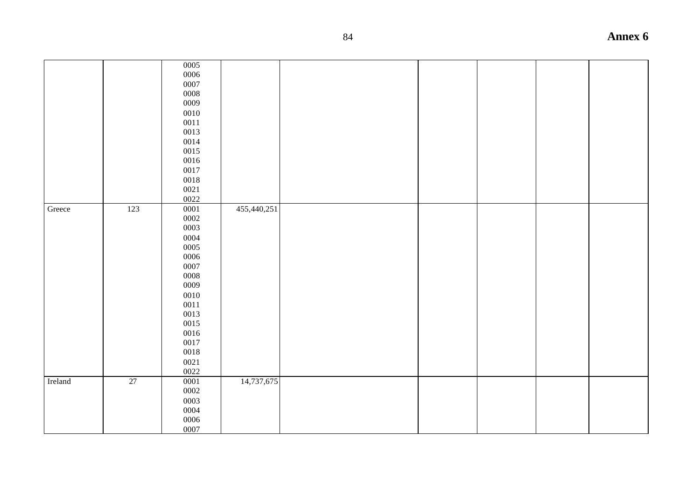|         |     | 0005<br>0006<br>0007<br>$\,0008\,$<br>0009<br>$0010\,$<br>$0011\,$<br>0013<br>$0014\,$<br>0015<br>0016<br>$0017\,$<br>$0018\,$<br>0021<br>0022                 |             |  |  |  |
|---------|-----|----------------------------------------------------------------------------------------------------------------------------------------------------------------|-------------|--|--|--|
| Greece  | 123 | 0001<br>0002<br>0003<br>0004<br>0005<br>0006<br>0007<br>$\,0008\,$<br>0009<br>0010<br>$0011\,$<br>0013<br>0015<br>$0016\,$<br>0017<br>$0018\,$<br>0021<br>0022 | 455,440,251 |  |  |  |
| Ireland | 27  | 0001<br>0002<br>0003<br>0004<br>0006<br>0007                                                                                                                   | 14,737,675  |  |  |  |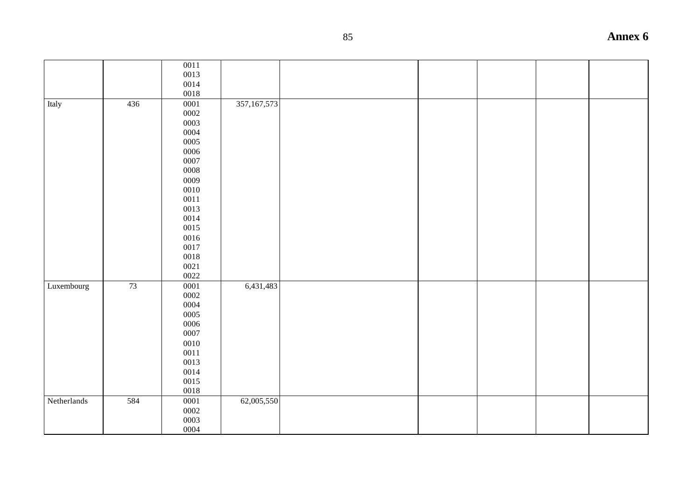|             |     | 0011         |               |  |  |  |
|-------------|-----|--------------|---------------|--|--|--|
|             |     | 0013         |               |  |  |  |
|             |     | 0014         |               |  |  |  |
|             |     | 0018         |               |  |  |  |
| Italy       | 436 | 0001         | 357, 167, 573 |  |  |  |
|             |     | 0002         |               |  |  |  |
|             |     | 0003         |               |  |  |  |
|             |     | 0004         |               |  |  |  |
|             |     | 0005         |               |  |  |  |
|             |     | 0006         |               |  |  |  |
|             |     | 0007         |               |  |  |  |
|             |     | ${\bf 0008}$ |               |  |  |  |
|             |     | 0009         |               |  |  |  |
|             |     | 0010         |               |  |  |  |
|             |     | 0011         |               |  |  |  |
|             |     | 0013         |               |  |  |  |
|             |     | 0014         |               |  |  |  |
|             |     | 0015         |               |  |  |  |
|             |     | 0016         |               |  |  |  |
|             |     | 0017         |               |  |  |  |
|             |     | 0018         |               |  |  |  |
|             |     | 0021         |               |  |  |  |
|             |     | 0022         |               |  |  |  |
| Luxembourg  | 73  | 0001         | 6,431,483     |  |  |  |
|             |     | 0002         |               |  |  |  |
|             |     | 0004         |               |  |  |  |
|             |     | 0005         |               |  |  |  |
|             |     | 0006         |               |  |  |  |
|             |     | 0007         |               |  |  |  |
|             |     | 0010         |               |  |  |  |
|             |     | $0011\,$     |               |  |  |  |
|             |     | 0013         |               |  |  |  |
|             |     | 0014         |               |  |  |  |
|             |     | 0015         |               |  |  |  |
|             |     | 0018         |               |  |  |  |
| Netherlands | 584 | 0001         | 62,005,550    |  |  |  |
|             |     | 0002         |               |  |  |  |
|             |     | 0003         |               |  |  |  |
|             |     | 0004         |               |  |  |  |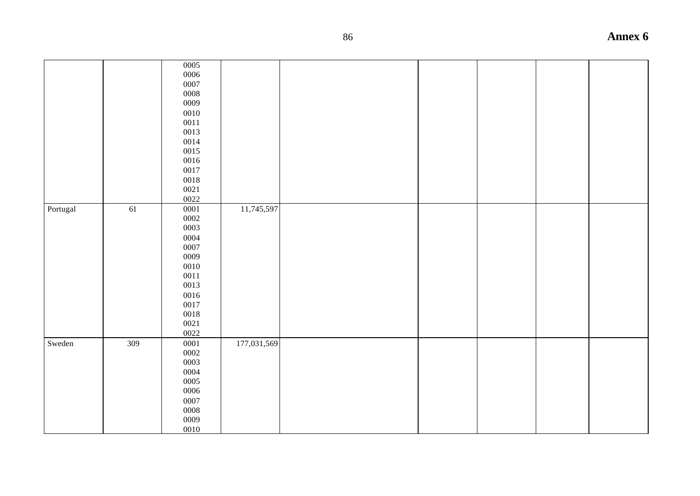|                         |     | 0005<br>0006<br>0007<br>0008<br>0009<br>0010<br>0011<br>0013<br>0014<br>0015<br>0016<br>0017<br>0018<br>0021<br>0022 |             |  |  |  |
|-------------------------|-----|----------------------------------------------------------------------------------------------------------------------|-------------|--|--|--|
| ${\small \bf Portugal}$ | 61  | 0001<br>0002<br>0003<br>0004<br>0007<br>0009<br>0010<br>0011<br>0013<br>0016<br>0017<br>0018<br>0021<br>0022         | 11,745,597  |  |  |  |
| Sweden                  | 309 | 0001<br>0002<br>0003<br>0004<br>0005<br>0006<br>0007<br>0008<br>0009<br>0010                                         | 177,031,569 |  |  |  |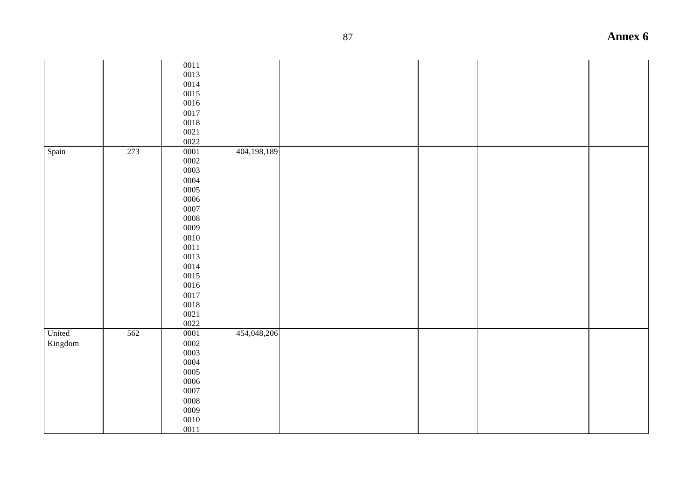|         |     | 0011       |             |  |  |  |
|---------|-----|------------|-------------|--|--|--|
|         |     | 0013       |             |  |  |  |
|         |     | 0014       |             |  |  |  |
|         |     | 0015       |             |  |  |  |
|         |     | 0016       |             |  |  |  |
|         |     | 0017       |             |  |  |  |
|         |     | 0018       |             |  |  |  |
|         |     | 0021       |             |  |  |  |
|         |     | 0022       |             |  |  |  |
| Spain   | 273 | $0001\,$   | 404,198,189 |  |  |  |
|         |     | $\,0002\,$ |             |  |  |  |
|         |     | 0003       |             |  |  |  |
|         |     | 0004       |             |  |  |  |
|         |     | 0005       |             |  |  |  |
|         |     | 0006       |             |  |  |  |
|         |     | 0007       |             |  |  |  |
|         |     | 0008       |             |  |  |  |
|         |     | 0009       |             |  |  |  |
|         |     | 0010       |             |  |  |  |
|         |     | $0011\,$   |             |  |  |  |
|         |     | 0013       |             |  |  |  |
|         |     | 0014       |             |  |  |  |
|         |     | 0015       |             |  |  |  |
|         |     | 0016       |             |  |  |  |
|         |     | 0017       |             |  |  |  |
|         |     | $0018\,$   |             |  |  |  |
|         |     | $0021\,$   |             |  |  |  |
|         |     | 0022       |             |  |  |  |
| United  | 562 | 0001       | 454,048,206 |  |  |  |
| Kingdom |     | $\,0002\,$ |             |  |  |  |
|         |     | 0003       |             |  |  |  |
|         |     | 0004       |             |  |  |  |
|         |     | 0005       |             |  |  |  |
|         |     | 0006       |             |  |  |  |
|         |     | $0007\,$   |             |  |  |  |
|         |     | $\,0008\,$ |             |  |  |  |
|         |     | 0009       |             |  |  |  |
|         |     | 0010       |             |  |  |  |
|         |     | 0011       |             |  |  |  |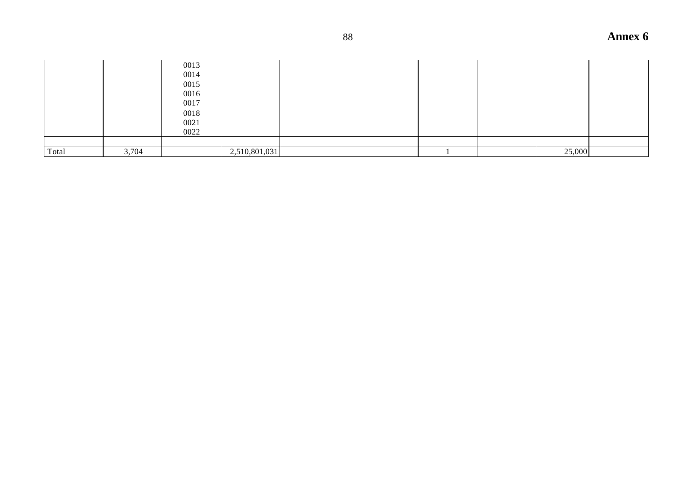|       |       | 0013 |               |  |        |  |
|-------|-------|------|---------------|--|--------|--|
|       |       | 0014 |               |  |        |  |
|       |       | 0015 |               |  |        |  |
|       |       | 0016 |               |  |        |  |
|       |       | 0017 |               |  |        |  |
|       |       | 0018 |               |  |        |  |
|       |       | 0021 |               |  |        |  |
|       |       | 0022 |               |  |        |  |
|       |       |      |               |  |        |  |
| Total | 3,704 |      | 2,510,801,031 |  | 25,000 |  |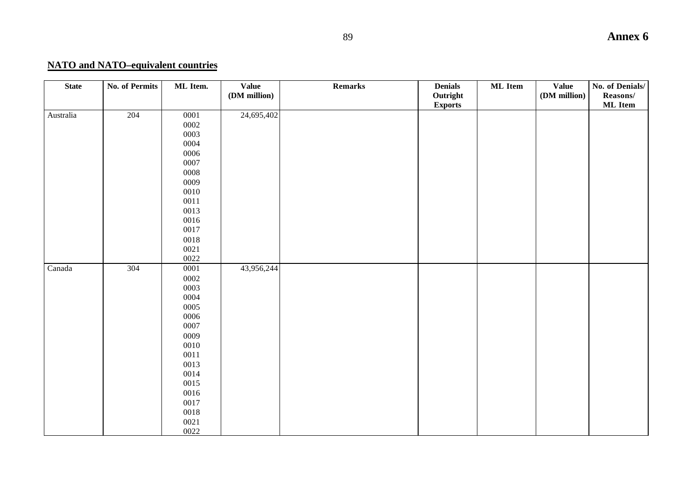# **NATO and NATO–equivalent countries**

| <b>State</b> | <b>No. of Permits</b> | ML Item.     | <b>Value</b><br>(DM million) | Remarks | <b>Denials</b><br>Outright | ML Item | <b>Value</b><br>(DM million) | No. of Denials/<br>Reasons/ |
|--------------|-----------------------|--------------|------------------------------|---------|----------------------------|---------|------------------------------|-----------------------------|
|              |                       |              |                              |         | <b>Exports</b>             |         |                              | ML Item                     |
| Australia    | 204                   | 0001         | 24,695,402                   |         |                            |         |                              |                             |
|              |                       | 0002         |                              |         |                            |         |                              |                             |
|              |                       | 0003         |                              |         |                            |         |                              |                             |
|              |                       | 0004         |                              |         |                            |         |                              |                             |
|              |                       | 0006         |                              |         |                            |         |                              |                             |
|              |                       | 0007         |                              |         |                            |         |                              |                             |
|              |                       | ${\bf 0008}$ |                              |         |                            |         |                              |                             |
|              |                       | 0009         |                              |         |                            |         |                              |                             |
|              |                       | 0010         |                              |         |                            |         |                              |                             |
|              |                       | 0011         |                              |         |                            |         |                              |                             |
|              |                       | 0013         |                              |         |                            |         |                              |                             |
|              |                       | 0016         |                              |         |                            |         |                              |                             |
|              |                       | 0017         |                              |         |                            |         |                              |                             |
|              |                       | 0018         |                              |         |                            |         |                              |                             |
|              |                       | 0021         |                              |         |                            |         |                              |                             |
|              |                       | 0022         |                              |         |                            |         |                              |                             |
| Canada       | 304                   | 0001         | 43,956,244                   |         |                            |         |                              |                             |
|              |                       | 0002         |                              |         |                            |         |                              |                             |
|              |                       | 0003         |                              |         |                            |         |                              |                             |
|              |                       | 0004         |                              |         |                            |         |                              |                             |
|              |                       | 0005         |                              |         |                            |         |                              |                             |
|              |                       | 0006         |                              |         |                            |         |                              |                             |
|              |                       | 0007         |                              |         |                            |         |                              |                             |
|              |                       | 0009         |                              |         |                            |         |                              |                             |
|              |                       | $0010\,$     |                              |         |                            |         |                              |                             |
|              |                       | 0011         |                              |         |                            |         |                              |                             |
|              |                       | 0013         |                              |         |                            |         |                              |                             |
|              |                       | 0014         |                              |         |                            |         |                              |                             |
|              |                       | 0015         |                              |         |                            |         |                              |                             |
|              |                       | 0016         |                              |         |                            |         |                              |                             |
|              |                       | 0017         |                              |         |                            |         |                              |                             |
|              |                       | 0018         |                              |         |                            |         |                              |                             |
|              |                       | 0021         |                              |         |                            |         |                              |                             |
|              |                       | 0022         |                              |         |                            |         |                              |                             |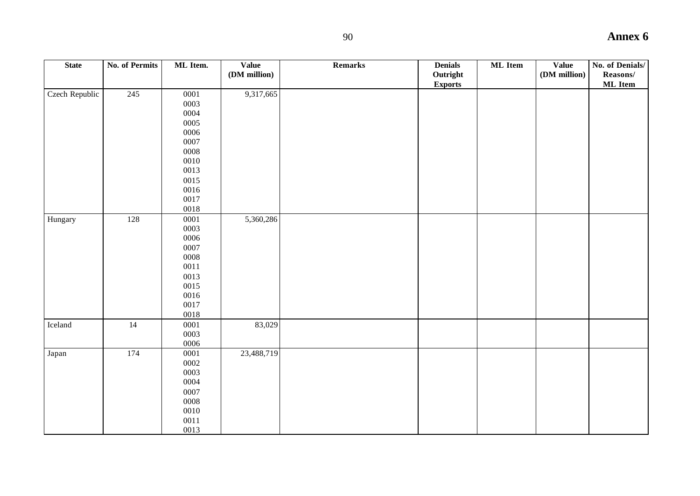| <b>State</b>   | <b>No. of Permits</b> | ML Item.     | <b>Value</b> | Remarks | <b>Denials</b> | <b>ML</b> Item | <b>Value</b> | No. of Denials/ |
|----------------|-----------------------|--------------|--------------|---------|----------------|----------------|--------------|-----------------|
|                |                       |              | (DM million) |         | Outright       |                | (DM million) | Reasons/        |
|                |                       |              |              |         |                |                |              |                 |
|                |                       |              |              |         | <b>Exports</b> |                |              | <b>ML</b> Item  |
| Czech Republic | 245                   | $0001\,$     | 9,317,665    |         |                |                |              |                 |
|                |                       | 0003         |              |         |                |                |              |                 |
|                |                       | 0004         |              |         |                |                |              |                 |
|                |                       | 0005         |              |         |                |                |              |                 |
|                |                       | 0006         |              |         |                |                |              |                 |
|                |                       | 0007         |              |         |                |                |              |                 |
|                |                       | 0008         |              |         |                |                |              |                 |
|                |                       | 0010         |              |         |                |                |              |                 |
|                |                       | 0013         |              |         |                |                |              |                 |
|                |                       | 0015         |              |         |                |                |              |                 |
|                |                       | 0016         |              |         |                |                |              |                 |
|                |                       |              |              |         |                |                |              |                 |
|                |                       | 0017         |              |         |                |                |              |                 |
|                |                       | 0018         |              |         |                |                |              |                 |
| Hungary        | 128                   | $0001\,$     | 5,360,286    |         |                |                |              |                 |
|                |                       | 0003         |              |         |                |                |              |                 |
|                |                       | 0006         |              |         |                |                |              |                 |
|                |                       | 0007         |              |         |                |                |              |                 |
|                |                       | 0008         |              |         |                |                |              |                 |
|                |                       | $0011\,$     |              |         |                |                |              |                 |
|                |                       | 0013         |              |         |                |                |              |                 |
|                |                       | 0015         |              |         |                |                |              |                 |
|                |                       | 0016         |              |         |                |                |              |                 |
|                |                       | 0017         |              |         |                |                |              |                 |
|                |                       | 0018         |              |         |                |                |              |                 |
| Iceland        | 14                    | 0001         | 83,029       |         |                |                |              |                 |
|                |                       | 0003         |              |         |                |                |              |                 |
|                |                       | 0006         |              |         |                |                |              |                 |
|                | 174                   |              |              |         |                |                |              |                 |
| Japan          |                       | 0001         | 23,488,719   |         |                |                |              |                 |
|                |                       | 0002         |              |         |                |                |              |                 |
|                |                       | 0003         |              |         |                |                |              |                 |
|                |                       | 0004         |              |         |                |                |              |                 |
|                |                       | 0007         |              |         |                |                |              |                 |
|                |                       | ${\bf 0008}$ |              |         |                |                |              |                 |
|                |                       | 0010         |              |         |                |                |              |                 |
|                |                       | $0011\,$     |              |         |                |                |              |                 |
|                |                       | 0013         |              |         |                |                |              |                 |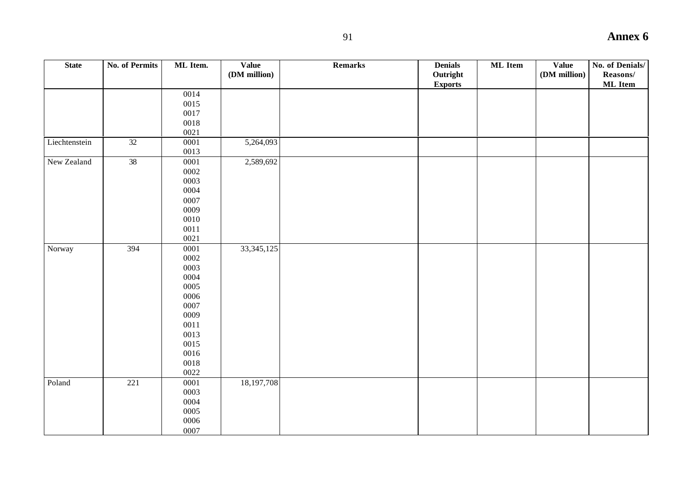| <b>State</b>  | <b>No. of Permits</b> | ML Item. | <b>Value</b> | <b>Remarks</b> | <b>Denials</b> | <b>ML</b> Item | <b>Value</b> | No. of Denials/ |
|---------------|-----------------------|----------|--------------|----------------|----------------|----------------|--------------|-----------------|
|               |                       |          | (DM million) |                | Outright       |                | (DM million) | Reasons/        |
|               |                       | 0014     |              |                | <b>Exports</b> |                |              | <b>ML</b> Item  |
|               |                       | 0015     |              |                |                |                |              |                 |
|               |                       | 0017     |              |                |                |                |              |                 |
|               |                       | $0018\,$ |              |                |                |                |              |                 |
|               |                       | 0021     |              |                |                |                |              |                 |
| Liechtenstein | $\overline{32}$       | 0001     | 5,264,093    |                |                |                |              |                 |
|               |                       | 0013     |              |                |                |                |              |                 |
| New Zealand   | 38                    | 0001     | 2,589,692    |                |                |                |              |                 |
|               |                       | 0002     |              |                |                |                |              |                 |
|               |                       | 0003     |              |                |                |                |              |                 |
|               |                       | 0004     |              |                |                |                |              |                 |
|               |                       | 0007     |              |                |                |                |              |                 |
|               |                       | 0009     |              |                |                |                |              |                 |
|               |                       | 0010     |              |                |                |                |              |                 |
|               |                       | 0011     |              |                |                |                |              |                 |
|               |                       | 0021     |              |                |                |                |              |                 |
| Norway        | 394                   | 0001     | 33, 345, 125 |                |                |                |              |                 |
|               |                       | 0002     |              |                |                |                |              |                 |
|               |                       | 0003     |              |                |                |                |              |                 |
|               |                       | 0004     |              |                |                |                |              |                 |
|               |                       | 0005     |              |                |                |                |              |                 |
|               |                       | 0006     |              |                |                |                |              |                 |
|               |                       | 0007     |              |                |                |                |              |                 |
|               |                       | 0009     |              |                |                |                |              |                 |
|               |                       | $0011\,$ |              |                |                |                |              |                 |
|               |                       | 0013     |              |                |                |                |              |                 |
|               |                       | 0015     |              |                |                |                |              |                 |
|               |                       | 0016     |              |                |                |                |              |                 |
|               |                       | 0018     |              |                |                |                |              |                 |
|               |                       | 0022     |              |                |                |                |              |                 |
| Poland        | 221                   | 0001     | 18,197,708   |                |                |                |              |                 |
|               |                       | 0003     |              |                |                |                |              |                 |
|               |                       | 0004     |              |                |                |                |              |                 |
|               |                       | 0005     |              |                |                |                |              |                 |
|               |                       | 0006     |              |                |                |                |              |                 |
|               |                       | 0007     |              |                |                |                |              |                 |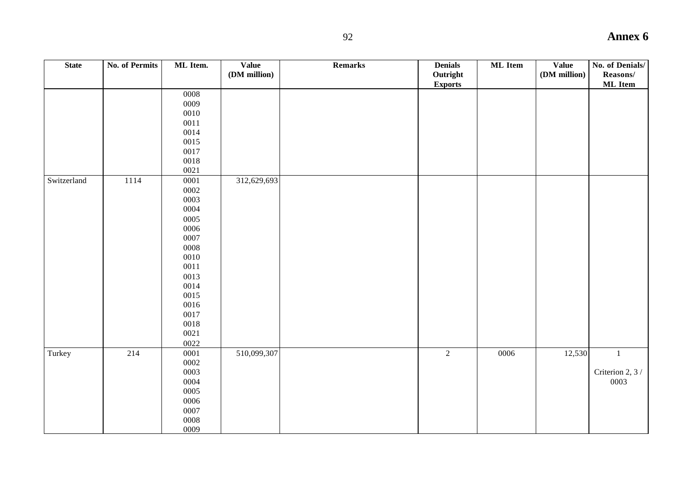| <b>State</b> | <b>No. of Permits</b> | ML Item.            | <b>Value</b> | Remarks | <b>Denials</b> | <b>ML</b> Item | <b>Value</b> | No. of Denials/  |
|--------------|-----------------------|---------------------|--------------|---------|----------------|----------------|--------------|------------------|
|              |                       |                     | (DM million) |         | Outright       |                | (DM million) | Reasons/         |
|              |                       |                     |              |         | <b>Exports</b> |                |              | <b>ML</b> Item   |
|              |                       | ${\bf 0008}$        |              |         |                |                |              |                  |
|              |                       | 0009                |              |         |                |                |              |                  |
|              |                       | $0010\,$            |              |         |                |                |              |                  |
|              |                       | $0011$              |              |         |                |                |              |                  |
|              |                       | 0014                |              |         |                |                |              |                  |
|              |                       | 0015                |              |         |                |                |              |                  |
|              |                       | 0017                |              |         |                |                |              |                  |
|              |                       | 0018                |              |         |                |                |              |                  |
|              |                       | 0021                |              |         |                |                |              |                  |
| Switzerland  | 1114                  | $0001\,$            | 312,629,693  |         |                |                |              |                  |
|              |                       | 0002                |              |         |                |                |              |                  |
|              |                       | 0003                |              |         |                |                |              |                  |
|              |                       | 0004                |              |         |                |                |              |                  |
|              |                       | 0005                |              |         |                |                |              |                  |
|              |                       | 0006                |              |         |                |                |              |                  |
|              |                       | 0007                |              |         |                |                |              |                  |
|              |                       | $\,0008\,$          |              |         |                |                |              |                  |
|              |                       | 0010                |              |         |                |                |              |                  |
|              |                       | $0011\,$            |              |         |                |                |              |                  |
|              |                       | 0013                |              |         |                |                |              |                  |
|              |                       | 0014                |              |         |                |                |              |                  |
|              |                       | 0015                |              |         |                |                |              |                  |
|              |                       | 0016                |              |         |                |                |              |                  |
|              |                       | 0017                |              |         |                |                |              |                  |
|              |                       | $0018\,$            |              |         |                |                |              |                  |
|              |                       | $0021\,$            |              |         |                |                |              |                  |
|              |                       | 0022                |              |         |                |                |              |                  |
| Turkey       | 214                   | 0001                | 510,099,307  |         | $\overline{2}$ | 0006           | 12,530       | $\overline{1}$   |
|              |                       | 0002                |              |         |                |                |              |                  |
|              |                       | 0003                |              |         |                |                |              | Criterion 2, 3 / |
|              |                       | 0004                |              |         |                |                |              | 0003             |
|              |                       | 0005                |              |         |                |                |              |                  |
|              |                       | 0006                |              |         |                |                |              |                  |
|              |                       | 0007                |              |         |                |                |              |                  |
|              |                       | $\boldsymbol{0008}$ |              |         |                |                |              |                  |
|              |                       | 0009                |              |         |                |                |              |                  |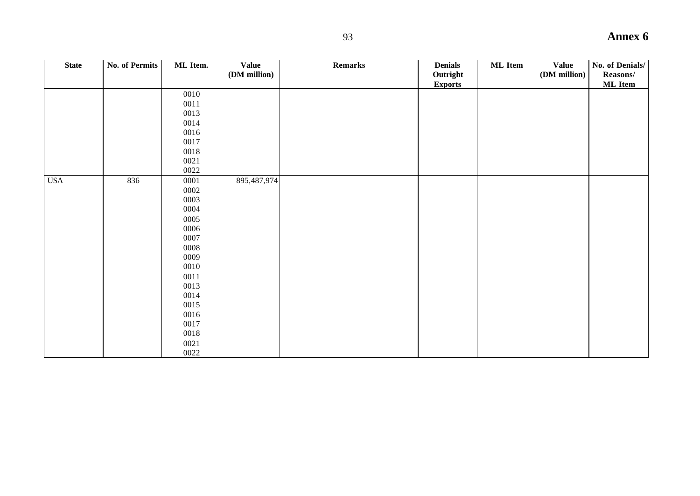| <b>State</b> | No. of Permits | ML Item. | <b>Value</b><br>(DM million) | Remarks | <b>Denials</b><br>Outright<br><b>Exports</b> | <b>ML</b> Item | Value<br>(DM million) | No. of Denials/<br>Reasons/<br><b>ML</b> Item |
|--------------|----------------|----------|------------------------------|---------|----------------------------------------------|----------------|-----------------------|-----------------------------------------------|
|              |                | 0010     |                              |         |                                              |                |                       |                                               |
|              |                | 0011     |                              |         |                                              |                |                       |                                               |
|              |                | 0013     |                              |         |                                              |                |                       |                                               |
|              |                | 0014     |                              |         |                                              |                |                       |                                               |
|              |                | 0016     |                              |         |                                              |                |                       |                                               |
|              |                | 0017     |                              |         |                                              |                |                       |                                               |
|              |                | 0018     |                              |         |                                              |                |                       |                                               |
|              |                | $0021\,$ |                              |         |                                              |                |                       |                                               |
|              |                | 0022     |                              |         |                                              |                |                       |                                               |
| <b>USA</b>   | 836            | 0001     | 895,487,974                  |         |                                              |                |                       |                                               |
|              |                | 0002     |                              |         |                                              |                |                       |                                               |
|              |                | 0003     |                              |         |                                              |                |                       |                                               |
|              |                | 0004     |                              |         |                                              |                |                       |                                               |
|              |                | 0005     |                              |         |                                              |                |                       |                                               |
|              |                | 0006     |                              |         |                                              |                |                       |                                               |
|              |                | 0007     |                              |         |                                              |                |                       |                                               |
|              |                | 0008     |                              |         |                                              |                |                       |                                               |
|              |                | 0009     |                              |         |                                              |                |                       |                                               |
|              |                | 0010     |                              |         |                                              |                |                       |                                               |
|              |                | 0011     |                              |         |                                              |                |                       |                                               |
|              |                | 0013     |                              |         |                                              |                |                       |                                               |
|              |                | 0014     |                              |         |                                              |                |                       |                                               |
|              |                | 0015     |                              |         |                                              |                |                       |                                               |
|              |                | 0016     |                              |         |                                              |                |                       |                                               |
|              |                | 0017     |                              |         |                                              |                |                       |                                               |
|              |                | 0018     |                              |         |                                              |                |                       |                                               |
|              |                | 0021     |                              |         |                                              |                |                       |                                               |
|              |                | 0022     |                              |         |                                              |                |                       |                                               |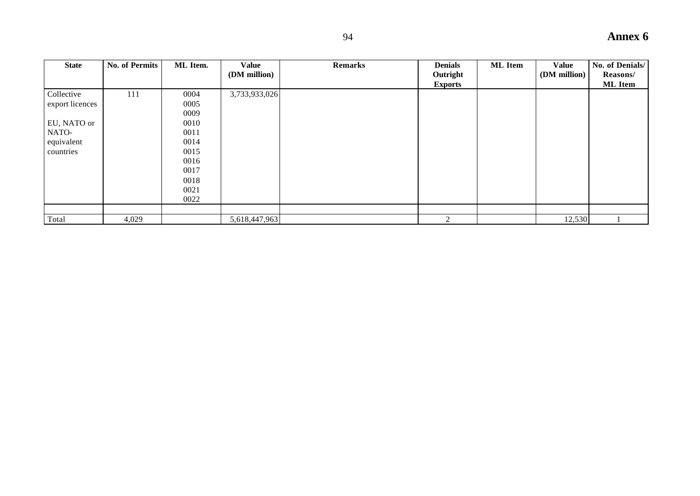| <b>State</b>    | <b>No. of Permits</b> | ML Item. | Value<br>(DM million) | <b>Remarks</b> | <b>Denials</b><br>Outright | <b>ML</b> Item | <b>Value</b><br>(DM million) | No. of Denials/<br>Reasons/ |
|-----------------|-----------------------|----------|-----------------------|----------------|----------------------------|----------------|------------------------------|-----------------------------|
|                 |                       |          |                       |                | <b>Exports</b>             |                |                              | <b>ML</b> Item              |
| Collective      | 111                   | 0004     | 3,733,933,026         |                |                            |                |                              |                             |
| export licences |                       | 0005     |                       |                |                            |                |                              |                             |
|                 |                       | 0009     |                       |                |                            |                |                              |                             |
| EU, NATO or     |                       | 0010     |                       |                |                            |                |                              |                             |
| NATO-           |                       | 0011     |                       |                |                            |                |                              |                             |
| equivalent      |                       | 0014     |                       |                |                            |                |                              |                             |
| countries       |                       | 0015     |                       |                |                            |                |                              |                             |
|                 |                       | 0016     |                       |                |                            |                |                              |                             |
|                 |                       | 0017     |                       |                |                            |                |                              |                             |
|                 |                       | 0018     |                       |                |                            |                |                              |                             |
|                 |                       | 0021     |                       |                |                            |                |                              |                             |
|                 |                       | 0022     |                       |                |                            |                |                              |                             |
|                 |                       |          |                       |                |                            |                |                              |                             |
| Total           | 4,029                 |          | 5,618,447,963         |                | 2                          |                | 12,530                       |                             |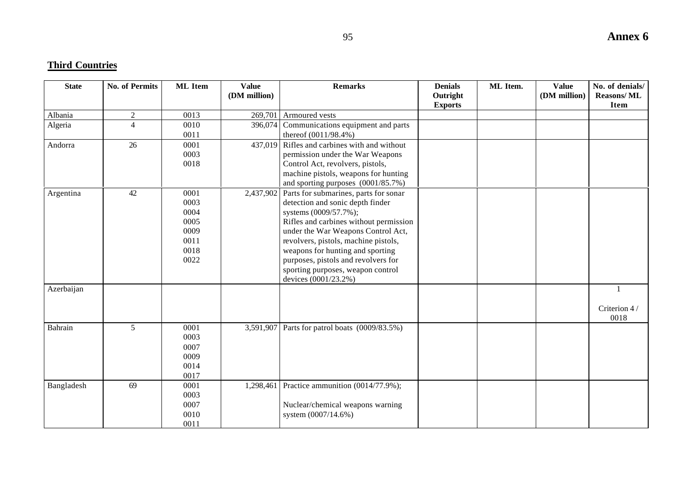# **Third Countries**

| <b>State</b> | <b>No. of Permits</b> | <b>ML</b> Item                                               | <b>Value</b><br>(DM million) | <b>Remarks</b>                                                                                                                                                                                                                                                                                                                                                     | <b>Denials</b><br>Outright<br><b>Exports</b> | ML Item. | <b>Value</b><br>(DM million) | No. of denials/<br><b>Reasons/ML</b><br><b>Item</b> |
|--------------|-----------------------|--------------------------------------------------------------|------------------------------|--------------------------------------------------------------------------------------------------------------------------------------------------------------------------------------------------------------------------------------------------------------------------------------------------------------------------------------------------------------------|----------------------------------------------|----------|------------------------------|-----------------------------------------------------|
| Albania      | $\overline{2}$        | 0013                                                         | 269,701                      | Armoured vests                                                                                                                                                                                                                                                                                                                                                     |                                              |          |                              |                                                     |
| Algeria      | $\overline{4}$        | 0010<br>0011                                                 | 396,074                      | Communications equipment and parts<br>thereof $(0011/98.4\%)$                                                                                                                                                                                                                                                                                                      |                                              |          |                              |                                                     |
| Andorra      | 26                    | 0001<br>0003<br>0018                                         |                              | 437,019 Rifles and carbines with and without<br>permission under the War Weapons<br>Control Act, revolvers, pistols,<br>machine pistols, weapons for hunting<br>and sporting purposes (0001/85.7%)                                                                                                                                                                 |                                              |          |                              |                                                     |
| Argentina    | 42                    | 0001<br>0003<br>0004<br>0005<br>0009<br>0011<br>0018<br>0022 | 2,437,902                    | Parts for submarines, parts for sonar<br>detection and sonic depth finder<br>systems (0009/57.7%);<br>Rifles and carbines without permission<br>under the War Weapons Control Act,<br>revolvers, pistols, machine pistols,<br>weapons for hunting and sporting<br>purposes, pistols and revolvers for<br>sporting purposes, weapon control<br>devices (0001/23.2%) |                                              |          |                              |                                                     |
| Azerbaijan   |                       |                                                              |                              |                                                                                                                                                                                                                                                                                                                                                                    |                                              |          |                              | $\mathbf{1}$<br>Criterion 4/<br>0018                |
| Bahrain      | 5                     | 0001<br>0003<br>0007<br>0009<br>0014<br>0017                 | 3,591,907                    | Parts for patrol boats (0009/83.5%)                                                                                                                                                                                                                                                                                                                                |                                              |          |                              |                                                     |
| Bangladesh   | 69                    | 0001<br>0003<br>0007<br>0010<br>0011                         | 1,298,461                    | Practice ammunition (0014/77.9%);<br>Nuclear/chemical weapons warning<br>system (0007/14.6%)                                                                                                                                                                                                                                                                       |                                              |          |                              |                                                     |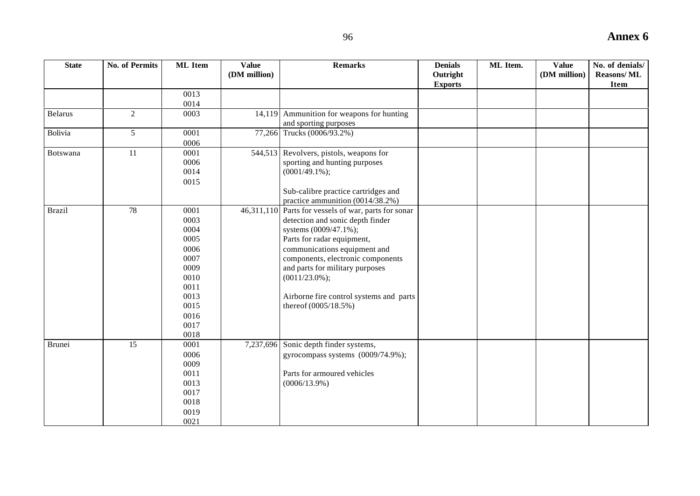| <b>State</b>   | <b>No. of Permits</b> | <b>ML</b> Item | <b>Value</b><br>(DM million) | <b>Remarks</b>                                                          | <b>Denials</b><br>Outright<br><b>Exports</b> | <b>ML</b> Item. | <b>Value</b><br>(DM million) | No. of denials/<br><b>Reasons/ML</b><br><b>Item</b> |
|----------------|-----------------------|----------------|------------------------------|-------------------------------------------------------------------------|----------------------------------------------|-----------------|------------------------------|-----------------------------------------------------|
|                |                       | 0013           |                              |                                                                         |                                              |                 |                              |                                                     |
|                |                       | 0014           |                              |                                                                         |                                              |                 |                              |                                                     |
| <b>Belarus</b> | $\overline{2}$        | 0003           |                              | 14,119 Ammunition for weapons for hunting<br>and sporting purposes      |                                              |                 |                              |                                                     |
| Bolivia        | 5                     | 0001           |                              | 77,266 Trucks (0006/93.2%)                                              |                                              |                 |                              |                                                     |
|                |                       | 0006           |                              |                                                                         |                                              |                 |                              |                                                     |
| Botswana       | 11                    | 0001           |                              | 544,513 Revolvers, pistols, weapons for                                 |                                              |                 |                              |                                                     |
|                |                       | 0006           |                              | sporting and hunting purposes                                           |                                              |                 |                              |                                                     |
|                |                       | 0014           |                              | $(0001/49.1\%)$ ;                                                       |                                              |                 |                              |                                                     |
|                |                       | 0015           |                              |                                                                         |                                              |                 |                              |                                                     |
|                |                       |                |                              | Sub-calibre practice cartridges and<br>practice ammunition (0014/38.2%) |                                              |                 |                              |                                                     |
| <b>Brazil</b>  | 78                    | 0001           |                              | 46,311,110 Parts for vessels of war, parts for sonar                    |                                              |                 |                              |                                                     |
|                |                       | 0003           |                              | detection and sonic depth finder                                        |                                              |                 |                              |                                                     |
|                |                       | 0004           |                              | systems (0009/47.1%);                                                   |                                              |                 |                              |                                                     |
|                |                       | 0005           |                              | Parts for radar equipment,                                              |                                              |                 |                              |                                                     |
|                |                       | 0006           |                              | communications equipment and                                            |                                              |                 |                              |                                                     |
|                |                       | 0007           |                              | components, electronic components                                       |                                              |                 |                              |                                                     |
|                |                       | 0009           |                              | and parts for military purposes                                         |                                              |                 |                              |                                                     |
|                |                       | 0010           |                              | $(0011/23.0\%);$                                                        |                                              |                 |                              |                                                     |
|                |                       | 0011           |                              |                                                                         |                                              |                 |                              |                                                     |
|                |                       | 0013           |                              | Airborne fire control systems and parts                                 |                                              |                 |                              |                                                     |
|                |                       | 0015           |                              | thereof (0005/18.5%)                                                    |                                              |                 |                              |                                                     |
|                |                       | 0016           |                              |                                                                         |                                              |                 |                              |                                                     |
|                |                       | 0017           |                              |                                                                         |                                              |                 |                              |                                                     |
|                |                       | 0018           |                              |                                                                         |                                              |                 |                              |                                                     |
| <b>Brunei</b>  | 15                    | 0001           | 7,237,696                    | Sonic depth finder systems,                                             |                                              |                 |                              |                                                     |
|                |                       | 0006           |                              | gyrocompass systems (0009/74.9%);                                       |                                              |                 |                              |                                                     |
|                |                       | 0009           |                              |                                                                         |                                              |                 |                              |                                                     |
|                |                       | 0011           |                              | Parts for armoured vehicles                                             |                                              |                 |                              |                                                     |
|                |                       | 0013           |                              | $(0006/13.9\%)$                                                         |                                              |                 |                              |                                                     |
|                |                       | 0017           |                              |                                                                         |                                              |                 |                              |                                                     |
|                |                       | 0018           |                              |                                                                         |                                              |                 |                              |                                                     |
|                |                       | 0019           |                              |                                                                         |                                              |                 |                              |                                                     |
|                |                       | 0021           |                              |                                                                         |                                              |                 |                              |                                                     |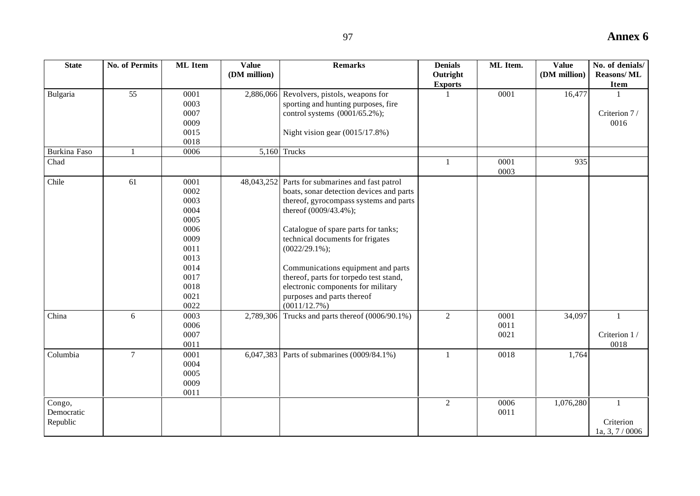| <b>State</b>                     | <b>No. of Permits</b> | <b>ML</b> Item                                                                                               | Value<br>(DM million) | <b>Remarks</b>                                                                                                                                                                                                                                                                                                                                                                                                                    | <b>Denials</b><br>Outright<br><b>Exports</b> | ML Item.             | <b>Value</b><br>(DM million) | No. of denials/<br><b>Reasons/ML</b><br>Item |
|----------------------------------|-----------------------|--------------------------------------------------------------------------------------------------------------|-----------------------|-----------------------------------------------------------------------------------------------------------------------------------------------------------------------------------------------------------------------------------------------------------------------------------------------------------------------------------------------------------------------------------------------------------------------------------|----------------------------------------------|----------------------|------------------------------|----------------------------------------------|
| Bulgaria                         | 55                    | 0001<br>0003<br>0007<br>0009<br>0015<br>0018                                                                 | 2,886,066             | Revolvers, pistols, weapons for<br>sporting and hunting purposes, fire<br>control systems (0001/65.2%);<br>Night vision gear $(0015/17.8%)$                                                                                                                                                                                                                                                                                       |                                              | 0001                 | 16,477                       | Criterion 7/<br>0016                         |
| Burkina Faso                     | $\mathbf{1}$          | 0006                                                                                                         |                       | $5,160$ Trucks                                                                                                                                                                                                                                                                                                                                                                                                                    |                                              |                      |                              |                                              |
| Chad                             |                       |                                                                                                              |                       |                                                                                                                                                                                                                                                                                                                                                                                                                                   | $\mathbf{1}$                                 | 0001<br>0003         | 935                          |                                              |
| Chile                            | 61                    | 0001<br>0002<br>0003<br>0004<br>0005<br>0006<br>0009<br>0011<br>0013<br>0014<br>0017<br>0018<br>0021<br>0022 |                       | 48,043,252 Parts for submarines and fast patrol<br>boats, sonar detection devices and parts<br>thereof, gyrocompass systems and parts<br>thereof (0009/43.4%);<br>Catalogue of spare parts for tanks;<br>technical documents for frigates<br>$(0022/29.1\%);$<br>Communications equipment and parts<br>thereof, parts for torpedo test stand,<br>electronic components for military<br>purposes and parts thereof<br>(0011/12.7%) |                                              |                      |                              |                                              |
| China                            | 6                     | 0003<br>0006<br>0007<br>0011                                                                                 | 2,789,306             | Trucks and parts thereof (0006/90.1%)                                                                                                                                                                                                                                                                                                                                                                                             | $\overline{2}$                               | 0001<br>0011<br>0021 | 34,097                       | $\mathbf{1}$<br>Criterion 1/<br>0018         |
| Columbia                         | $\overline{7}$        | 0001<br>0004<br>0005<br>0009<br>0011                                                                         |                       | 6,047,383 Parts of submarines (0009/84.1%)                                                                                                                                                                                                                                                                                                                                                                                        | $\mathbf{1}$                                 | 0018                 | 1,764                        |                                              |
| Congo,<br>Democratic<br>Republic |                       |                                                                                                              |                       |                                                                                                                                                                                                                                                                                                                                                                                                                                   | $\overline{2}$                               | 0006<br>0011         | 1,076,280                    | $\mathbf{1}$<br>Criterion<br>1a, 3, 7/0006   |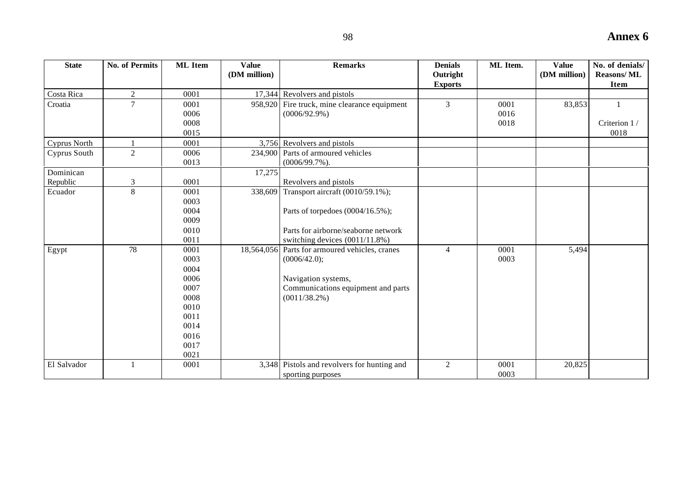| <b>State</b>          | <b>No. of Permits</b> | <b>ML</b> Item                                                                               | <b>Value</b><br>(DM million) | <b>Remarks</b>                                                                                                                                 | <b>Denials</b><br>Outright<br><b>Exports</b> | ML Item.             | <b>Value</b><br>(DM million) | No. of denials/<br><b>Reasons/ML</b><br><b>Item</b> |
|-----------------------|-----------------------|----------------------------------------------------------------------------------------------|------------------------------|------------------------------------------------------------------------------------------------------------------------------------------------|----------------------------------------------|----------------------|------------------------------|-----------------------------------------------------|
| Costa Rica            | $\overline{2}$        | 0001                                                                                         |                              | 17,344 Revolvers and pistols                                                                                                                   |                                              |                      |                              |                                                     |
| Croatia               | $\overline{7}$        | 0001<br>0006<br>0008<br>0015                                                                 |                              | 958,920 Fire truck, mine clearance equipment<br>$(0006/92.9\%)$                                                                                | $\overline{3}$                               | 0001<br>0016<br>0018 | 83,853                       | Criterion 1/<br>0018                                |
| <b>Cyprus North</b>   |                       | 0001                                                                                         |                              | 3,756 Revolvers and pistols                                                                                                                    |                                              |                      |                              |                                                     |
| Cyprus South          | $\overline{2}$        | 0006<br>0013                                                                                 |                              | 234,900 Parts of armoured vehicles<br>$(0006/99.7\%)$ .                                                                                        |                                              |                      |                              |                                                     |
| Dominican<br>Republic | 3                     | 0001                                                                                         | 17,275                       | Revolvers and pistols                                                                                                                          |                                              |                      |                              |                                                     |
| Ecuador               | 8                     | 0001<br>0003<br>0004<br>0009<br>0010<br>0011                                                 | 338,609                      | Transport aircraft (0010/59.1%);<br>Parts of torpedoes (0004/16.5%);<br>Parts for airborne/seaborne network<br>switching devices (0011/11.8%)  |                                              |                      |                              |                                                     |
| Egypt                 | 78                    | 0001<br>0003<br>0004<br>0006<br>0007<br>0008<br>0010<br>0011<br>0014<br>0016<br>0017<br>0021 |                              | 18,564,056 Parts for armoured vehicles, cranes<br>(0006/42.0);<br>Navigation systems,<br>Communications equipment and parts<br>$(0011/38.2\%)$ | $\overline{4}$                               | 0001<br>0003         | 5,494                        |                                                     |
| El Salvador           |                       | 0001                                                                                         |                              | 3,348 Pistols and revolvers for hunting and<br>sporting purposes                                                                               | $\overline{2}$                               | 0001<br>0003         | 20,825                       |                                                     |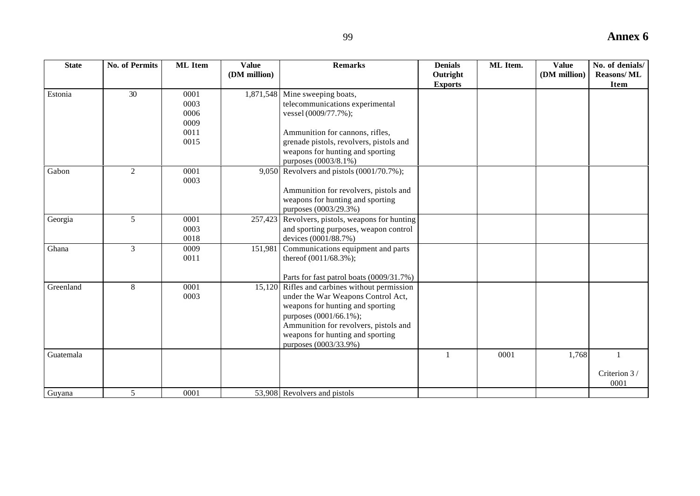| -99    |                            |          |                       | <b>Annex 6</b>                        |  |
|--------|----------------------------|----------|-----------------------|---------------------------------------|--|
| emarks | <b>Denials</b><br>Outright | ML Item. | Value<br>(DM million) | No. of denials/<br><b>Reasons/ ML</b> |  |
|        | Evnorte                    |          |                       | Ttem                                  |  |

| <b>State</b> | <b>No. of Permits</b> | <b>ML</b> Item | Value<br>(DM million) | <b>Remarks</b>                                                | <b>Denials</b><br>Outright | ML Item. | Value<br>(DM million) | No. of denials/<br><b>Reasons/ML</b> |
|--------------|-----------------------|----------------|-----------------------|---------------------------------------------------------------|----------------------------|----------|-----------------------|--------------------------------------|
|              |                       |                |                       |                                                               | <b>Exports</b>             |          |                       | Item                                 |
| Estonia      | 30                    | 0001           |                       | 1,871,548 Mine sweeping boats,                                |                            |          |                       |                                      |
|              |                       | 0003           |                       | telecommunications experimental                               |                            |          |                       |                                      |
|              |                       | 0006           |                       | vessel (0009/77.7%);                                          |                            |          |                       |                                      |
|              |                       | 0009           |                       |                                                               |                            |          |                       |                                      |
|              |                       | 0011           |                       | Ammunition for cannons, rifles,                               |                            |          |                       |                                      |
|              |                       | 0015           |                       | grenade pistols, revolvers, pistols and                       |                            |          |                       |                                      |
|              |                       |                |                       | weapons for hunting and sporting                              |                            |          |                       |                                      |
|              |                       |                |                       | purposes (0003/8.1%)                                          |                            |          |                       |                                      |
| Gabon        | 2                     | 0001           |                       | 9,050 Revolvers and pistols (0001/70.7%);                     |                            |          |                       |                                      |
|              |                       | 0003           |                       |                                                               |                            |          |                       |                                      |
|              |                       |                |                       | Ammunition for revolvers, pistols and                         |                            |          |                       |                                      |
|              |                       |                |                       | weapons for hunting and sporting                              |                            |          |                       |                                      |
|              |                       | 0001           |                       | purposes (0003/29.3%)                                         |                            |          |                       |                                      |
| Georgia      | 5                     |                |                       | 257,423 Revolvers, pistols, weapons for hunting               |                            |          |                       |                                      |
|              |                       | 0003<br>0018   |                       | and sporting purposes, weapon control<br>devices (0001/88.7%) |                            |          |                       |                                      |
| Ghana        | 3                     | 0009           |                       | 151,981 Communications equipment and parts                    |                            |          |                       |                                      |
|              |                       | 0011           |                       | thereof $(0011/68.3\%)$ ;                                     |                            |          |                       |                                      |
|              |                       |                |                       |                                                               |                            |          |                       |                                      |
|              |                       |                |                       | Parts for fast patrol boats (0009/31.7%)                      |                            |          |                       |                                      |
| Greenland    | 8                     | 0001           |                       | 15,120 Rifles and carbines without permission                 |                            |          |                       |                                      |
|              |                       | 0003           |                       | under the War Weapons Control Act,                            |                            |          |                       |                                      |
|              |                       |                |                       | weapons for hunting and sporting                              |                            |          |                       |                                      |
|              |                       |                |                       | purposes (0001/66.1%);                                        |                            |          |                       |                                      |
|              |                       |                |                       | Ammunition for revolvers, pistols and                         |                            |          |                       |                                      |
|              |                       |                |                       | weapons for hunting and sporting                              |                            |          |                       |                                      |
|              |                       |                |                       | purposes (0003/33.9%)                                         |                            |          |                       |                                      |
| Guatemala    |                       |                |                       |                                                               |                            | 0001     | 1,768                 | $\overline{1}$                       |
|              |                       |                |                       |                                                               |                            |          |                       |                                      |
|              |                       |                |                       |                                                               |                            |          |                       | Criterion 3/<br>0001                 |
| Guyana       | 5                     | 0001           |                       | 53,908 Revolvers and pistols                                  |                            |          |                       |                                      |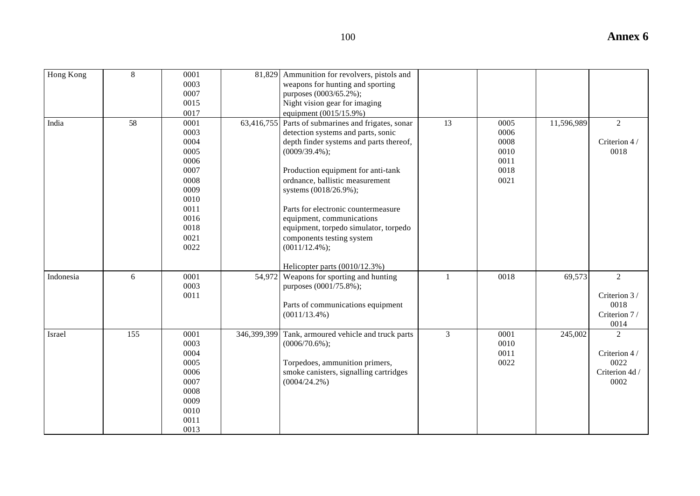| I<br>۰.<br>۰,<br>×<br>۰.<br>× |  |
|-------------------------------|--|

| Hong Kong | 8   | 0001<br>0003<br>0007<br>0015<br>0017                                                                         |             | 81,829 Ammunition for revolvers, pistols and<br>weapons for hunting and sporting<br>purposes (0003/65.2%);<br>Night vision gear for imaging<br>equipment (0015/15.9%)                                                                                                                                                                                                                                                                         |                |                                                      |            |                                                                  |
|-----------|-----|--------------------------------------------------------------------------------------------------------------|-------------|-----------------------------------------------------------------------------------------------------------------------------------------------------------------------------------------------------------------------------------------------------------------------------------------------------------------------------------------------------------------------------------------------------------------------------------------------|----------------|------------------------------------------------------|------------|------------------------------------------------------------------|
| India     | 58  | 0001<br>0003<br>0004<br>0005<br>0006<br>0007<br>0008<br>0009<br>0010<br>0011<br>0016<br>0018<br>0021<br>0022 | 63,416,755  | Parts of submarines and frigates, sonar<br>detection systems and parts, sonic<br>depth finder systems and parts thereof,<br>$(0009/39.4\%);$<br>Production equipment for anti-tank<br>ordnance, ballistic measurement<br>systems (0018/26.9%);<br>Parts for electronic countermeasure<br>equipment, communications<br>equipment, torpedo simulator, torpedo<br>components testing system<br>$(0011/12.4\%);$<br>Helicopter parts (0010/12.3%) | 13             | 0005<br>0006<br>0008<br>0010<br>0011<br>0018<br>0021 | 11,596,989 | $\overline{2}$<br>Criterion 4/<br>0018                           |
| Indonesia | 6   | 0001<br>0003<br>0011                                                                                         | 54,972      | Weapons for sporting and hunting<br>purposes (0001/75.8%);<br>Parts of communications equipment<br>$(0011/13.4\%)$                                                                                                                                                                                                                                                                                                                            | $\mathbf{1}$   | 0018                                                 | 69,573     | $\overline{2}$<br>Criterion 3/<br>0018<br>Criterion 7/<br>0014   |
| Israel    | 155 | 0001<br>0003<br>0004<br>0005<br>0006<br>0007<br>0008<br>0009<br>0010<br>0011<br>0013                         | 346,399,399 | Tank, armoured vehicle and truck parts<br>$(0006/70.6\%);$<br>Torpedoes, ammunition primers,<br>smoke canisters, signalling cartridges<br>$(0004/24.2\%)$                                                                                                                                                                                                                                                                                     | $\mathfrak{Z}$ | 0001<br>0010<br>0011<br>0022                         | 245,002    | $\overline{2}$<br>Criterion 4/<br>0022<br>Criterion 4d /<br>0002 |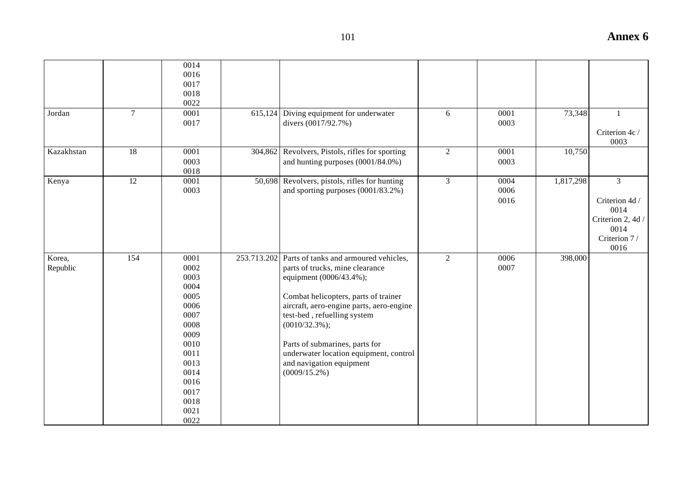|            |        | 0014 |         |                                                   |                |      |           |                   |
|------------|--------|------|---------|---------------------------------------------------|----------------|------|-----------|-------------------|
|            |        | 0016 |         |                                                   |                |      |           |                   |
|            |        | 0017 |         |                                                   |                |      |           |                   |
|            |        | 0018 |         |                                                   |                |      |           |                   |
|            |        | 0022 |         |                                                   |                |      |           |                   |
| Jordan     | $\tau$ | 0001 |         | $615,124$ Diving equipment for underwater         | 6              | 0001 | 73,348    | $\mathbf{1}$      |
|            |        | 0017 |         | divers (0017/92.7%)                               |                | 0003 |           |                   |
|            |        |      |         |                                                   |                |      |           | Criterion 4c /    |
|            |        |      |         |                                                   |                |      |           | 0003              |
| Kazakhstan | 18     | 0001 | 304,862 | Revolvers, Pistols, rifles for sporting           | $\overline{2}$ | 0001 | 10,750    |                   |
|            |        | 0003 |         | and hunting purposes (0001/84.0%)                 |                | 0003 |           |                   |
|            |        | 0018 |         |                                                   |                |      |           |                   |
| Kenya      | 12     | 0001 |         | 50,698 Revolvers, pistols, rifles for hunting     | $\overline{3}$ | 0004 | 1,817,298 | $\overline{3}$    |
|            |        | 0003 |         | and sporting purposes (0001/83.2%)                |                | 0006 |           |                   |
|            |        |      |         |                                                   |                | 0016 |           | Criterion 4d /    |
|            |        |      |         |                                                   |                |      |           | 0014              |
|            |        |      |         |                                                   |                |      |           | Criterion 2, 4d / |
|            |        |      |         |                                                   |                |      |           | 0014              |
|            |        |      |         |                                                   |                |      |           | Criterion 7/      |
|            |        |      |         |                                                   |                |      |           | 0016              |
| Korea,     | 154    | 0001 |         | 253.713.202 Parts of tanks and armoured vehicles, | $\overline{2}$ | 0006 | 398,000   |                   |
| Republic   |        | 0002 |         | parts of trucks, mine clearance                   |                | 0007 |           |                   |
|            |        | 0003 |         | equipment (0006/43.4%);                           |                |      |           |                   |
|            |        | 0004 |         |                                                   |                |      |           |                   |
|            |        | 0005 |         | Combat helicopters, parts of trainer              |                |      |           |                   |
|            |        | 0006 |         | aircraft, aero-engine parts, aero-engine          |                |      |           |                   |
|            |        | 0007 |         | test-bed, refuelling system                       |                |      |           |                   |
|            |        | 0008 |         | $(0010/32.3\%)$ ;                                 |                |      |           |                   |
|            |        | 0009 |         |                                                   |                |      |           |                   |
|            |        | 0010 |         | Parts of submarines, parts for                    |                |      |           |                   |
|            |        | 0011 |         | underwater location equipment, control            |                |      |           |                   |
|            |        | 0013 |         | and navigation equipment                          |                |      |           |                   |
|            |        | 0014 |         | $(0009/15.2\%)$                                   |                |      |           |                   |
|            |        | 0016 |         |                                                   |                |      |           |                   |
|            |        | 0017 |         |                                                   |                |      |           |                   |
|            |        | 0018 |         |                                                   |                |      |           |                   |
|            |        | 0021 |         |                                                   |                |      |           |                   |
|            |        | 0022 |         |                                                   |                |      |           |                   |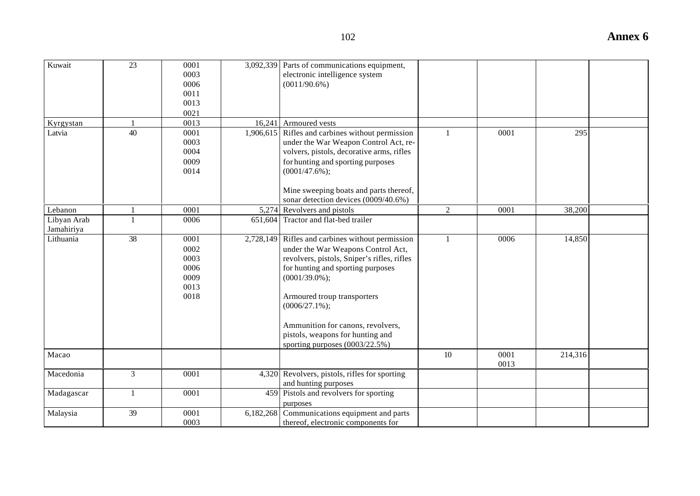| 102                                                                                               |      |     | <b>Annex 6</b> |
|---------------------------------------------------------------------------------------------------|------|-----|----------------|
| 3,092,339 Parts of communications equipment,<br>electronic intelligence system<br>$(0011/90.6\%)$ |      |     |                |
| 16,241 Armoured vests                                                                             |      |     |                |
| 1,906,615 Rifles and carbines without permission<br>under the War Weapon Control Act, re-         | 0001 | 295 |                |

| Kuwait<br>Kyrgystan<br>Latvia | $\overline{23}$<br>40 | 0001<br>0003<br>0006<br>0011<br>0013<br>0021<br>0013<br>0001 |           | 3,092,339 Parts of communications equipment,<br>electronic intelligence system<br>$(0011/90.6\%)$<br>16,241 Armoured vests<br>1,906,615 Rifles and carbines without permission                                                                                                                                                                                  | $\mathbf{1}$   | 0001         | 295     |  |
|-------------------------------|-----------------------|--------------------------------------------------------------|-----------|-----------------------------------------------------------------------------------------------------------------------------------------------------------------------------------------------------------------------------------------------------------------------------------------------------------------------------------------------------------------|----------------|--------------|---------|--|
|                               |                       | 0003<br>0004<br>0009<br>0014                                 |           | under the War Weapon Control Act, re-<br>volvers, pistols, decorative arms, rifles<br>for hunting and sporting purposes<br>$(0001/47.6\%);$<br>Mine sweeping boats and parts thereof,<br>sonar detection devices (0009/40.6%)                                                                                                                                   |                |              |         |  |
| Lebanon                       |                       | 0001                                                         |           | 5,274 Revolvers and pistols                                                                                                                                                                                                                                                                                                                                     | $\overline{c}$ | 0001         | 38,200  |  |
| Libyan Arab<br>Jamahiriya     |                       | 0006                                                         | 651,604   | Tractor and flat-bed trailer                                                                                                                                                                                                                                                                                                                                    |                |              |         |  |
| Lithuania                     | 38                    | 0001<br>0002<br>0003<br>0006<br>0009<br>0013<br>0018         |           | 2,728,149 Rifles and carbines without permission<br>under the War Weapons Control Act,<br>revolvers, pistols, Sniper's rifles, rifles<br>for hunting and sporting purposes<br>$(0001/39.0\%);$<br>Armoured troup transporters<br>$(0006/27.1\%)$ ;<br>Ammunition for canons, revolvers,<br>pistols, weapons for hunting and<br>sporting purposes $(0003/22.5%)$ | 1              | 0006         | 14,850  |  |
| Macao                         |                       |                                                              |           |                                                                                                                                                                                                                                                                                                                                                                 | 10             | 0001<br>0013 | 214,316 |  |
| Macedonia                     | $\overline{3}$        | 0001                                                         |           | 4,320 Revolvers, pistols, rifles for sporting<br>and hunting purposes                                                                                                                                                                                                                                                                                           |                |              |         |  |
| Madagascar                    | 1                     | 0001                                                         |           | 459 Pistols and revolvers for sporting<br>purposes                                                                                                                                                                                                                                                                                                              |                |              |         |  |
| Malaysia                      | 39                    | 0001<br>0003                                                 | 6,182,268 | Communications equipment and parts<br>thereof, electronic components for                                                                                                                                                                                                                                                                                        |                |              |         |  |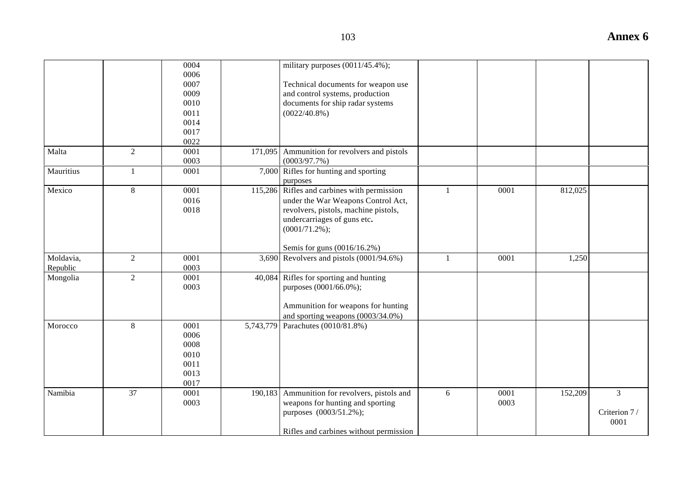|                       |                | 0004<br>0006<br>0007<br>0009<br>0010<br>0011<br>0014<br>0017<br>0022 |           | military purposes $(0011/45.4\%)$ ;<br>Technical documents for weapon use<br>and control systems, production<br>documents for ship radar systems<br>$(0022/40.8\%)$                                          |              |              |         |                                        |
|-----------------------|----------------|----------------------------------------------------------------------|-----------|--------------------------------------------------------------------------------------------------------------------------------------------------------------------------------------------------------------|--------------|--------------|---------|----------------------------------------|
| Malta                 | $\overline{2}$ | 0001<br>0003                                                         | 171,095   | Ammunition for revolvers and pistols<br>(0003/97.7%)                                                                                                                                                         |              |              |         |                                        |
| Mauritius             | 1              | 0001                                                                 |           | 7,000 Rifles for hunting and sporting<br>purposes                                                                                                                                                            |              |              |         |                                        |
| Mexico                | 8              | 0001<br>0016<br>0018                                                 |           | 115,286 Rifles and carbines with permission<br>under the War Weapons Control Act,<br>revolvers, pistols, machine pistols,<br>undercarriages of guns etc.<br>$(0001/71.2\%)$ ;<br>Semis for guns (0016/16.2%) | $\mathbf{1}$ | 0001         | 812,025 |                                        |
| Moldavia,<br>Republic | 2              | 0001<br>0003                                                         |           | 3,690 Revolvers and pistols $(0001/94.6%)$                                                                                                                                                                   | $\mathbf{1}$ | 0001         | 1,250   |                                        |
| Mongolia              | 2              | 0001<br>0003                                                         | 40,084    | Rifles for sporting and hunting<br>purposes (0001/66.0%);<br>Ammunition for weapons for hunting<br>and sporting weapons $(0.003/34.0\%)$                                                                     |              |              |         |                                        |
| Morocco               | $\,8\,$        | 0001<br>0006<br>0008<br>0010<br>0011<br>0013<br>0017                 | 5,743,779 | Parachutes (0010/81.8%)                                                                                                                                                                                      |              |              |         |                                        |
| Namibia               | 37             | 0001<br>0003                                                         | 190,183   | Ammunition for revolvers, pistols and<br>weapons for hunting and sporting<br>purposes (0003/51.2%);<br>Rifles and carbines without permission                                                                | 6            | 0001<br>0003 | 152,209 | $\overline{3}$<br>Criterion 7/<br>0001 |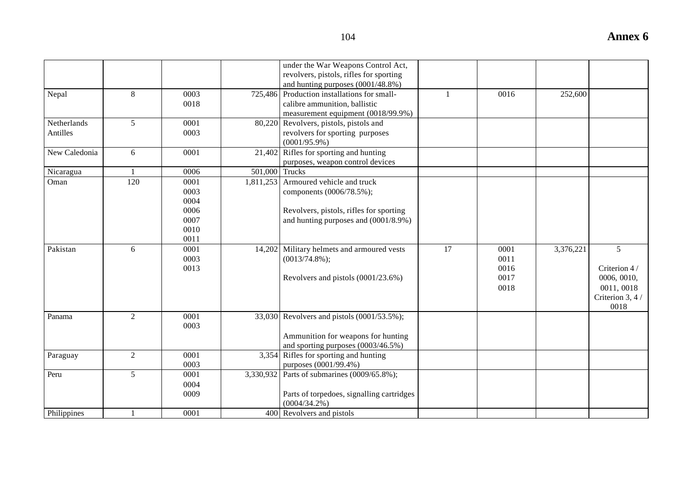|               |                |      |                | under the War Weapons Control Act,<br>revolvers, pistols, rifles for sporting |              |      |           |                          |
|---------------|----------------|------|----------------|-------------------------------------------------------------------------------|--------------|------|-----------|--------------------------|
|               |                |      |                | and hunting purposes (0001/48.8%)                                             |              |      |           |                          |
| Nepal         | 8              | 0003 |                | 725,486 Production installations for small-                                   | $\mathbf{1}$ | 0016 | 252,600   |                          |
|               |                | 0018 |                | calibre ammunition, ballistic                                                 |              |      |           |                          |
|               |                |      |                | measurement equipment (0018/99.9%)                                            |              |      |           |                          |
| Netherlands   | 5              | 0001 |                | 80,220 Revolvers, pistols, pistols and                                        |              |      |           |                          |
| Antilles      |                | 0003 |                | revolvers for sporting purposes                                               |              |      |           |                          |
|               |                |      |                | $(0001/95.9\%)$                                                               |              |      |           |                          |
| New Caledonia | 6              | 0001 | 21,402         | Rifles for sporting and hunting                                               |              |      |           |                          |
|               |                |      |                | purposes, weapon control devices                                              |              |      |           |                          |
| Nicaragua     |                | 0006 | 501,000 Trucks |                                                                               |              |      |           |                          |
| Oman          | 120            | 0001 |                | 1,811,253 Armoured vehicle and truck                                          |              |      |           |                          |
|               |                | 0003 |                | components (0006/78.5%);                                                      |              |      |           |                          |
|               |                | 0004 |                |                                                                               |              |      |           |                          |
|               |                | 0006 |                | Revolvers, pistols, rifles for sporting                                       |              |      |           |                          |
|               |                | 0007 |                | and hunting purposes and $(0001/8.9%)$                                        |              |      |           |                          |
|               |                | 0010 |                |                                                                               |              |      |           |                          |
|               |                | 0011 |                |                                                                               |              |      |           |                          |
| Pakistan      | 6              | 0001 | 14,202         | Military helmets and armoured vests                                           | 17           | 0001 | 3,376,221 | 5                        |
|               |                | 0003 |                | $(0013/74.8\%);$                                                              |              | 0011 |           |                          |
|               |                | 0013 |                |                                                                               |              | 0016 |           | Criterion 4/             |
|               |                |      |                | Revolvers and pistols (0001/23.6%)                                            |              | 0017 |           | 0006, 0010,              |
|               |                |      |                |                                                                               |              | 0018 |           | 0011, 0018               |
|               |                |      |                |                                                                               |              |      |           | Criterion 3, 4 /<br>0018 |
| Panama        | $\overline{2}$ | 0001 |                | 33,030 Revolvers and pistols (0001/53.5%);                                    |              |      |           |                          |
|               |                | 0003 |                |                                                                               |              |      |           |                          |
|               |                |      |                | Ammunition for weapons for hunting                                            |              |      |           |                          |
|               |                |      |                | and sporting purposes (0003/46.5%)                                            |              |      |           |                          |
| Paraguay      | 2              | 0001 |                | 3,354 Rifles for sporting and hunting                                         |              |      |           |                          |
|               |                | 0003 |                | purposes (0001/99.4%)                                                         |              |      |           |                          |
| Peru          | 5              | 0001 |                | 3,330,932 Parts of submarines (0009/65.8%);                                   |              |      |           |                          |
|               |                | 0004 |                |                                                                               |              |      |           |                          |
|               |                | 0009 |                | Parts of torpedoes, signalling cartridges                                     |              |      |           |                          |
|               |                |      |                | $(0004/34.2\%)$                                                               |              |      |           |                          |
| Philippines   |                | 0001 |                | 400 Revolvers and pistols                                                     |              |      |           |                          |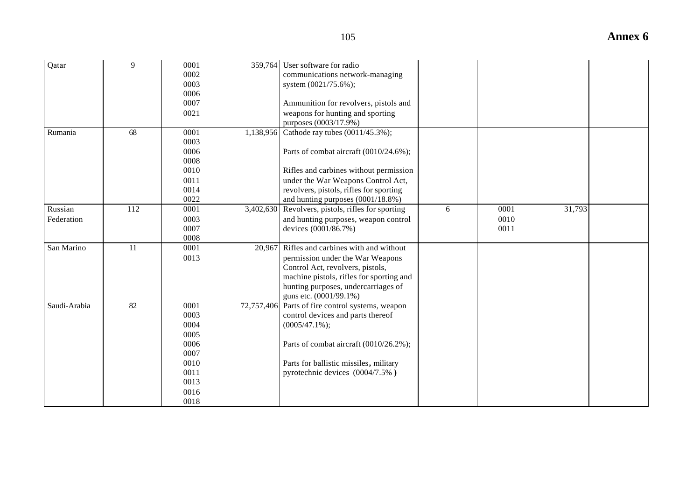| Qatar        | 9   | 0001 | 359.764    | User software for radio                  |   |      |        |  |
|--------------|-----|------|------------|------------------------------------------|---|------|--------|--|
|              |     | 0002 |            | communications network-managing          |   |      |        |  |
|              |     | 0003 |            | system (0021/75.6%);                     |   |      |        |  |
|              |     | 0006 |            |                                          |   |      |        |  |
|              |     | 0007 |            | Ammunition for revolvers, pistols and    |   |      |        |  |
|              |     | 0021 |            | weapons for hunting and sporting         |   |      |        |  |
|              |     |      |            | purposes (0003/17.9%)                    |   |      |        |  |
| Rumania      | 68  | 0001 | 1,138,956  | Cathode ray tubes (0011/45.3%);          |   |      |        |  |
|              |     | 0003 |            |                                          |   |      |        |  |
|              |     | 0006 |            | Parts of combat aircraft (0010/24.6%);   |   |      |        |  |
|              |     | 0008 |            |                                          |   |      |        |  |
|              |     | 0010 |            | Rifles and carbines without permission   |   |      |        |  |
|              |     | 0011 |            | under the War Weapons Control Act,       |   |      |        |  |
|              |     | 0014 |            | revolvers, pistols, rifles for sporting  |   |      |        |  |
|              |     | 0022 |            | and hunting purposes (0001/18.8%)        |   |      |        |  |
| Russian      | 112 | 0001 | 3,402,630  | Revolvers, pistols, rifles for sporting  | 6 | 0001 | 31,793 |  |
| Federation   |     | 0003 |            | and hunting purposes, weapon control     |   | 0010 |        |  |
|              |     | 0007 |            | devices (0001/86.7%)                     |   | 0011 |        |  |
|              |     | 0008 |            |                                          |   |      |        |  |
| San Marino   | 11  | 0001 | 20,967     | Rifles and carbines with and without     |   |      |        |  |
|              |     | 0013 |            | permission under the War Weapons         |   |      |        |  |
|              |     |      |            | Control Act, revolvers, pistols,         |   |      |        |  |
|              |     |      |            | machine pistols, rifles for sporting and |   |      |        |  |
|              |     |      |            | hunting purposes, undercarriages of      |   |      |        |  |
|              |     |      |            | guns etc. (0001/99.1%)                   |   |      |        |  |
| Saudi-Arabia | 82  | 0001 | 72,757,406 | Parts of fire control systems, weapon    |   |      |        |  |
|              |     | 0003 |            | control devices and parts thereof        |   |      |        |  |
|              |     | 0004 |            | $(0005/47.1\%)$ ;                        |   |      |        |  |
|              |     | 0005 |            |                                          |   |      |        |  |
|              |     | 0006 |            | Parts of combat aircraft (0010/26.2%);   |   |      |        |  |
|              |     | 0007 |            |                                          |   |      |        |  |
|              |     | 0010 |            | Parts for ballistic missiles, military   |   |      |        |  |
|              |     | 0011 |            | pyrotechnic devices (0004/7.5%)          |   |      |        |  |
|              |     | 0013 |            |                                          |   |      |        |  |
|              |     | 0016 |            |                                          |   |      |        |  |
|              |     | 0018 |            |                                          |   |      |        |  |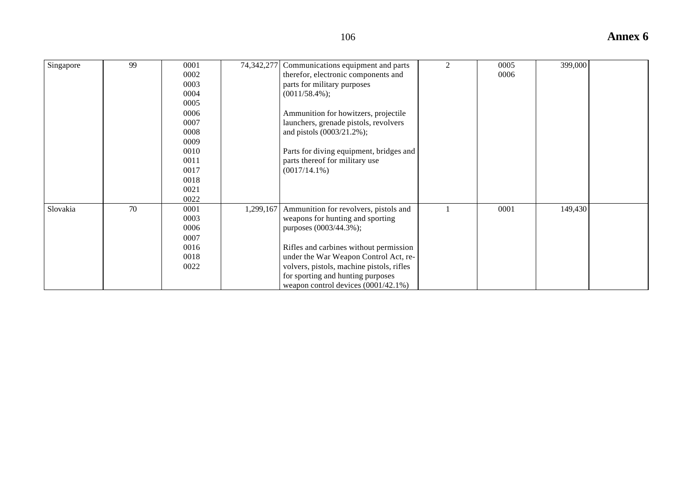| Singapore | 99 | 0001 | 74,342,277 | Communications equipment and parts        | $\mathfrak{D}$ | 0005 | 399,000 |  |
|-----------|----|------|------------|-------------------------------------------|----------------|------|---------|--|
|           |    | 0002 |            | therefor, electronic components and       |                | 0006 |         |  |
|           |    | 0003 |            | parts for military purposes               |                |      |         |  |
|           |    | 0004 |            | $(0011/58.4\%);$                          |                |      |         |  |
|           |    | 0005 |            |                                           |                |      |         |  |
|           |    | 0006 |            | Ammunition for howitzers, projectile      |                |      |         |  |
|           |    | 0007 |            | launchers, grenade pistols, revolvers     |                |      |         |  |
|           |    | 0008 |            | and pistols (0003/21.2%);                 |                |      |         |  |
|           |    | 0009 |            |                                           |                |      |         |  |
|           |    | 0010 |            | Parts for diving equipment, bridges and   |                |      |         |  |
|           |    | 0011 |            | parts thereof for military use            |                |      |         |  |
|           |    | 0017 |            | $(0017/14.1\%)$                           |                |      |         |  |
|           |    | 0018 |            |                                           |                |      |         |  |
|           |    | 0021 |            |                                           |                |      |         |  |
|           |    | 0022 |            |                                           |                |      |         |  |
| Slovakia  | 70 | 0001 | 1,299,167  | Ammunition for revolvers, pistols and     |                | 0001 | 149,430 |  |
|           |    | 0003 |            | weapons for hunting and sporting          |                |      |         |  |
|           |    | 0006 |            | purposes (0003/44.3%);                    |                |      |         |  |
|           |    | 0007 |            |                                           |                |      |         |  |
|           |    | 0016 |            | Rifles and carbines without permission    |                |      |         |  |
|           |    | 0018 |            | under the War Weapon Control Act, re-     |                |      |         |  |
|           |    | 0022 |            | volvers, pistols, machine pistols, rifles |                |      |         |  |
|           |    |      |            | for sporting and hunting purposes         |                |      |         |  |
|           |    |      |            | weapon control devices $(0001/42.1\%)$    |                |      |         |  |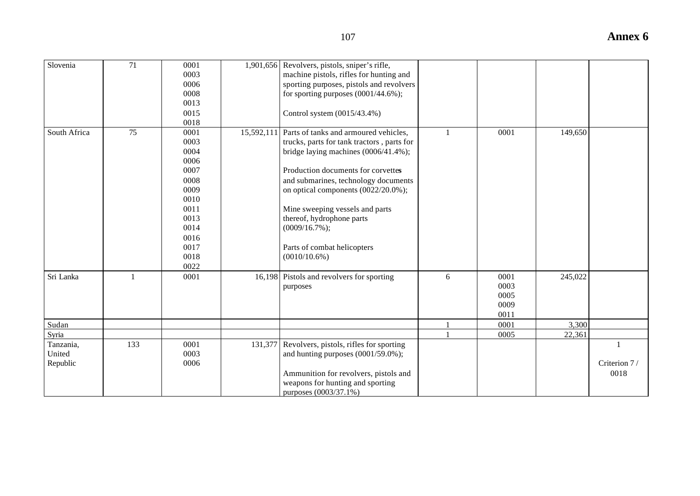| 71 | 0001 | 1,901,656 Revolvers, pistols, sniper's rifle,    |   |      |         |  |
|----|------|--------------------------------------------------|---|------|---------|--|
|    | 0003 | machine pistols, rifles for hunting and          |   |      |         |  |
|    | 0006 | sporting purposes, pistols and revolvers         |   |      |         |  |
|    | 0008 | for sporting purposes $(0001/44.6\%)$ ;          |   |      |         |  |
|    | 0013 |                                                  |   |      |         |  |
|    | 0015 | Control system (0015/43.4%)                      |   |      |         |  |
|    | 0018 |                                                  |   |      |         |  |
| 75 | 0001 | 15,592,111 Parts of tanks and armoured vehicles, |   | 0001 | 149,650 |  |
|    | 0003 | trucks, parts for tank tractors, parts for       |   |      |         |  |
|    | 0004 | bridge laying machines (0006/41.4%);             |   |      |         |  |
|    | 0006 |                                                  |   |      |         |  |
|    | 0007 | Production documents for corvettes               |   |      |         |  |
|    | 0008 | and submarines, technology documents             |   |      |         |  |
|    | 0009 | on optical components (0022/20.0%);              |   |      |         |  |
|    | 0010 |                                                  |   |      |         |  |
|    | 0011 | Mine sweeping vessels and parts                  |   |      |         |  |
|    | 0013 | thereof, hydrophone parts                        |   |      |         |  |
|    | 0014 | $(0009/16.7\%)$ ;                                |   |      |         |  |
|    | 0016 |                                                  |   |      |         |  |
|    | 0017 | Parts of combat helicopters                      |   |      |         |  |
|    | 0018 | $(0010/10.6\%)$                                  |   |      |         |  |
|    | 0022 |                                                  |   |      |         |  |
|    | 0001 | 16,198 Pistols and revolvers for sporting        | 6 | 0001 | 245,022 |  |
|    |      | purposes                                         |   | 0003 |         |  |
|    |      |                                                  |   | 0005 |         |  |
|    |      |                                                  |   | 0009 |         |  |
|    |      |                                                  |   | 0011 |         |  |
|    |      |                                                  |   | 0001 | 3,300   |  |
|    |      |                                                  |   | 0005 | 22.361  |  |

1

Criterion 7 / 0018

131,377 Revolvers, pistols, rifles for sporting

purposes  $(0.003/37.1\%)$ 

and hunting purposes  $(0001/59.0\%)$ ;

Ammunition for revolvers, pistols and weapons for hunting and sporting

Slovenia

South Africa

Sri Lanka

Sudan

Tanzania, United Republic

133 0001

0003 0006

Syria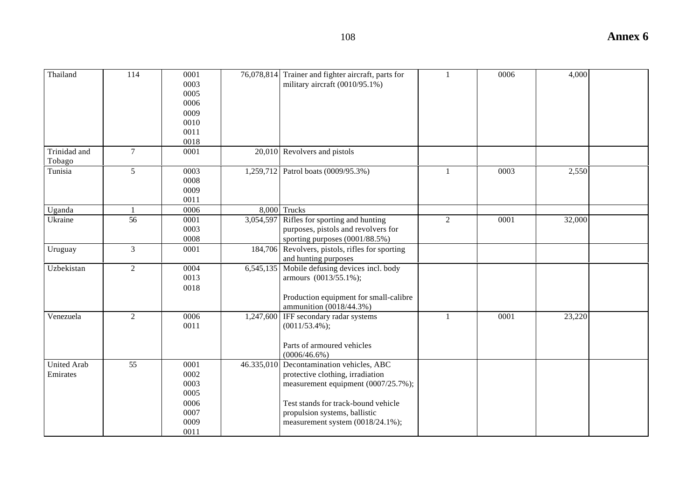| ۰.<br>۰.<br>v<br>×<br>×<br>۰. |  |
|-------------------------------|--|
|-------------------------------|--|

| Thailand           | 114             | 0001 | 76,078,814 Trainer and fighter aircraft, parts for | $\mathbf{1}$   | 0006 | 4,000  |  |
|--------------------|-----------------|------|----------------------------------------------------|----------------|------|--------|--|
|                    |                 | 0003 | military aircraft (0010/95.1%)                     |                |      |        |  |
|                    |                 | 0005 |                                                    |                |      |        |  |
|                    |                 | 0006 |                                                    |                |      |        |  |
|                    |                 | 0009 |                                                    |                |      |        |  |
|                    |                 | 0010 |                                                    |                |      |        |  |
|                    |                 | 0011 |                                                    |                |      |        |  |
|                    |                 | 0018 |                                                    |                |      |        |  |
| Trinidad and       | $\tau$          | 0001 | 20,010 Revolvers and pistols                       |                |      |        |  |
| Tobago             |                 |      |                                                    |                |      |        |  |
| Tunisia            | 5               | 0003 | 1,259,712 Patrol boats (0009/95.3%)                | 1              | 0003 | 2,550  |  |
|                    |                 | 0008 |                                                    |                |      |        |  |
|                    |                 | 0009 |                                                    |                |      |        |  |
|                    |                 | 0011 |                                                    |                |      |        |  |
| Uganda             |                 | 0006 | 8,000 Trucks                                       |                |      |        |  |
| Ukraine            | $\overline{56}$ | 0001 | 3,054,597 Rifles for sporting and hunting          | $\overline{2}$ | 0001 | 32,000 |  |
|                    |                 | 0003 | purposes, pistols and revolvers for                |                |      |        |  |
|                    |                 | 0008 | sporting purposes $(0001/88.5%)$                   |                |      |        |  |
| Uruguay            | $\overline{3}$  | 0001 | 184,706 Revolvers, pistols, rifles for sporting    |                |      |        |  |
|                    |                 |      | and hunting purposes                               |                |      |        |  |
| Uzbekistan         | $\overline{2}$  | 0004 | 6,545,135 Mobile defusing devices incl. body       |                |      |        |  |
|                    |                 | 0013 | armours (0013/55.1%);                              |                |      |        |  |
|                    |                 | 0018 |                                                    |                |      |        |  |
|                    |                 |      | Production equipment for small-calibre             |                |      |        |  |
|                    |                 |      | ammunition (0018/44.3%)                            |                |      |        |  |
| Venezuela          | 2               | 0006 | 1,247,600 IFF secondary radar systems              | $\mathbf{1}$   | 0001 | 23,220 |  |
|                    |                 | 0011 | $(0011/53.4\%);$                                   |                |      |        |  |
|                    |                 |      |                                                    |                |      |        |  |
|                    |                 |      | Parts of armoured vehicles                         |                |      |        |  |
|                    |                 |      | $(0006/46.6\%)$                                    |                |      |        |  |
| <b>United Arab</b> | 55              | 0001 | 46.335,010 Decontamination vehicles, ABC           |                |      |        |  |
| Emirates           |                 | 0002 | protective clothing, irradiation                   |                |      |        |  |
|                    |                 | 0003 |                                                    |                |      |        |  |
|                    |                 | 0005 | measurement equipment (0007/25.7%);                |                |      |        |  |
|                    |                 |      |                                                    |                |      |        |  |
|                    |                 | 0006 | Test stands for track-bound vehicle                |                |      |        |  |
|                    |                 | 0007 | propulsion systems, ballistic                      |                |      |        |  |
|                    |                 | 0009 | measurement system (0018/24.1%);                   |                |      |        |  |
|                    |                 | 0011 |                                                    |                |      |        |  |